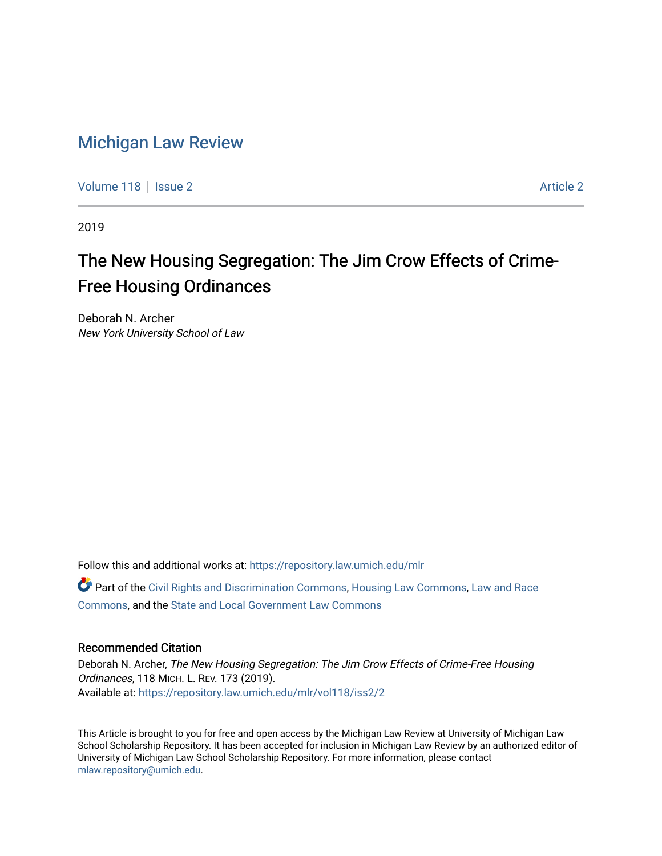## [Michigan Law Review](https://repository.law.umich.edu/mlr)

[Volume 118](https://repository.law.umich.edu/mlr/vol118) | [Issue 2](https://repository.law.umich.edu/mlr/vol118/iss2) [Article 2](https://repository.law.umich.edu/mlr/vol118/iss2/2) Article 2 Article 2 Article 2 Article 2 Article 2

2019

# The New Housing Segregation: The Jim Crow Effects of Crime-Free Housing Ordinances

Deborah N. Archer New York University School of Law

Follow this and additional works at: [https://repository.law.umich.edu/mlr](https://repository.law.umich.edu/mlr?utm_source=repository.law.umich.edu%2Fmlr%2Fvol118%2Fiss2%2F2&utm_medium=PDF&utm_campaign=PDFCoverPages) 

Part of the [Civil Rights and Discrimination Commons,](http://network.bepress.com/hgg/discipline/585?utm_source=repository.law.umich.edu%2Fmlr%2Fvol118%2Fiss2%2F2&utm_medium=PDF&utm_campaign=PDFCoverPages) [Housing Law Commons,](http://network.bepress.com/hgg/discipline/846?utm_source=repository.law.umich.edu%2Fmlr%2Fvol118%2Fiss2%2F2&utm_medium=PDF&utm_campaign=PDFCoverPages) [Law and Race](http://network.bepress.com/hgg/discipline/1300?utm_source=repository.law.umich.edu%2Fmlr%2Fvol118%2Fiss2%2F2&utm_medium=PDF&utm_campaign=PDFCoverPages) [Commons](http://network.bepress.com/hgg/discipline/1300?utm_source=repository.law.umich.edu%2Fmlr%2Fvol118%2Fiss2%2F2&utm_medium=PDF&utm_campaign=PDFCoverPages), and the [State and Local Government Law Commons](http://network.bepress.com/hgg/discipline/879?utm_source=repository.law.umich.edu%2Fmlr%2Fvol118%2Fiss2%2F2&utm_medium=PDF&utm_campaign=PDFCoverPages)

## Recommended Citation

Deborah N. Archer, The New Housing Segregation: The Jim Crow Effects of Crime-Free Housing Ordinances, 118 MICH. L. REV. 173 (2019). Available at: [https://repository.law.umich.edu/mlr/vol118/iss2/2](https://repository.law.umich.edu/mlr/vol118/iss2/2?utm_source=repository.law.umich.edu%2Fmlr%2Fvol118%2Fiss2%2F2&utm_medium=PDF&utm_campaign=PDFCoverPages) 

This Article is brought to you for free and open access by the Michigan Law Review at University of Michigan Law School Scholarship Repository. It has been accepted for inclusion in Michigan Law Review by an authorized editor of University of Michigan Law School Scholarship Repository. For more information, please contact [mlaw.repository@umich.edu.](mailto:mlaw.repository@umich.edu)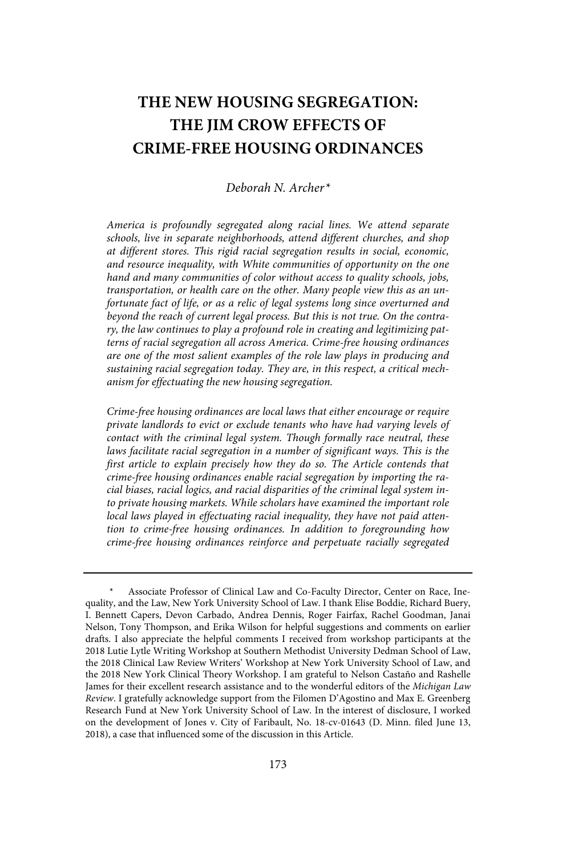## **THE NEW HOUSING SEGREGATION: THE JIM CROW EFFECTS OF CRIME-FREE HOUSING ORDINANCES**

#### Deborah N. Archer $*$

America is profoundly segregated along racial lines. We attend separate schools, live in separate neighborhoods, attend different churches, and shop at different stores. This rigid racial segregation results in social, economic, and resource inequality, with White communities of opportunity on the one hand and many communities of color without access to quality schools, jobs, transportation, or health care on the other. Many people view this as an unfortunate fact of life, or as a relic of legal systems long since overturned and beyond the reach of current legal process. But this is not true. On the contrary, the law continues to play a profound role in creating and legitimizing patterns of racial segregation all across America . Crime-free housing ordinances are one of the most salient examples of the role law plays in producing and sustaining racial segregation today. They are, in this respect, a critical mechanism for effectuating the new housing segregation.

Crime-free housing ordinances are local laws that either encourage or require private landlords to evict or exclude tenants who have had varying levels of contact with the criminal legal system. Though formally race neutral, these laws facilitate racial segregation in a number of significant ways. This is the first article to explain precisely how they do so. The Article contends that crime-free housing ordinances enable racial segregation by importing the racial biases, racial logics, and racial disparities of the criminal legal system into private housing markets. While scholars have examined the important role local laws played in effectuating racial inequality, they have not paid attention to crime-free housing ordinances . In addition to foregrounding how crime-free housing ordinances reinforce and perpetuate racially segregated

Associate Professor of Clinical Law and Co-Faculty Director, Center on Race, Inequality, and the Law, New York University School of Law. I thank Elise Boddie, Richard Buery, I. Bennett Capers, Devon Carbado, Andrea Dennis, Roger Fairfax, Rachel Goodman, Janai Nelson, Tony Thompson, and Erika Wilson for helpful suggestions and comments on earlier drafts. I also appreciate the helpful comments I received from workshop participants at the 2018 Lutie Lytle Writing Workshop at Southern Methodist University Dedman School of Law, the 2018 Clinical Law Review Writers' Workshop at New York University School of Law, and the 2018 New York Clinical Theory Workshop. I am grateful to Nelson Castaño and Rashelle James for their excellent research assistance and to the wonderful editors of the Michigan Law Review. I gratefully acknowledge support from the Filomen D'Agostino and Max E. Greenberg Research Fund at New York University School of Law. In the interest of disclosure, I worked on the development of Jones v. City of Faribault, No. 18-cv-01643 (D. Minn. filed June 13, 2018), a case that influenced some of the discussion in this Article.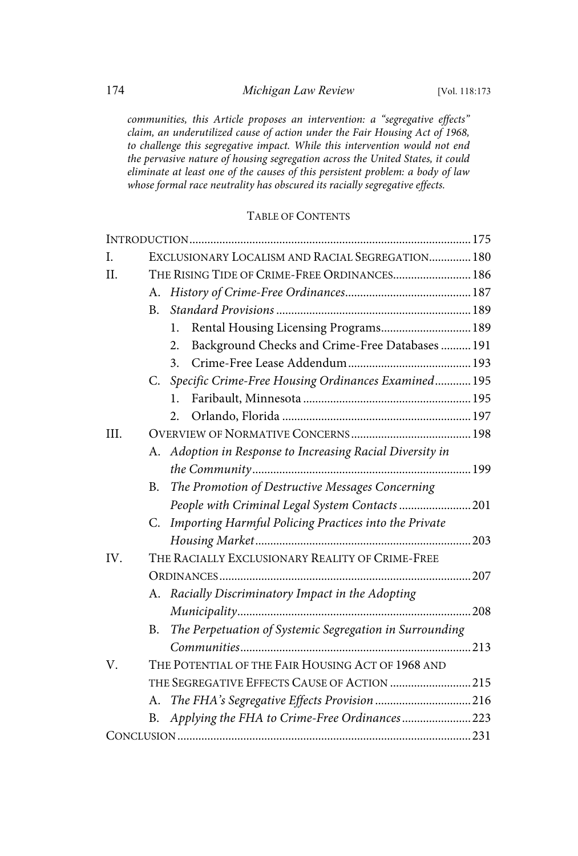communities, this Article proposes an intervention: a "segregative effects" claim, an underutilized cause of action under the Fair Housing Act of 1968, to challenge this segregative impact. While this intervention would not end the pervasive nature of housing segregation across the United States, it could eliminate at least one of the causes of this persistent problem: a body of law whose formal race neutrality has obscured its racially segregative effects.

## TABLE OF CONTENTS

| I.   |                                                   | EXCLUSIONARY LOCALISM AND RACIAL SEGREGATION 180          |  |
|------|---------------------------------------------------|-----------------------------------------------------------|--|
| II.  |                                                   | THE RISING TIDE OF CRIME-FREE ORDINANCES 186              |  |
|      | А.                                                |                                                           |  |
|      | B <sub>r</sub>                                    |                                                           |  |
|      |                                                   | Rental Housing Licensing Programs 189<br>1.               |  |
|      |                                                   | Background Checks and Crime-Free Databases  191<br>2.     |  |
|      |                                                   | 3.                                                        |  |
|      |                                                   | C. Specific Crime-Free Housing Ordinances Examined 195    |  |
|      |                                                   | 1.                                                        |  |
|      |                                                   | 2.                                                        |  |
| III. |                                                   |                                                           |  |
|      |                                                   | A. Adoption in Response to Increasing Racial Diversity in |  |
|      |                                                   |                                                           |  |
|      | B.                                                | The Promotion of Destructive Messages Concerning          |  |
|      |                                                   | People with Criminal Legal System Contacts 201            |  |
|      | C.                                                | Importing Harmful Policing Practices into the Private     |  |
|      |                                                   |                                                           |  |
| IV.  | THE RACIALLY EXCLUSIONARY REALITY OF CRIME-FREE   |                                                           |  |
|      |                                                   |                                                           |  |
|      | А.                                                | Racially Discriminatory Impact in the Adopting            |  |
|      |                                                   |                                                           |  |
|      | B.                                                | The Perpetuation of Systemic Segregation in Surrounding   |  |
|      |                                                   |                                                           |  |
| V.   | THE POTENTIAL OF THE FAIR HOUSING ACT OF 1968 AND |                                                           |  |
|      |                                                   | THE SEGREGATIVE EFFECTS CAUSE OF ACTION  215              |  |
|      | А.                                                | The FHA's Segregative Effects Provision 216               |  |
|      | B.                                                | Applying the FHA to Crime-Free Ordinances223              |  |
|      |                                                   |                                                           |  |
|      |                                                   |                                                           |  |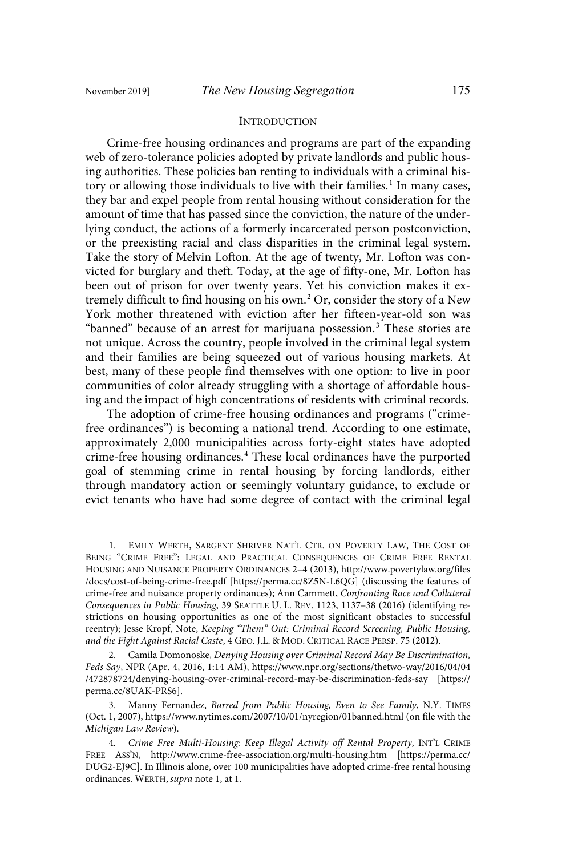#### INTRODUCTION

Crime-free housing ordinances and programs are part of the expanding web of zero-tolerance policies adopted by private landlords and public housing authorities. These policies ban renting to individuals with a criminal history or allowing those individuals to live with their families.<sup>1</sup> In many cases, they bar and expel people from rental housing without consideration for the amount of time that has passed since the conviction, the nature of the underlying conduct, the actions of a formerly incarcerated person postconviction, or the preexisting racial and class disparities in the criminal legal system. Take the story of Melvin Lofton. At the age of twenty, Mr. Lofton was convicted for burglary and theft. Today, at the age of fifty-one, Mr. Lofton has been out of prison for over twenty years. Yet his conviction makes it extremely difficult to find housing on his own.<sup>2</sup> Or, consider the story of a New York mother threatened with eviction after her fifteen-year-old son was "banned" because of an arrest for marijuana possession.<sup>3</sup> These stories are not unique. Across the country, people involved in the criminal legal system and their families are being squeezed out of various housing markets. At best, many of these people find themselves with one option: to live in poor communities of color already struggling with a shortage of affordable housing and the impact of high concentrations of residents with criminal records.

The adoption of crime-free housing ordinances and programs ("crimefree ordinances") is becoming a national trend. According to one estimate, approximately 2,000 municipalities across forty-eight states have adopted crime-free housing ordinances.<sup>4</sup> These local ordinances have the purported goal of stemming crime in rental housing by forcing landlords, either through mandatory action or seemingly voluntary guidance, to exclude or evict tenants who have had some degree of contact with the criminal legal

<sup>1.</sup> EMILY WERTH, SARGENT SHRIVER NAT'L CTR. ON POVERTY LAW, THE COST OF BEING "CRIME FREE": LEGAL AND PRACTICAL CONSEQUENCES OF CRIME FREE RENTAL HOUSING AND NUISANCE PROPERTY ORDINANCES 2–4 (2013), http://www.povertylaw.org/files /docs/cost-of-being-crime-free.pdf [https://perma.cc/8Z5N-L6QG] (discussing the features of crime-free and nuisance property ordinances); Ann Cammett, Confronting Race and Collateral Consequences in Public Housing, 39 SEATTLE U. L. REV. 1123, 1137–38 (2016) (identifying restrictions on housing opportunities as one of the most significant obstacles to successful reentry); Jesse Kropf, Note, Keeping "Them" Out: Criminal Record Screening, Public Housing, and the Fight Against Racial Caste, 4 GEO. J.L. & MOD. CRITICAL RACE PERSP. 75 (2012).

<sup>2.</sup> Camila Domonoske, Denying Housing over Criminal Record May Be Discrimination, Feds Say, NPR (Apr. 4, 2016, 1:14 AM), https://www.npr.org/sections/thetwo-way/2016/04/04 /472878724/denying-housing-over-criminal-record-may-be-discrimination-feds-say [https:// perma.cc/8UAK-PRS6].

<sup>3.</sup> Manny Fernandez, Barred from Public Housing, Even to See Family, N.Y. TIMES (Oct. 1, 2007), https://www.nytimes.com/2007/10/01/nyregion/01banned.html (on file with the Michigan Law Review).

<sup>4</sup> . Crime Free Multi-Housing: Keep Illegal Activity off Rental Property, INT'L CRIME FREE ASS'N, http://www.crime-free-association.org/multi-housing.htm [https://perma.cc/ DUG2-EJ9C]. In Illinois alone, over 100 municipalities have adopted crime-free rental housing ordinances. WERTH, supra note 1, at 1.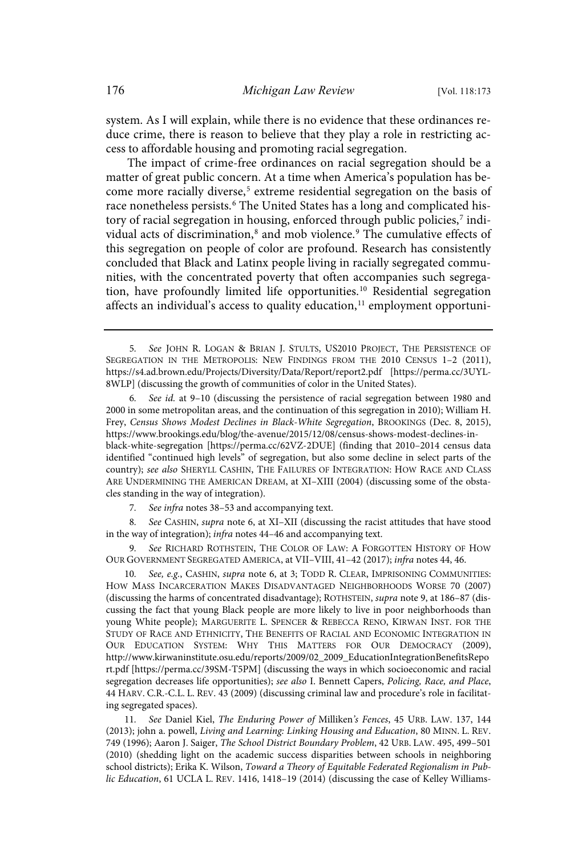system. As I will explain, while there is no evidence that these ordinances reduce crime, there is reason to believe that they play a role in restricting access to affordable housing and promoting racial segregation.

The impact of crime-free ordinances on racial segregation should be a matter of great public concern. At a time when America's population has become more racially diverse, 5 extreme residential segregation on the basis of race nonetheless persists. <sup>6</sup> The United States has a long and complicated history of racial segregation in housing, enforced through public policies,<sup>7</sup> individual acts of discrimination,<sup>8</sup> and mob violence.<sup>9</sup> The cumulative effects of this segregation on people of color are profound. Research has consistently concluded that Black and Latinx people living in racially segregated communities, with the concentrated poverty that often accompanies such segregation, have profoundly limited life opportunities.<sup>10</sup> Residential segregation affects an individual's access to quality education,<sup>11</sup> employment opportuni-

See id. at 9-10 (discussing the persistence of racial segregation between 1980 and 2000 in some metropolitan areas, and the continuation of this segregation in 2010); William H. Frey, Census Shows Modest Declines in Black-White Segregation, BROOKINGS (Dec. 8, 2015), https://www.brookings.edu/blog/the-avenue/2015/12/08/census-shows-modest-declines-inblack-white-segregation [https://perma.cc/62VZ-2DUE] (finding that 2010–2014 census data identified "continued high levels" of segregation, but also some decline in select parts of the country); see also SHERYLL CASHIN, THE FAILURES OF INTEGRATION: HOW RACE AND CLASS ARE UNDERMINING THE AMERICAN DREAM, at XI–XIII (2004) (discussing some of the obstacles standing in the way of integration).

7. See infra notes 38-53 and accompanying text.

8. See CASHIN, supra note 6, at XI-XII (discussing the racist attitudes that have stood in the way of integration); infra notes 44-46 and accompanying text.

See RICHARD ROTHSTEIN, THE COLOR OF LAW: A FORGOTTEN HISTORY OF HOW OUR GOVERNMENT SEGREGATED AMERICA, at VII–VIII, 41–42 (2017); infra notes 44, 46.

10. See, e.g., CASHIN, supra note 6, at 3; TODD R. CLEAR, IMPRISONING COMMUNITIES: HOW MASS INCARCERATION MAKES DISADVANTAGED NEIGHBORHOODS WORSE 70 (2007) (discussing the harms of concentrated disadvantage); ROTHSTEIN, supra note 9, at 186–87 (discussing the fact that young Black people are more likely to live in poor neighborhoods than young White people); MARGUERITE L. SPENCER & REBECCA RENO, KIRWAN INST. FOR THE STUDY OF RACE AND ETHNICITY, THE BENEFITS OF RACIAL AND ECONOMIC INTEGRATION IN OUR EDUCATION SYSTEM: WHY THIS MATTERS FOR OUR DEMOCRACY (2009), http://www.kirwaninstitute.osu.edu/reports/2009/02\_2009\_EducationIntegrationBenefitsRepo rt.pdf [https://perma.cc/39SM-T5PM] (discussing the ways in which socioeconomic and racial segregation decreases life opportunities); see also I. Bennett Capers, Policing, Race, and Place, 44 HARV. C.R.-C.L. L. REV. 43 (2009) (discussing criminal law and procedure's role in facilitating segregated spaces).

11. See Daniel Kiel, The Enduring Power of Milliken's Fences, 45 URB. LAW. 137, 144 (2013); john a. powell, Living and Learning: Linking Housing and Education, 80 MINN. L. REV. 749 (1996); Aaron J. Saiger, The School District Boundary Problem, 42 URB. LAW. 495, 499–501 (2010) (shedding light on the academic success disparities between schools in neighboring school districts); Erika K. Wilson, Toward a Theory of Equitable Federated Regionalism in Public Education, 61 UCLA L. REV. 1416, 1418–19 (2014) (discussing the case of Kelley Williams-

<sup>5.</sup> See JOHN R. LOGAN & BRIAN J. STULTS, US2010 PROJECT, THE PERSISTENCE OF SEGREGATION IN THE METROPOLIS: NEW FINDINGS FROM THE 2010 CENSUS 1–2 (2011), https://s4.ad.brown.edu/Projects/Diversity/Data/Report/report2.pdf [https://perma.cc/3UYL-8WLP] (discussing the growth of communities of color in the United States).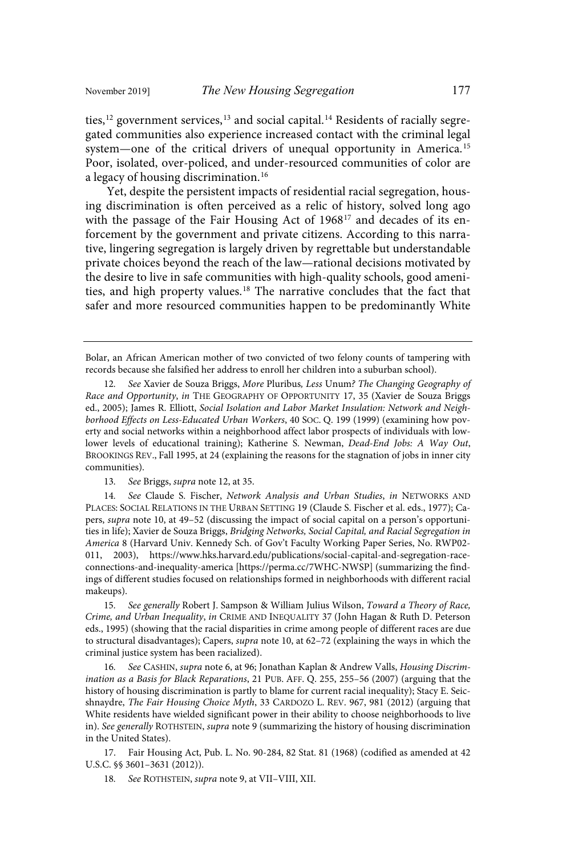ties,<sup>12</sup> government services,<sup>13</sup> and social capital.<sup>14</sup> Residents of racially segregated communities also experience increased contact with the criminal legal system—one of the critical drivers of unequal opportunity in America.<sup>15</sup> Poor, isolated, over-policed, and under-resourced communities of color are a legacy of housing discrimination. 16

Yet, despite the persistent impacts of residential racial segregation, housing discrimination is often perceived as a relic of history, solved long ago with the passage of the Fair Housing Act of 1968<sup>17</sup> and decades of its enforcement by the government and private citizens. According to this narrative, lingering segregation is largely driven by regrettable but understandable private choices beyond the reach of the law—rational decisions motivated by the desire to live in safe communities with high-quality schools, good amenities, and high property values.<sup>18</sup> The narrative concludes that the fact that safer and more resourced communities happen to be predominantly White

14. See Claude S. Fischer, Network Analysis and Urban Studies, in NETWORKS AND PLACES: SOCIAL RELATIONS IN THE URBAN SETTING 19 (Claude S. Fischer et al. eds., 1977); Capers, supra note 10, at 49–52 (discussing the impact of social capital on a person's opportunities in life); Xavier de Souza Briggs, Bridging Networks, Social Capital, and Racial Segregation in America 8 (Harvard Univ. Kennedy Sch. of Gov't Faculty Working Paper Series, No. RWP02- 011, 2003), https://www.hks.harvard.edu/publications/social-capital-and-segregation-raceconnections-and-inequality-america [https://perma.cc/7WHC-NWSP] (summarizing the findings of different studies focused on relationships formed in neighborhoods with different racial makeups).

15. See generally Robert J. Sampson & William Julius Wilson, Toward a Theory of Race, Crime, and Urban Inequality, in CRIME AND INEQUALITY 37 (John Hagan & Ruth D. Peterson eds., 1995) (showing that the racial disparities in crime among people of different races are due to structural disadvantages); Capers, *supra* note 10, at 62-72 (explaining the ways in which the criminal justice system has been racialized).

16. See CASHIN, supra note 6, at 96; Jonathan Kaplan & Andrew Valls, Housing Discrimination as a Basis for Black Reparations, 21 PUB. AFF. Q. 255, 255–56 (2007) (arguing that the history of housing discrimination is partly to blame for current racial inequality); Stacy E. Seicshnaydre, The Fair Housing Choice Myth, 33 CARDOZO L. REV. 967, 981 (2012) (arguing that White residents have wielded significant power in their ability to choose neighborhoods to live in). See generally ROTHSTEIN, supra note 9 (summarizing the history of housing discrimination in the United States).

17. Fair Housing Act, Pub. L. No. 90-284, 82 Stat. 81 (1968) (codified as amended at 42 U.S.C. §§ 3601–3631 (2012)).

18. See ROTHSTEIN, supra note 9, at VII-VIII, XII.

Bolar, an African American mother of two convicted of two felony counts of tampering with records because she falsified her address to enroll her children into a suburban school).

<sup>12.</sup> See Xavier de Souza Briggs, More Pluribus, Less Unum? The Changing Geography of Race and Opportunity, in THE GEOGRAPHY OF OPPORTUNITY 17, 35 (Xavier de Souza Briggs ed., 2005); James R. Elliott, Social Isolation and Labor Market Insulation: Network and Neighborhood Effects on Less-Educated Urban Workers, 40 SOC. Q. 199 (1999) (examining how poverty and social networks within a neighborhood affect labor prospects of individuals with lowlower levels of educational training); Katherine S. Newman, Dead-End Jobs: A Way Out, BROOKINGS REV., Fall 1995, at 24 (explaining the reasons for the stagnation of jobs in inner city communities).

<sup>13.</sup> See Briggs, supra note 12, at 35.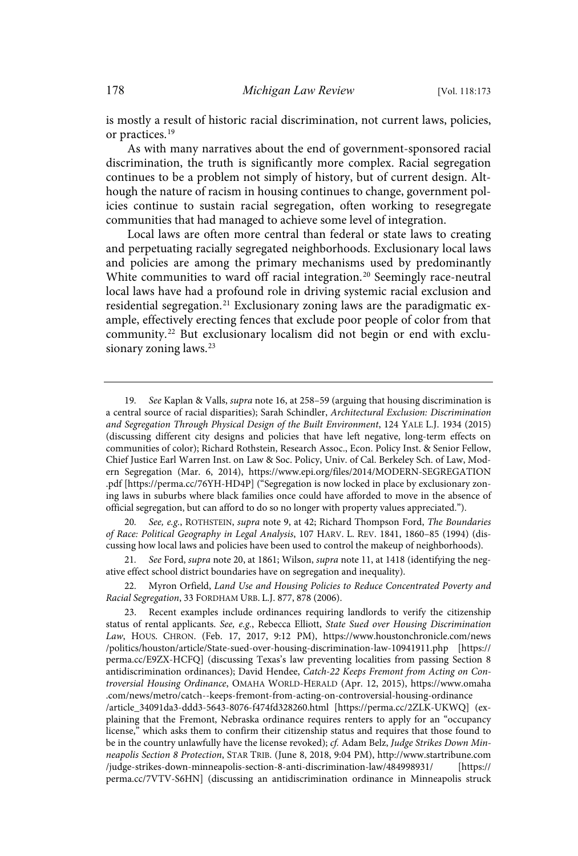is mostly a result of historic racial discrimination, not current laws, policies, or practices.<sup>19</sup>

As with many narratives about the end of government-sponsored racial discrimination, the truth is significantly more complex. Racial segregation continues to be a problem not simply of history, but of current design. Although the nature of racism in housing continues to change, government policies continue to sustain racial segregation, often working to resegregate communities that had managed to achieve some level of integration.

Local laws are often more central than federal or state laws to creating and perpetuating racially segregated neighborhoods. Exclusionary local laws and policies are among the primary mechanisms used by predominantly White communities to ward off racial integration.<sup>20</sup> Seemingly race-neutral local laws have had a profound role in driving systemic racial exclusion and residential segregation. <sup>21</sup> Exclusionary zoning laws are the paradigmatic example, effectively erecting fences that exclude poor people of color from that community.<sup>22</sup> But exclusionary localism did not begin or end with exclusionary zoning laws.<sup>23</sup>

See, e.g., ROTHSTEIN, supra note 9, at 42; Richard Thompson Ford, The Boundaries of Race: Political Geography in Legal Analysis, 107 HARV. L. REV. 1841, 1860–85 (1994) (discussing how local laws and policies have been used to control the makeup of neighborhoods).

21. See Ford, supra note 20, at 1861; Wilson, supra note 11, at 1418 (identifying the negative effect school district boundaries have on segregation and inequality).

22. Myron Orfield, Land Use and Housing Policies to Reduce Concentrated Poverty and Racial Segregation, 33 FORDHAM URB. L.J. 877, 878 (2006).

<sup>19.</sup> See Kaplan & Valls, supra note 16, at 258-59 (arguing that housing discrimination is a central source of racial disparities); Sarah Schindler, Architectural Exclusion: Discrimination and Segregation Through Physical Design of the Built Environment, 124 YALE L.J. 1934 (2015) (discussing different city designs and policies that have left negative, long-term effects on communities of color); Richard Rothstein, Research Assoc., Econ. Policy Inst. & Senior Fellow, Chief Justice Earl Warren Inst. on Law & Soc. Policy, Univ. of Cal. Berkeley Sch. of Law, Modern Segregation (Mar. 6, 2014), https://www.epi.org/files/2014/MODERN-SEGREGATION .pdf [https://perma.cc/76YH-HD4P] ("Segregation is now locked in place by exclusionary zoning laws in suburbs where black families once could have afforded to move in the absence of official segregation, but can afford to do so no longer with property values appreciated.").

<sup>23.</sup> Recent examples include ordinances requiring landlords to verify the citizenship status of rental applicants. See, e.g., Rebecca Elliott, State Sued over Housing Discrimination Law, HOUS. CHRON. (Feb. 17, 2017, 9:12 PM), https://www.houstonchronicle.com/news /politics/houston/article/State-sued-over-housing-discrimination-law-10941911.php [https:// perma.cc/E9ZX-HCFQ] (discussing Texas's law preventing localities from passing Section 8 antidiscrimination ordinances); David Hendee, Catch-22 Keeps Fremont from Acting on Controversial Housing Ordinance, OMAHA WORLD-HERALD (Apr. 12, 2015), https://www.omaha .com/news/metro/catch--keeps-fremont-from-acting-on-controversial-housing-ordinance /article\_34091da3-ddd3-5643-8076-f474fd328260.html [https://perma.cc/2ZLK-UKWQ] (explaining that the Fremont, Nebraska ordinance requires renters to apply for an "occupancy license," which asks them to confirm their citizenship status and requires that those found to be in the country unlawfully have the license revoked); cf. Adam Belz, Judge Strikes Down Minneapolis Section 8 Protection, STAR TRIB. (June 8, 2018, 9:04 PM), http://www.startribune.com /judge-strikes-down-minneapolis-section-8-anti-discrimination-law/484998931/ [https:// perma.cc/7VTV-S6HN] (discussing an antidiscrimination ordinance in Minneapolis struck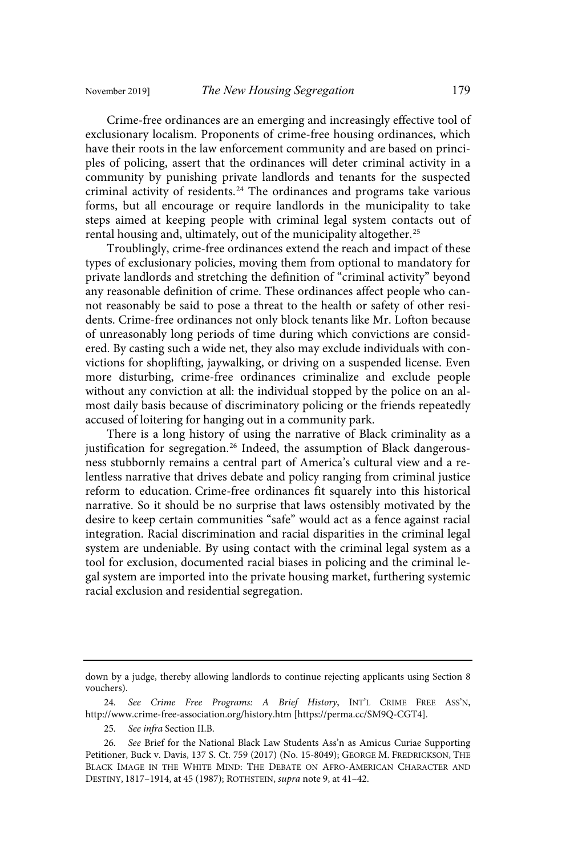Crime-free ordinances are an emerging and increasingly effective tool of exclusionary localism. Proponents of crime-free housing ordinances, which have their roots in the law enforcement community and are based on principles of policing, assert that the ordinances will deter criminal activity in a community by punishing private landlords and tenants for the suspected criminal activity of residents.<sup>24</sup> The ordinances and programs take various forms, but all encourage or require landlords in the municipality to take steps aimed at keeping people with criminal legal system contacts out of rental housing and, ultimately, out of the municipality altogether. 25

Troublingly, crime-free ordinances extend the reach and impact of these types of exclusionary policies, moving them from optional to mandatory for private landlords and stretching the definition of "criminal activity" beyond any reasonable definition of crime. These ordinances affect people who cannot reasonably be said to pose a threat to the health or safety of other residents. Crime-free ordinances not only block tenants like Mr. Lofton because of unreasonably long periods of time during which convictions are considered. By casting such a wide net, they also may exclude individuals with convictions for shoplifting, jaywalking, or driving on a suspended license. Even more disturbing, crime-free ordinances criminalize and exclude people without any conviction at all: the individual stopped by the police on an almost daily basis because of discriminatory policing or the friends repeatedly accused of loitering for hanging out in a community park.

There is a long history of using the narrative of Black criminality as a justification for segregation.<sup>26</sup> Indeed, the assumption of Black dangerousness stubbornly remains a central part of America's cultural view and a relentless narrative that drives debate and policy ranging from criminal justice reform to education. Crime-free ordinances fit squarely into this historical narrative. So it should be no surprise that laws ostensibly motivated by the desire to keep certain communities "safe" would act as a fence against racial integration. Racial discrimination and racial disparities in the criminal legal system are undeniable. By using contact with the criminal legal system as a tool for exclusion, documented racial biases in policing and the criminal legal system are imported into the private housing market, furthering systemic racial exclusion and residential segregation.

25. See infra Section II.B.

down by a judge, thereby allowing landlords to continue rejecting applicants using Section 8 vouchers).

<sup>24</sup> . See Crime Free Programs: A Brief History, INT'L CRIME FREE ASS'N, http://www.crime-free-association.org/history.htm [https://perma.cc/SM9Q-CGT4].

<sup>26.</sup> See Brief for the National Black Law Students Ass'n as Amicus Curiae Supporting Petitioner, Buck v. Davis, 137 S. Ct. 759 (2017) (No. 15-8049); GEORGE M. FREDRICKSON, THE BLACK IMAGE IN THE WHITE MIND: THE DEBATE ON AFRO-AMERICAN CHARACTER AND DESTINY, 1817–1914, at 45 (1987); ROTHSTEIN, supra note 9, at 41–42.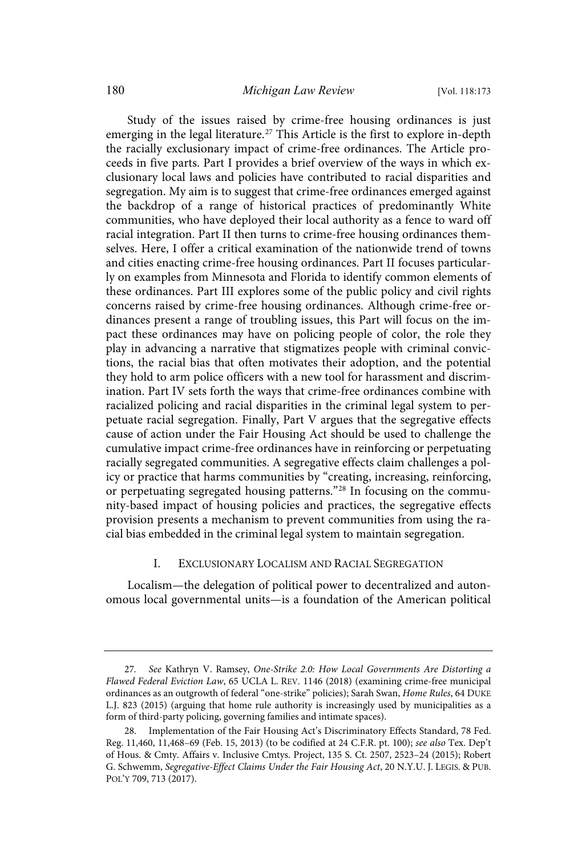Study of the issues raised by crime-free housing ordinances is just emerging in the legal literature.<sup>27</sup> This Article is the first to explore in-depth the racially exclusionary impact of crime-free ordinances. The Article proceeds in five parts. Part I provides a brief overview of the ways in which exclusionary local laws and policies have contributed to racial disparities and segregation. My aim is to suggest that crime-free ordinances emerged against the backdrop of a range of historical practices of predominantly White communities, who have deployed their local authority as a fence to ward off racial integration. Part II then turns to crime-free housing ordinances themselves. Here, I offer a critical examination of the nationwide trend of towns and cities enacting crime-free housing ordinances. Part II focuses particularly on examples from Minnesota and Florida to identify common elements of these ordinances. Part III explores some of the public policy and civil rights concerns raised by crime-free housing ordinances. Although crime-free ordinances present a range of troubling issues, this Part will focus on the impact these ordinances may have on policing people of color, the role they play in advancing a narrative that stigmatizes people with criminal convictions, the racial bias that often motivates their adoption, and the potential they hold to arm police officers with a new tool for harassment and discrimination. Part IV sets forth the ways that crime-free ordinances combine with racialized policing and racial disparities in the criminal legal system to perpetuate racial segregation. Finally, Part V argues that the segregative effects cause of action under the Fair Housing Act should be used to challenge the cumulative impact crime-free ordinances have in reinforcing or perpetuating racially segregated communities. A segregative effects claim challenges a policy or practice that harms communities by "creating, increasing, reinforcing, or perpetuating segregated housing patterns."<sup>28</sup> In focusing on the community-based impact of housing policies and practices, the segregative effects provision presents a mechanism to prevent communities from using the racial bias embedded in the criminal legal system to maintain segregation.

#### I. EXCLUSIONARY LOCALISM AND RACIAL SEGREGATION

Localism—the delegation of political power to decentralized and autonomous local governmental units—is a foundation of the American political

<sup>27.</sup> See Kathryn V. Ramsey, One-Strike 2.0: How Local Governments Are Distorting a Flawed Federal Eviction Law, 65 UCLA L. REV. 1146 (2018) (examining crime-free municipal ordinances as an outgrowth of federal "one-strike" policies); Sarah Swan, Home Rules, 64 DUKE L.J. 823 (2015) (arguing that home rule authority is increasingly used by municipalities as a form of third-party policing, governing families and intimate spaces).

<sup>28.</sup> Implementation of the Fair Housing Act's Discriminatory Effects Standard, 78 Fed. Reg. 11,460, 11,468–69 (Feb. 15, 2013) (to be codified at 24 C.F.R. pt. 100); see also Tex. Dep't of Hous. & Cmty. Affairs v. Inclusive Cmtys. Project, 135 S. Ct. 2507, 2523–24 (2015); Robert G. Schwemm, Segregative-Effect Claims Under the Fair Housing Act, 20 N.Y.U. J. LEGIS. & PUB. POL'Y 709, 713 (2017).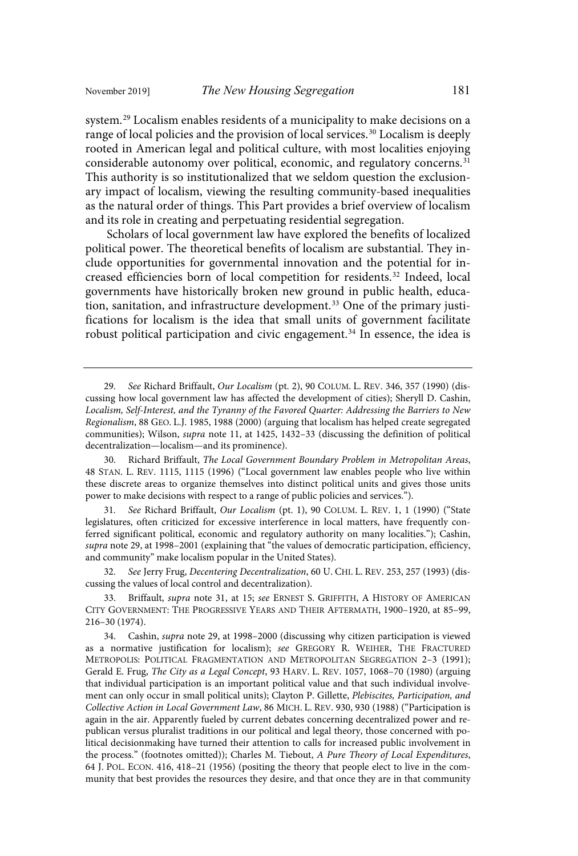system. <sup>29</sup> Localism enables residents of a municipality to make decisions on a range of local policies and the provision of local services.<sup>30</sup> Localism is deeply rooted in American legal and political culture, with most localities enjoying considerable autonomy over political, economic, and regulatory concerns.<sup>31</sup> This authority is so institutionalized that we seldom question the exclusionary impact of localism, viewing the resulting community-based inequalities as the natural order of things. This Part provides a brief overview of localism and its role in creating and perpetuating residential segregation.

Scholars of local government law have explored the benefits of localized political power. The theoretical benefits of localism are substantial. They include opportunities for governmental innovation and the potential for increased efficiencies born of local competition for residents.<sup>32</sup> Indeed, local governments have historically broken new ground in public health, education, sanitation, and infrastructure development.<sup>33</sup> One of the primary justifications for localism is the idea that small units of government facilitate robust political participation and civic engagement.<sup>34</sup> In essence, the idea is

See Richard Briffault, Our Localism (pt. 1), 90 COLUM. L. REV. 1, 1 (1990) ("State legislatures, often criticized for excessive interference in local matters, have frequently conferred significant political, economic and regulatory authority on many localities."); Cashin, supra note 29, at 1998–2001 (explaining that "the values of democratic participation, efficiency, and community" make localism popular in the United States).

32. See Jerry Frug, Decentering Decentralization, 60 U. CHI. L. REV. 253, 257 (1993) (discussing the values of local control and decentralization).

Briffault, supra note 31, at 15; see ERNEST S. GRIFFITH, A HISTORY OF AMERICAN CITY GOVERNMENT: THE PROGRESSIVE YEARS AND THEIR AFTERMATH, 1900–1920, at 85–99, 216–30 (1974).

34. Cashin, supra note 29, at 1998–2000 (discussing why citizen participation is viewed as a normative justification for localism); see GREGORY R. WEIHER, THE FRACTURED METROPOLIS: POLITICAL FRAGMENTATION AND METROPOLITAN SEGREGATION 2–3 (1991); Gerald E. Frug, The City as a Legal Concept, 93 HARV. L. REV. 1057, 1068–70 (1980) (arguing that individual participation is an important political value and that such individual involvement can only occur in small political units); Clayton P. Gillette, Plebiscites, Participation, and Collective Action in Local Government Law, 86 MICH. L. REV. 930, 930 (1988) ("Participation is again in the air. Apparently fueled by current debates concerning decentralized power and republican versus pluralist traditions in our political and legal theory, those concerned with political decisionmaking have turned their attention to calls for increased public involvement in the process." (footnotes omitted)); Charles M. Tiebout, A Pure Theory of Local Expenditures, 64 J. POL. ECON. 416, 418–21 (1956) (positing the theory that people elect to live in the community that best provides the resources they desire, and that once they are in that community

<sup>29.</sup> See Richard Briffault, Our Localism (pt. 2), 90 COLUM. L. REV. 346, 357 (1990) (discussing how local government law has affected the development of cities); Sheryll D. Cashin, Localism, Self-Interest, and the Tyranny of the Favored Quarter: Addressing the Barriers to New Regionalism, 88 GEO. L.J. 1985, 1988 (2000) (arguing that localism has helped create segregated communities); Wilson, supra note 11, at 1425, 1432–33 (discussing the definition of political decentralization—localism—and its prominence).

<sup>30.</sup> Richard Briffault, The Local Government Boundary Problem in Metropolitan Areas, 48 STAN. L. REV. 1115, 1115 (1996) ("Local government law enables people who live within these discrete areas to organize themselves into distinct political units and gives those units power to make decisions with respect to a range of public policies and services.").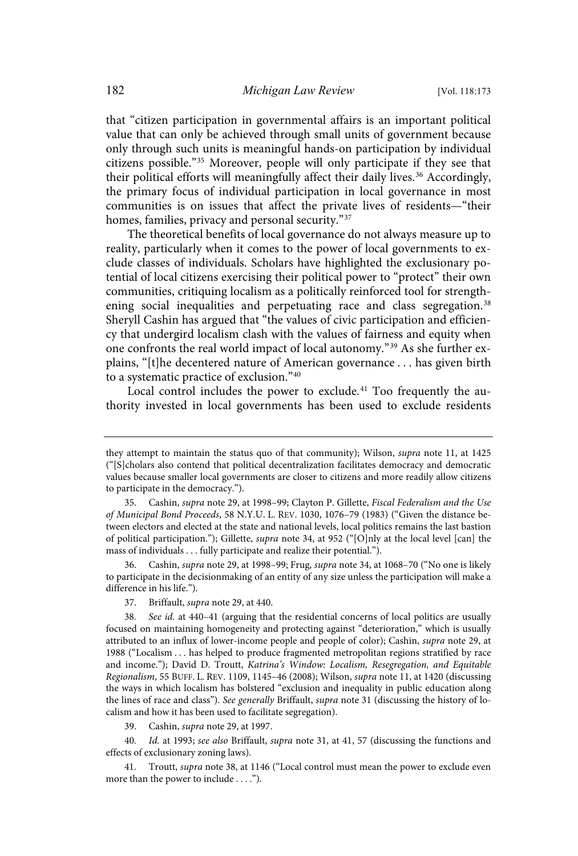that "citizen participation in governmental affairs is an important political value that can only be achieved through small units of government because only through such units is meaningful hands-on participation by individual citizens possible." <sup>35</sup> Moreover, people will only participate if they see that their political efforts will meaningfully affect their daily lives.<sup>36</sup> Accordingly, the primary focus of individual participation in local governance in most communities is on issues that affect the private lives of residents—"their homes, families, privacy and personal security."<sup>37</sup>

The theoretical benefits of local governance do not always measure up to reality, particularly when it comes to the power of local governments to exclude classes of individuals. Scholars have highlighted the exclusionary potential of local citizens exercising their political power to "protect" their own communities, critiquing localism as a politically reinforced tool for strengthening social inequalities and perpetuating race and class segregation.<sup>38</sup> Sheryll Cashin has argued that "the values of civic participation and efficiency that undergird localism clash with the values of fairness and equity when one confronts the real world impact of local autonomy."<sup>39</sup> As she further explains, "[t]he decentered nature of American governance . . . has given birth to a systematic practice of exclusion." 40

Local control includes the power to exclude.<sup>41</sup> Too frequently the authority invested in local governments has been used to exclude residents

36. Cashin, supra note 29, at 1998–99; Frug, supra note 34, at 1068–70 ("No one is likely to participate in the decisionmaking of an entity of any size unless the participation will make a difference in his life.").

37. Briffault, supra note 29, at 440.

38. See id. at 440-41 (arguing that the residential concerns of local politics are usually focused on maintaining homogeneity and protecting against "deterioration," which is usually attributed to an influx of lower-income people and people of color); Cashin, *supra* note 29, at 1988 ("Localism . . . has helped to produce fragmented metropolitan regions stratified by race and income."); David D. Troutt, Katrina's Window: Localism, Resegregation, and Equitable Regionalism, 55 BUFF. L. REV. 1109, 1145–46 (2008); Wilson, supra note 11, at 1420 (discussing the ways in which localism has bolstered "exclusion and inequality in public education along the lines of race and class"). See generally Briffault, supra note 31 (discussing the history of localism and how it has been used to facilitate segregation).

39. Cashin, supra note 29, at 1997.

40. Id. at 1993; see also Briffault, supra note 31, at 41, 57 (discussing the functions and effects of exclusionary zoning laws).

41. Troutt, supra note 38, at 1146 ("Local control must mean the power to exclude even more than the power to include . . . .").

they attempt to maintain the status quo of that community); Wilson, *supra* note 11, at 1425 ("[S]cholars also contend that political decentralization facilitates democracy and democratic values because smaller local governments are closer to citizens and more readily allow citizens to participate in the democracy.").

<sup>35.</sup> Cashin, supra note 29, at 1998–99; Clayton P. Gillette, Fiscal Federalism and the Use of Municipal Bond Proceeds, 58 N.Y.U. L. REV. 1030, 1076–79 (1983) ("Given the distance between electors and elected at the state and national levels, local politics remains the last bastion of political participation."); Gillette, *supra* note 34, at 952 ("[O]nly at the local level [can] the mass of individuals . . . fully participate and realize their potential.").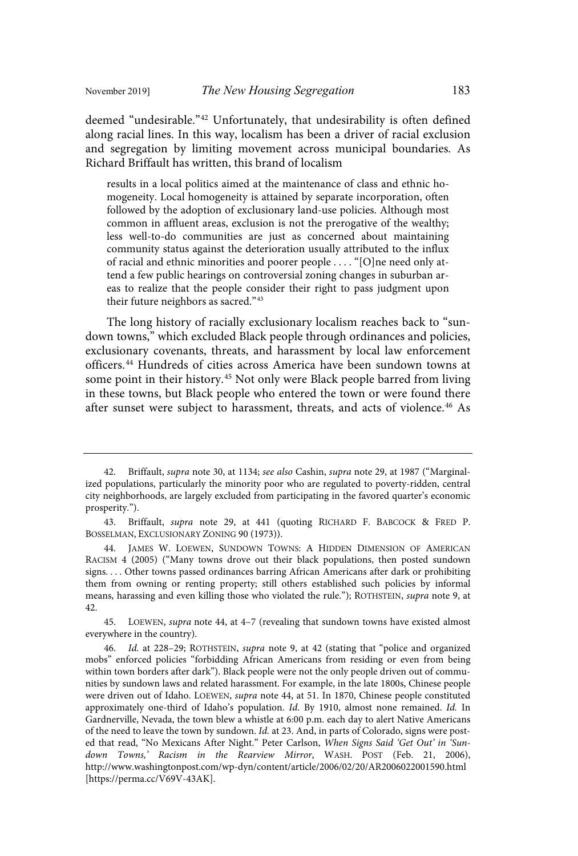deemed "undesirable." <sup>42</sup> Unfortunately, that undesirability is often defined along racial lines. In this way, localism has been a driver of racial exclusion and segregation by limiting movement across municipal boundaries. As Richard Briffault has written, this brand of localism

results in a local politics aimed at the maintenance of class and ethnic homogeneity. Local homogeneity is attained by separate incorporation, often followed by the adoption of exclusionary land-use policies. Although most common in affluent areas, exclusion is not the prerogative of the wealthy; less well-to-do communities are just as concerned about maintaining community status against the deterioration usually attributed to the influx of racial and ethnic minorities and poorer people . . . . "[O]ne need only attend a few public hearings on controversial zoning changes in suburban areas to realize that the people consider their right to pass judgment upon their future neighbors as sacred." 43

The long history of racially exclusionary localism reaches back to "sundown towns," which excluded Black people through ordinances and policies, exclusionary covenants, threats, and harassment by local law enforcement officers.<sup>44</sup> Hundreds of cities across America have been sundown towns at some point in their history.<sup>45</sup> Not only were Black people barred from living in these towns, but Black people who entered the town or were found there after sunset were subject to harassment, threats, and acts of violence. <sup>46</sup> As

45. LOEWEN, supra note 44, at 4–7 (revealing that sundown towns have existed almost everywhere in the country).

<sup>42.</sup> Briffault, supra note 30, at 1134; see also Cashin, supra note 29, at 1987 ("Marginalized populations, particularly the minority poor who are regulated to poverty-ridden, central city neighborhoods, are largely excluded from participating in the favored quarter's economic prosperity.").

<sup>43.</sup> Briffault, supra note 29, at 441 (quoting RICHARD F. BABCOCK & FRED P. BOSSELMAN, EXCLUSIONARY ZONING 90 (1973)).

<sup>44.</sup> JAMES W. LOEWEN, SUNDOWN TOWNS: A HIDDEN DIMENSION OF AMERICAN RACISM 4 (2005) ("Many towns drove out their black populations, then posted sundown signs. . . . Other towns passed ordinances barring African Americans after dark or prohibiting them from owning or renting property; still others established such policies by informal means, harassing and even killing those who violated the rule."); ROTHSTEIN, supra note 9, at 42.

<sup>46.</sup> Id. at 228-29; ROTHSTEIN, supra note 9, at 42 (stating that "police and organized mobs" enforced policies "forbidding African Americans from residing or even from being within town borders after dark"). Black people were not the only people driven out of communities by sundown laws and related harassment. For example, in the late 1800s, Chinese people were driven out of Idaho. LOEWEN, supra note 44, at 51. In 1870, Chinese people constituted approximately one-third of Idaho's population. Id. By 1910, almost none remained. Id. In Gardnerville, Nevada, the town blew a whistle at 6:00 p.m. each day to alert Native Americans of the need to leave the town by sundown. Id. at 23. And, in parts of Colorado, signs were posted that read, "No Mexicans After Night." Peter Carlson, When Signs Said 'Get Out' in 'Sundown Towns,' Racism in the Rearview Mirror, WASH. POST (Feb. 21, 2006), http://www.washingtonpost.com/wp-dyn/content/article/2006/02/20/AR2006022001590.html [https://perma.cc/V69V-43AK].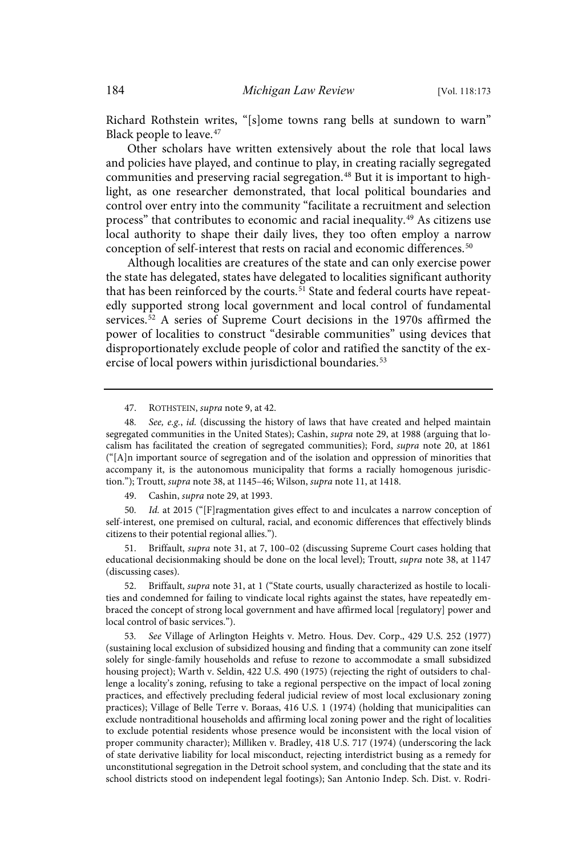Richard Rothstein writes, "[s]ome towns rang bells at sundown to warn" Black people to leave. 47

Other scholars have written extensively about the role that local laws and policies have played, and continue to play, in creating racially segregated communities and preserving racial segregation.<sup>48</sup> But it is important to highlight, as one researcher demonstrated, that local political boundaries and control over entry into the community "facilitate a recruitment and selection process" that contributes to economic and racial inequality.<sup>49</sup> As citizens use local authority to shape their daily lives, they too often employ a narrow conception of self-interest that rests on racial and economic differences.<sup>50</sup>

Although localities are creatures of the state and can only exercise power the state has delegated, states have delegated to localities significant authority that has been reinforced by the courts.<sup>51</sup> State and federal courts have repeatedly supported strong local government and local control of fundamental services. <sup>52</sup> A series of Supreme Court decisions in the 1970s affirmed the power of localities to construct "desirable communities" using devices that disproportionately exclude people of color and ratified the sanctity of the exercise of local powers within jurisdictional boundaries.<sup>53</sup>

47. ROTHSTEIN, supra note 9, at 42.

49. Cashin, supra note 29, at 1993.

50 . Id . at 2015 ("[F]ragmentation gives effect to and inculcates a narrow conception of self-interest, one premised on cultural, racial, and economic differences that effectively blinds citizens to their potential regional allies.").

51. Briffault, supra note 31, at 7, 100–02 (discussing Supreme Court cases holding that educational decisionmaking should be done on the local level); Troutt, supra note 38, at 1147 (discussing cases).

52. Briffault, supra note 31, at 1 ("State courts, usually characterized as hostile to localities and condemned for failing to vindicate local rights against the states, have repeatedly embraced the concept of strong local government and have affirmed local [regulatory] power and local control of basic services.").

See Village of Arlington Heights v. Metro. Hous. Dev. Corp., 429 U.S. 252 (1977) (sustaining local exclusion of subsidized housing and finding that a community can zone itself solely for single-family households and refuse to rezone to accommodate a small subsidized housing project); Warth v. Seldin, 422 U.S. 490 (1975) (rejecting the right of outsiders to challenge a locality's zoning, refusing to take a regional perspective on the impact of local zoning practices, and effectively precluding federal judicial review of most local exclusionary zoning practices); Village of Belle Terre v. Boraas, 416 U.S. 1 (1974) (holding that municipalities can exclude nontraditional households and affirming local zoning power and the right of localities to exclude potential residents whose presence would be inconsistent with the local vision of proper community character); Milliken v. Bradley, 418 U.S. 717 (1974) (underscoring the lack of state derivative liability for local misconduct, rejecting interdistrict busing as a remedy for unconstitutional segregation in the Detroit school system, and concluding that the state and its school districts stood on independent legal footings); San Antonio Indep. Sch. Dist. v. Rodri-

<sup>48.</sup> See, e.g., id. (discussing the history of laws that have created and helped maintain segregated communities in the United States); Cashin, supra note 29, at 1988 (arguing that localism has facilitated the creation of segregated communities); Ford, supra note 20, at 1861 ("[A]n important source of segregation and of the isolation and oppression of minorities that accompany it, is the autonomous municipality that forms a racially homogenous jurisdiction."); Troutt, supra note 38, at 1145–46; Wilson, supra note 11, at 1418.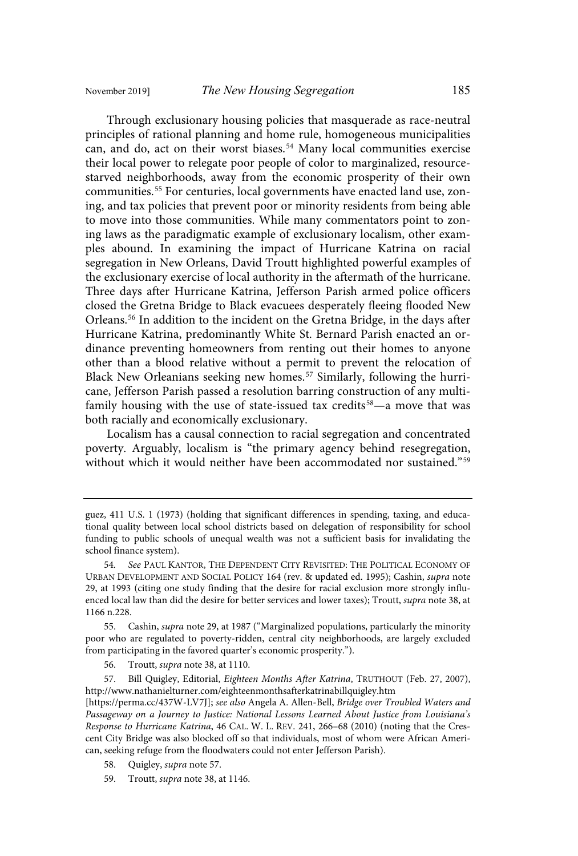Through exclusionary housing policies that masquerade as race-neutral principles of rational planning and home rule, homogeneous municipalities can, and do, act on their worst biases.<sup>54</sup> Many local communities exercise their local power to relegate poor people of color to marginalized, resourcestarved neighborhoods, away from the economic prosperity of their own communities.<sup>55</sup> For centuries, local governments have enacted land use, zoning, and tax policies that prevent poor or minority residents from being able to move into those communities. While many commentators point to zoning laws as the paradigmatic example of exclusionary localism, other examples abound. In examining the impact of Hurricane Katrina on racial segregation in New Orleans, David Troutt highlighted powerful examples of the exclusionary exercise of local authority in the aftermath of the hurricane. Three days after Hurricane Katrina, Jefferson Parish armed police officers closed the Gretna Bridge to Black evacuees desperately fleeing flooded New Orleans. <sup>56</sup> In addition to the incident on the Gretna Bridge, in the days after Hurricane Katrina, predominantly White St. Bernard Parish enacted an ordinance preventing homeowners from renting out their homes to anyone other than a blood relative without a permit to prevent the relocation of Black New Orleanians seeking new homes. <sup>57</sup> Similarly, following the hurricane, Jefferson Parish passed a resolution barring construction of any multifamily housing with the use of state-issued tax credits<sup>58</sup>—a move that was both racially and economically exclusionary.

Localism has a causal connection to racial segregation and concentrated poverty. Arguably, localism is "the primary agency behind resegregation, without which it would neither have been accommodated nor sustained."<sup>59</sup>

56. Troutt, supra note 38, at 1110.

- 58. Quigley, supra note 57.
- 59. Troutt, supra note 38, at 1146.

guez, 411 U.S. 1 (1973) (holding that significant differences in spending, taxing, and educational quality between local school districts based on delegation of responsibility for school funding to public schools of unequal wealth was not a sufficient basis for invalidating the school finance system).

<sup>54.</sup> See PAUL KANTOR, THE DEPENDENT CITY REVISITED: THE POLITICAL ECONOMY OF URBAN DEVELOPMENT AND SOCIAL POLICY 164 (rev. & updated ed. 1995); Cashin, supra note 29, at 1993 (citing one study finding that the desire for racial exclusion more strongly influenced local law than did the desire for better services and lower taxes); Troutt, supra note 38, at 1166 n.228.

<sup>55.</sup> Cashin, supra note 29, at 1987 ("Marginalized populations, particularly the minority poor who are regulated to poverty-ridden, central city neighborhoods, are largely excluded from participating in the favored quarter's economic prosperity.").

<sup>57.</sup> Bill Quigley, Editorial, Eighteen Months After Katrina, TRUTHOUT (Feb. 27, 2007), http://www.nathanielturner.com/eighteenmonthsafterkatrinabillquigley.htm

<sup>[</sup>https://perma.cc/437W-LV7J]; see also Angela A. Allen-Bell, Bridge over Troubled Waters and Passageway on a Journey to Justice: National Lessons Learned About Justice from Louisiana's Response to Hurricane Katrina, 46 CAL. W. L. REV. 241, 266–68 (2010) (noting that the Crescent City Bridge was also blocked off so that individuals, most of whom were African American, seeking refuge from the floodwaters could not enter Jefferson Parish).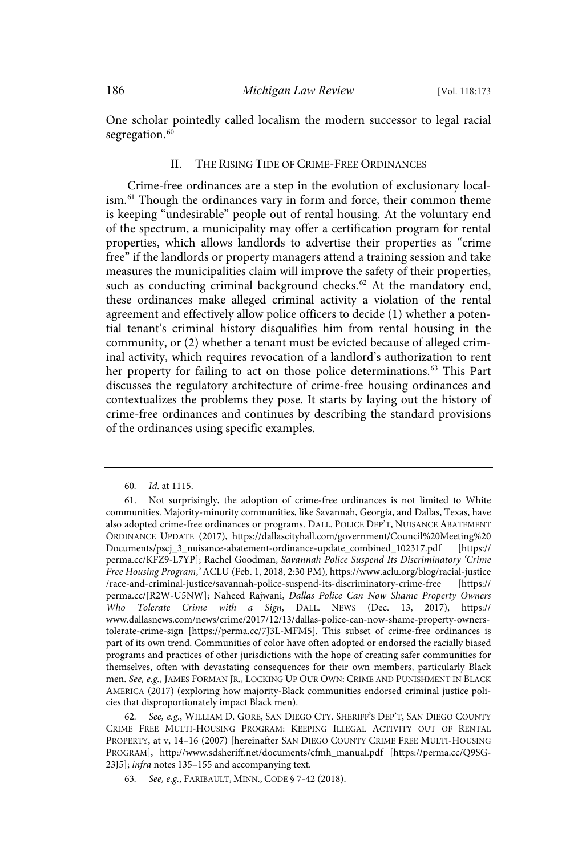One scholar pointedly called localism the modern successor to legal racial segregation.<sup>60</sup>

#### II. THE RISING TIDE OF CRIME-FREE ORDINANCES

Crime-free ordinances are a step in the evolution of exclusionary localism.<sup>61</sup> Though the ordinances vary in form and force, their common theme is keeping "undesirable" people out of rental housing. At the voluntary end of the spectrum, a municipality may offer a certification program for rental properties, which allows landlords to advertise their properties as "crime free" if the landlords or property managers attend a training session and take measures the municipalities claim will improve the safety of their properties, such as conducting criminal background checks. <sup>62</sup> At the mandatory end, these ordinances make alleged criminal activity a violation of the rental agreement and effectively allow police officers to decide (1) whether a potential tenant's criminal history disqualifies him from rental housing in the community, or (2) whether a tenant must be evicted because of alleged criminal activity, which requires revocation of a landlord's authorization to rent her property for failing to act on those police determinations. <sup>63</sup> This Part discusses the regulatory architecture of crime-free housing ordinances and contextualizes the problems they pose. It starts by laying out the history of crime-free ordinances and continues by describing the standard provisions of the ordinances using specific examples.

<sup>60.</sup> *Id.* at 1115.

<sup>61.</sup> Not surprisingly, the adoption of crime-free ordinances is not limited to White communities. Majority-minority communities, like Savannah, Georgia, and Dallas, Texas, have also adopted crime-free ordinances or programs. DALL. POLICE DEP'T, NUISANCE ABATEMENT ORDINANCE UPDATE (2017), https://dallascityhall.com/government/Council%20Meeting%20 Documents/pscj\_3\_nuisance-abatement-ordinance-update\_combined\_102317.pdf [https:// perma.cc/KFZ9-L7YP]; Rachel Goodman, Savannah Police Suspend Its Discriminatory 'Crime Free Housing Program,' ACLU (Feb. 1, 2018, 2:30 PM), https://www.aclu.org/blog/racial-justice /race-and-criminal-justice/savannah-police-suspend-its-discriminatory-crime-free [https:// perma.cc/JR2W-U5NW]; Naheed Rajwani, Dallas Police Can Now Shame Property Owners Who Tolerate Crime with a Sign, DALL. NEWS (Dec. 13, 2017), https:// www.dallasnews.com/news/crime/2017/12/13/dallas-police-can-now-shame-property-ownerstolerate-crime-sign [https://perma.cc/7J3L-MFM5]. This subset of crime-free ordinances is part of its own trend. Communities of color have often adopted or endorsed the racially biased programs and practices of other jurisdictions with the hope of creating safer communities for themselves, often with devastating consequences for their own members, particularly Black men. See, e.g., JAMES FORMAN JR., LOCKING UP OUR OWN: CRIME AND PUNISHMENT IN BLACK AMERICA (2017) (exploring how majority-Black communities endorsed criminal justice policies that disproportionately impact Black men).

See, e.g., WILLIAM D. GORE, SAN DIEGO CTY. SHERIFF'S DEP'T, SAN DIEGO COUNTY CRIME FREE MULTI-HOUSING PROGRAM: KEEPING ILLEGAL ACTIVITY OUT OF RENTAL PROPERTY, at v, 14–16 (2007) [hereinafter SAN DIEGO COUNTY CRIME FREE MULTI-HOUSING PROGRAM], http://www.sdsheriff.net/documents/cfmh\_manual.pdf [https://perma.cc/Q9SG-23J5]; infra notes 135–155 and accompanying text.

<sup>63.</sup> See, e.g., FARIBAULT, MINN., CODE § 7-42 (2018).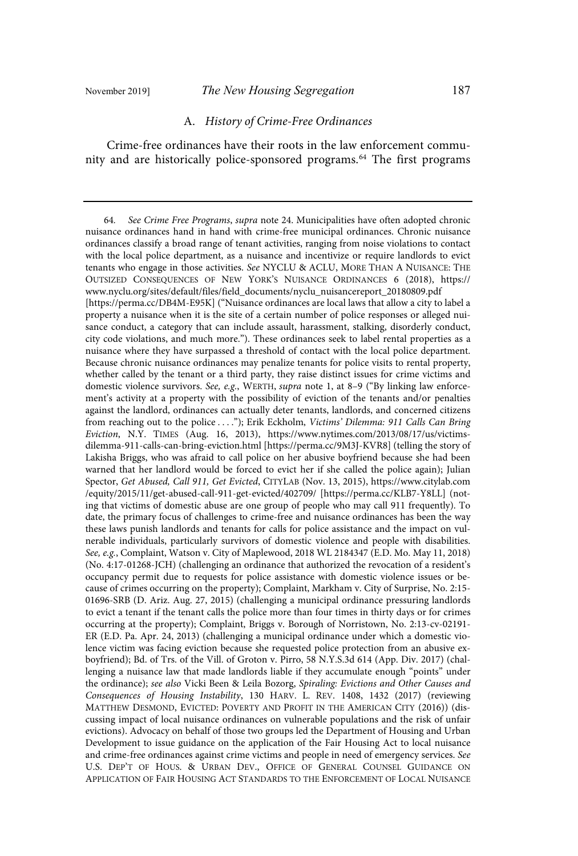#### A. History of Crime-Free Ordinances

Crime-free ordinances have their roots in the law enforcement community and are historically police-sponsored programs.<sup>64</sup> The first programs

<sup>64.</sup> See Crime Free Programs, supra note 24. Municipalities have often adopted chronic nuisance ordinances hand in hand with crime-free municipal ordinances. Chronic nuisance ordinances classify a broad range of tenant activities, ranging from noise violations to contact with the local police department, as a nuisance and incentivize or require landlords to evict tenants who engage in those activities. See NYCLU & ACLU, MORE THAN A NUISANCE: THE OUTSIZED CONSEQUENCES OF NEW YORK'S NUISANCE ORDINANCES 6 (2018), https:// www.nyclu.org/sites/default/files/field\_documents/nyclu\_nuisancereport\_20180809.pdf [https://perma.cc/DB4M-E95K] ("Nuisance ordinances are local laws that allow a city to label a property a nuisance when it is the site of a certain number of police responses or alleged nuisance conduct, a category that can include assault, harassment, stalking, disorderly conduct, city code violations, and much more."). These ordinances seek to label rental properties as a nuisance where they have surpassed a threshold of contact with the local police department. Because chronic nuisance ordinances may penalize tenants for police visits to rental property, whether called by the tenant or a third party, they raise distinct issues for crime victims and domestic violence survivors. See, e.g., WERTH, supra note 1, at 8-9 ("By linking law enforcement's activity at a property with the possibility of eviction of the tenants and/or penalties against the landlord, ordinances can actually deter tenants, landlords, and concerned citizens from reaching out to the police ...."); Erik Eckholm, Victims' Dilemma: 911 Calls Can Bring Eviction, N.Y. TIMES (Aug. 16, 2013), https://www.nytimes.com/2013/08/17/us/victimsdilemma-911-calls-can-bring-eviction.html [https://perma.cc/9M3J-KVR8] (telling the story of Lakisha Briggs, who was afraid to call police on her abusive boyfriend because she had been warned that her landlord would be forced to evict her if she called the police again); Julian Spector, Get Abused, Call 911, Get Evicted, CITYLAB (Nov. 13, 2015), https://www.citylab.com /equity/2015/11/get-abused-call-911-get-evicted/402709/ [https://perma.cc/KLB7-Y8LL] (noting that victims of domestic abuse are one group of people who may call 911 frequently). To date, the primary focus of challenges to crime-free and nuisance ordinances has been the way these laws punish landlords and tenants for calls for police assistance and the impact on vulnerable individuals, particularly survivors of domestic violence and people with disabilities. See, e.g., Complaint, Watson v. City of Maplewood, 2018 WL 2184347 (E.D. Mo. May 11, 2018) (No. 4:17-01268-JCH) (challenging an ordinance that authorized the revocation of a resident's occupancy permit due to requests for police assistance with domestic violence issues or because of crimes occurring on the property); Complaint, Markham v. City of Surprise, No. 2:15- 01696-SRB (D. Ariz. Aug. 27, 2015) (challenging a municipal ordinance pressuring landlords to evict a tenant if the tenant calls the police more than four times in thirty days or for crimes occurring at the property); Complaint, Briggs v. Borough of Norristown, No. 2:13-cv-02191- ER (E.D. Pa. Apr. 24, 2013) (challenging a municipal ordinance under which a domestic violence victim was facing eviction because she requested police protection from an abusive exboyfriend); Bd. of Trs. of the Vill. of Groton v. Pirro, 58 N.Y.S.3d 614 (App. Div. 2017) (challenging a nuisance law that made landlords liable if they accumulate enough "points" under the ordinance); see also Vicki Been & Leila Bozorg, Spiraling: Evictions and Other Causes and Consequences of Housing Instability, 130 HARV. L. REV. 1408, 1432 (2017) (reviewing MATTHEW DESMOND, EVICTED: POVERTY AND PROFIT IN THE AMERICAN CITY (2016)) (discussing impact of local nuisance ordinances on vulnerable populations and the risk of unfair evictions). Advocacy on behalf of those two groups led the Department of Housing and Urban Development to issue guidance on the application of the Fair Housing Act to local nuisance and crime-free ordinances against crime victims and people in need of emergency services. See U.S. DEP'T OF HOUS. & URBAN DEV., OFFICE OF GENERAL COUNSEL GUIDANCE ON APPLICATION OF FAIR HOUSING ACT STANDARDS TO THE ENFORCEMENT OF LOCAL NUISANCE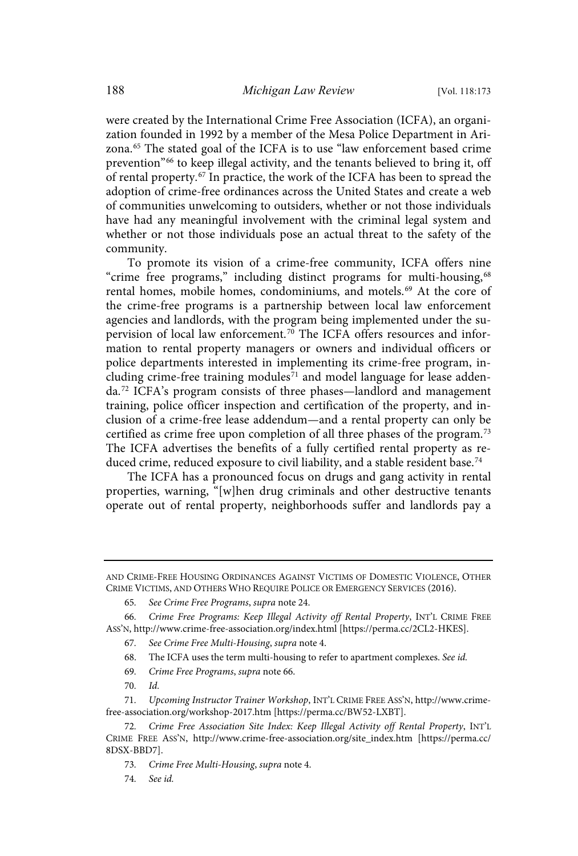were created by the International Crime Free Association (ICFA), an organization founded in 1992 by a member of the Mesa Police Department in Arizona. <sup>65</sup> The stated goal of the ICFA is to use "law enforcement based crime prevention" <sup>66</sup> to keep illegal activity, and the tenants believed to bring it, off of rental property. <sup>67</sup> In practice, the work of the ICFA has been to spread the adoption of crime-free ordinances across the United States and create a web of communities unwelcoming to outsiders, whether or not those individuals have had any meaningful involvement with the criminal legal system and whether or not those individuals pose an actual threat to the safety of the community.

To promote its vision of a crime-free community, ICFA offers nine "crime free programs," including distinct programs for multi-housing,<sup>68</sup> rental homes, mobile homes, condominiums, and motels.<sup>69</sup> At the core of the crime-free programs is a partnership between local law enforcement agencies and landlords, with the program being implemented under the supervision of local law enforcement.<sup>70</sup> The ICFA offers resources and information to rental property managers or owners and individual officers or police departments interested in implementing its crime-free program, including crime-free training modules<sup>71</sup> and model language for lease addenda. <sup>72</sup> ICFA's program consists of three phases—landlord and management training, police officer inspection and certification of the property, and inclusion of a crime-free lease addendum—and a rental property can only be certified as crime free upon completion of all three phases of the program.<sup>73</sup> The ICFA advertises the benefits of a fully certified rental property as reduced crime, reduced exposure to civil liability, and a stable resident base.<sup>74</sup>

The ICFA has a pronounced focus on drugs and gang activity in rental properties, warning, "[w]hen drug criminals and other destructive tenants operate out of rental property, neighborhoods suffer and landlords pay a

- 68. The ICFA uses the term multi-housing to refer to apartment complexes. See id.
- 69. Crime Free Programs, supra note 66.
- 70. Id.

74. See id.

AND CRIME-FREE HOUSING ORDINANCES AGAINST VICTIMS OF DOMESTIC VIOLENCE, OTHER CRIME VICTIMS, AND OTHERS WHO REQUIRE POLICE OR EMERGENCY SERVICES (2016).

<sup>65</sup> . See Crime Free Programs, supra note 24.

<sup>66</sup> . Crime Free Programs: Keep Illegal Activity off Rental Property, INT'L CRIME FREE ASS'N, http://www.crime-free-association.org/index.html [https://perma.cc/2CL2-HKES].

<sup>67.</sup> See Crime Free Multi-Housing, supra note 4.

<sup>71.</sup> Upcoming Instructor Trainer Workshop, INT'L CRIME FREE ASS'N, http://www.crimefree-association.org/workshop-2017.htm [https://perma.cc/BW52-LXBT].

<sup>72.</sup> Crime Free Association Site Index: Keep Illegal Activity off Rental Property, INT'L CRIME FREE ASS'N, http://www.crime-free-association.org/site\_index.htm [https://perma.cc/ 8DSX-BBD7].

<sup>73.</sup> Crime Free Multi-Housing, supra note 4.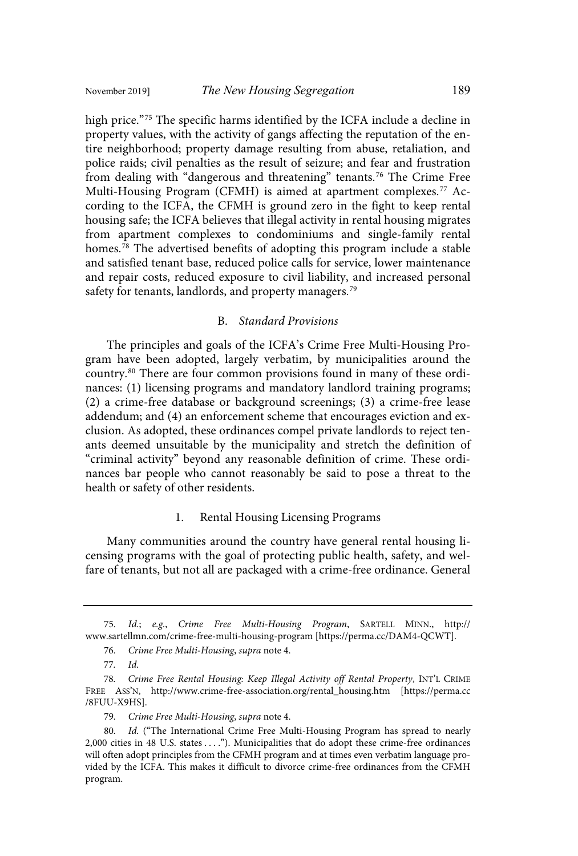high price."<sup>75</sup> The specific harms identified by the ICFA include a decline in property values, with the activity of gangs affecting the reputation of the entire neighborhood; property damage resulting from abuse, retaliation, and police raids; civil penalties as the result of seizure; and fear and frustration from dealing with "dangerous and threatening" tenants.<sup>76</sup> The Crime Free Multi-Housing Program (CFMH) is aimed at apartment complexes.<sup>77</sup> According to the ICFA, the CFMH is ground zero in the fight to keep rental housing safe; the ICFA believes that illegal activity in rental housing migrates from apartment complexes to condominiums and single-family rental homes.<sup>78</sup> The advertised benefits of adopting this program include a stable and satisfied tenant base, reduced police calls for service, lower maintenance and repair costs, reduced exposure to civil liability, and increased personal safety for tenants, landlords, and property managers.<sup>79</sup>

#### B. Standard Provisions

The principles and goals of the ICFA's Crime Free Multi-Housing Program have been adopted, largely verbatim, by municipalities around the country.<sup>80</sup> There are four common provisions found in many of these ordinances: (1) licensing programs and mandatory landlord training programs; (2) a crime-free database or background screenings; (3) a crime-free lease addendum; and (4) an enforcement scheme that encourages eviction and exclusion. As adopted, these ordinances compel private landlords to reject tenants deemed unsuitable by the municipality and stretch the definition of "criminal activity" beyond any reasonable definition of crime. These ordinances bar people who cannot reasonably be said to pose a threat to the health or safety of other residents.

#### 1. Rental Housing Licensing Programs

Many communities around the country have general rental housing licensing programs with the goal of protecting public health, safety, and welfare of tenants, but not all are packaged with a crime-free ordinance. General

76. Crime Free Multi-Housing, supra note 4.

<sup>75.</sup> Id.; e.g., Crime Free Multi-Housing Program, SARTELL MINN., http:// www.sartellmn.com/crime-free-multi-housing-program [https://perma.cc/DAM4-QCWT].

<sup>77.</sup> Id.

<sup>78.</sup> Crime Free Rental Housing: Keep Illegal Activity off Rental Property, INT'L CRIME FREE ASS'N, http://www.crime-free-association.org/rental\_housing.htm [https://perma.cc /8FUU-X9HS].

<sup>79.</sup> Crime Free Multi-Housing, supra note 4.

<sup>80.</sup> Id. ("The International Crime Free Multi-Housing Program has spread to nearly 2,000 cities in 48 U.S. states . . . ."). Municipalities that do adopt these crime-free ordinances will often adopt principles from the CFMH program and at times even verbatim language provided by the ICFA. This makes it difficult to divorce crime-free ordinances from the CFMH program.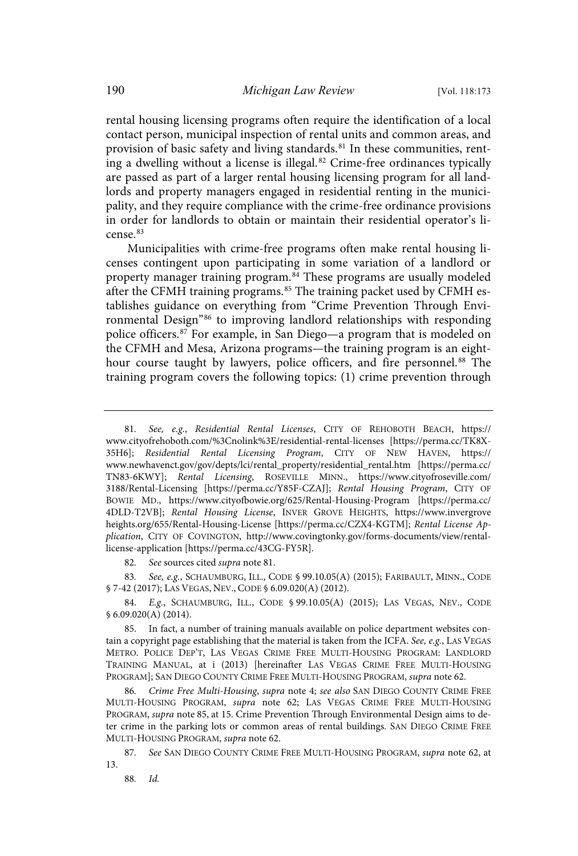rental housing licensing programs often require the identification of a local contact person, municipal inspection of rental units and common areas, and provision of basic safety and living standards.<sup>81</sup> In these communities, renting a dwelling without a license is illegal. <sup>82</sup> Crime-free ordinances typically are passed as part of a larger rental housing licensing program for all landlords and property managers engaged in residential renting in the municipality, and they require compliance with the crime-free ordinance provisions in order for landlords to obtain or maintain their residential operator's license. 83

Municipalities with crime-free programs often make rental housing licenses contingent upon participating in some variation of a landlord or property manager training program. <sup>84</sup> These programs are usually modeled after the CFMH training programs.<sup>85</sup> The training packet used by CFMH establishes guidance on everything from "Crime Prevention Through Environmental Design"<sup>86</sup> to improving landlord relationships with responding police officers.<sup>87</sup> For example, in San Diego—a program that is modeled on the CFMH and Mesa, Arizona programs—the training program is an eighthour course taught by lawyers, police officers, and fire personnel.<sup>88</sup> The training program covers the following topics: (1) crime prevention through

82. See sources cited supra note 81.

83. See, e.g., SCHAUMBURG, ILL., CODE § 99.10.05(A) (2015); FARIBAULT, MINN., CODE § 7-42 (2017); LAS VEGAS, NEV., CODE § 6.09.020(A) (2012).

84. E.g., SCHAUMBURG, ILL., CODE § 99.10.05(A) (2015); LAS VEGAS, NEV., CODE § 6.09.020(A) (2014).

85. In fact, a number of training manuals available on police department websites contain a copyright page establishing that the material is taken from the ICFA. See, e.g., LAS VEGAS METRO. POLICE DEP'T, LAS VEGAS CRIME FREE MULTI-HOUSING PROGRAM: LANDLORD TRAINING MANUAL, at i (2013) [hereinafter LAS VEGAS CRIME FREE MULTI-HOUSING PROGRAM]; SAN DIEGO COUNTY CRIME FREE MULTI-HOUSING PROGRAM, supra note 62.

Crime Free Multi-Housing, supra note 4; see also SAN DIEGO COUNTY CRIME FREE MULTI-HOUSING PROGRAM, supra note 62; LAS VEGAS CRIME FREE MULTI-HOUSING PROGRAM, supra note 85, at 15. Crime Prevention Through Environmental Design aims to deter crime in the parking lots or common areas of rental buildings. SAN DIEGO CRIME FREE MULTI-HOUSING PROGRAM, supra note 62.

87. See SAN DIEGO COUNTY CRIME FREE MULTI-HOUSING PROGRAM, supra note 62, at 13.

88. Id.

<sup>81.</sup> See, e.g., Residential Rental Licenses, CITY OF REHOBOTH BEACH, https:// www.cityofrehoboth.com/%3Cnolink%3E/residential-rental-licenses [https://perma.cc/TK8X-35H6]; Residential Rental Licensing Program, CITY OF NEW HAVEN, https:// www.newhavenct.gov/gov/depts/lci/rental\_property/residential\_rental.htm [https://perma.cc/ TN83-6KWY]; Rental Licensing, ROSEVILLE MINN., https://www.cityofroseville.com/ 3188/Rental-Licensing [https://perma.cc/Y85F-CZAJ]; Rental Housing Program, CITY OF BOWIE MD., https://www.cityofbowie.org/625/Rental-Housing-Program [https://perma.cc/ 4DLD-T2VB]; Rental Housing License, INVER GROVE HEIGHTS, https://www.invergrove heights.org/655/Rental-Housing-License [https://perma.cc/CZX4-KGTM]; Rental License Application, CITY OF COVINGTON, http://www.covingtonky.gov/forms-documents/view/rentallicense-application [https://perma.cc/43CG-FY5R].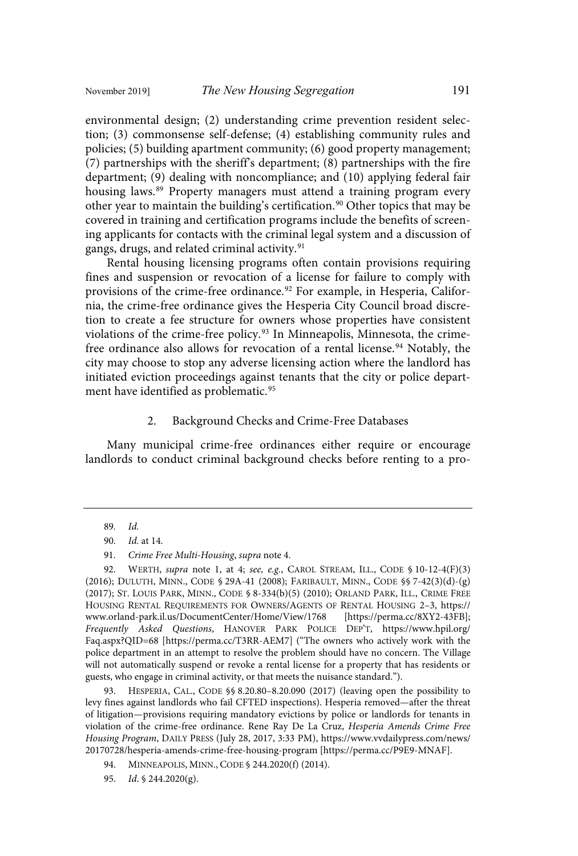environmental design; (2) understanding crime prevention resident selection; (3) commonsense self-defense; (4) establishing community rules and policies; (5) building apartment community; (6) good property management; (7) partnerships with the sheriff's department; (8) partnerships with the fire department; (9) dealing with noncompliance; and (10) applying federal fair housing laws. <sup>89</sup> Property managers must attend a training program every other year to maintain the building's certification.<sup>90</sup> Other topics that may be covered in training and certification programs include the benefits of screening applicants for contacts with the criminal legal system and a discussion of gangs, drugs, and related criminal activity.<sup>91</sup>

Rental housing licensing programs often contain provisions requiring fines and suspension or revocation of a license for failure to comply with provisions of the crime-free ordinance.<sup>92</sup> For example, in Hesperia, California, the crime-free ordinance gives the Hesperia City Council broad discretion to create a fee structure for owners whose properties have consistent violations of the crime-free policy. <sup>93</sup> In Minneapolis, Minnesota, the crimefree ordinance also allows for revocation of a rental license.<sup>94</sup> Notably, the city may choose to stop any adverse licensing action where the landlord has initiated eviction proceedings against tenants that the city or police department have identified as problematic.<sup>95</sup>

#### 2. Background Checks and Crime-Free Databases

Many municipal crime-free ordinances either require or encourage landlords to conduct criminal background checks before renting to a pro-

92. WERTH, supra note 1, at 4; see, e.g., CAROL STREAM, ILL., CODE § 10-12-4(F)(3) (2016); DULUTH, MINN., CODE § 29A-41 (2008); FARIBAULT, MINN., CODE §§ 7-42(3)(d)-(g) (2017); ST. LOUIS PARK, MINN., CODE § 8-334(b)(5) (2010); ORLAND PARK, ILL., CRIME FREE HOUSING RENTAL REQUIREMENTS FOR OWNERS/AGENTS OF RENTAL HOUSING 2–3, https:// www.orland-park.il.us/DocumentCenter/Home/View/1768 [https://perma.cc/8XY2-43FB]; Frequently Asked Questions, HANOVER PARK POLICE DEP'T, https://www.hpil.org/ Faq.aspx?QID=68 [https://perma.cc/T3RR-AEM7] ("The owners who actively work with the police department in an attempt to resolve the problem should have no concern. The Village will not automatically suspend or revoke a rental license for a property that has residents or guests, who engage in criminal activity, or that meets the nuisance standard.").

93. HESPERIA, CAL., CODE §§ 8.20.80–8.20.090 (2017) (leaving open the possibility to levy fines against landlords who fail CFTED inspections). Hesperia removed—after the threat of litigation—provisions requiring mandatory evictions by police or landlords for tenants in violation of the crime-free ordinance. Rene Ray De La Cruz, Hesperia Amends Crime Free Housing Program, DAILY PRESS (July 28, 2017, 3:33 PM), https://www.vvdailypress.com/news/ 20170728/hesperia-amends-crime-free-housing-program [https://perma.cc/P9E9-MNAF].

<sup>89.</sup> Id.

<sup>90.</sup> *Id.* at 14.

<sup>91.</sup> Crime Free Multi-Housing, supra note 4.

<sup>94.</sup> MINNEAPOLIS, MINN., CODE § 244.2020(f) (2014).

<sup>95.</sup> Id. § 244.2020(g).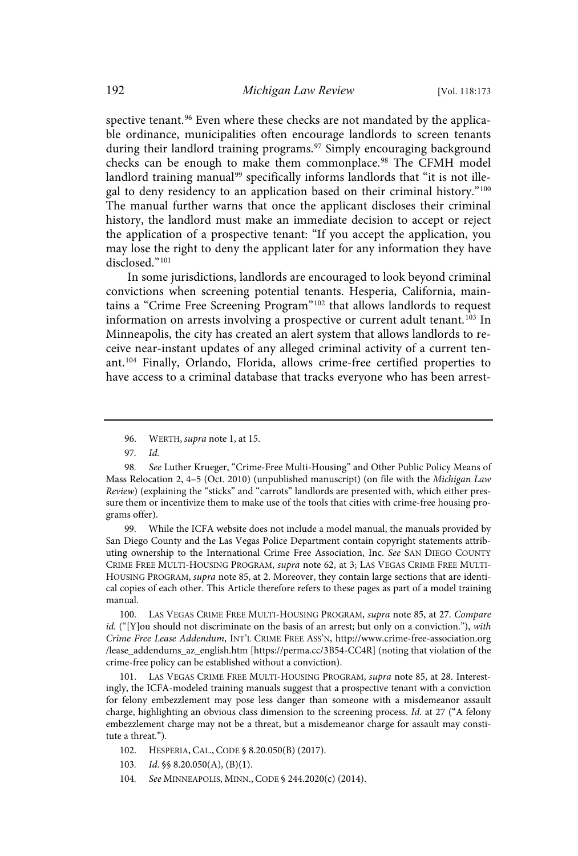spective tenant.<sup>96</sup> Even where these checks are not mandated by the applicable ordinance, municipalities often encourage landlords to screen tenants during their landlord training programs.<sup>97</sup> Simply encouraging background checks can be enough to make them commonplace.<sup>98</sup> The CFMH model landlord training manual<sup>99</sup> specifically informs landlords that "it is not illegal to deny residency to an application based on their criminal history."<sup>100</sup> The manual further warns that once the applicant discloses their criminal history, the landlord must make an immediate decision to accept or reject the application of a prospective tenant: "If you accept the application, you may lose the right to deny the applicant later for any information they have disclosed." 101

In some jurisdictions, landlords are encouraged to look beyond criminal convictions when screening potential tenants. Hesperia, California, maintains a "Crime Free Screening Program"<sup>102</sup> that allows landlords to request information on arrests involving a prospective or current adult tenant.<sup>103</sup> In Minneapolis, the city has created an alert system that allows landlords to receive near-instant updates of any alleged criminal activity of a current tenant. <sup>104</sup> Finally, Orlando, Florida, allows crime-free certified properties to have access to a criminal database that tracks everyone who has been arrest-

99. While the ICFA website does not include a model manual, the manuals provided by San Diego County and the Las Vegas Police Department contain copyright statements attributing ownership to the International Crime Free Association, Inc. See SAN DIEGO COUNTY CRIME FREE MULTI-HOUSING PROGRAM, supra note 62, at 3; LAS VEGAS CRIME FREE MULTI-HOUSING PROGRAM, supra note 85, at 2. Moreover, they contain large sections that are identical copies of each other. This Article therefore refers to these pages as part of a model training manual.

100. LAS VEGAS CRIME FREE MULTI-HOUSING PROGRAM, supra note 85, at 27. Compare id. ("[Y]ou should not discriminate on the basis of an arrest; but only on a conviction."), with Crime Free Lease Addendum, INT'L CRIME FREE ASS'N, http://www.crime-free-association.org /lease\_addendums\_az\_english.htm [https://perma.cc/3B54-CC4R] (noting that violation of the crime-free policy can be established without a conviction).

LAS VEGAS CRIME FREE MULTI-HOUSING PROGRAM, supra note 85, at 28. Interestingly, the ICFA-modeled training manuals suggest that a prospective tenant with a conviction for felony embezzlement may pose less danger than someone with a misdemeanor assault charge, highlighting an obvious class dimension to the screening process. Id. at 27 ("A felony embezzlement charge may not be a threat, but a misdemeanor charge for assault may constitute a threat.").

- 102. HESPERIA, CAL., CODE § 8.20.050(B) (2017).
- 103. Id. §§ 8.20.050(A), (B)(1).
- 104. See MINNEAPOLIS, MINN., CODE § 244.2020(c) (2014).

<sup>96.</sup> WERTH, *supra* note 1, at 15.

<sup>97.</sup> Id.

<sup>98.</sup> See Luther Krueger, "Crime-Free Multi-Housing" and Other Public Policy Means of Mass Relocation 2, 4–5 (Oct. 2010) (unpublished manuscript) (on file with the Michigan Law Review) (explaining the "sticks" and "carrots" landlords are presented with, which either pressure them or incentivize them to make use of the tools that cities with crime-free housing programs offer).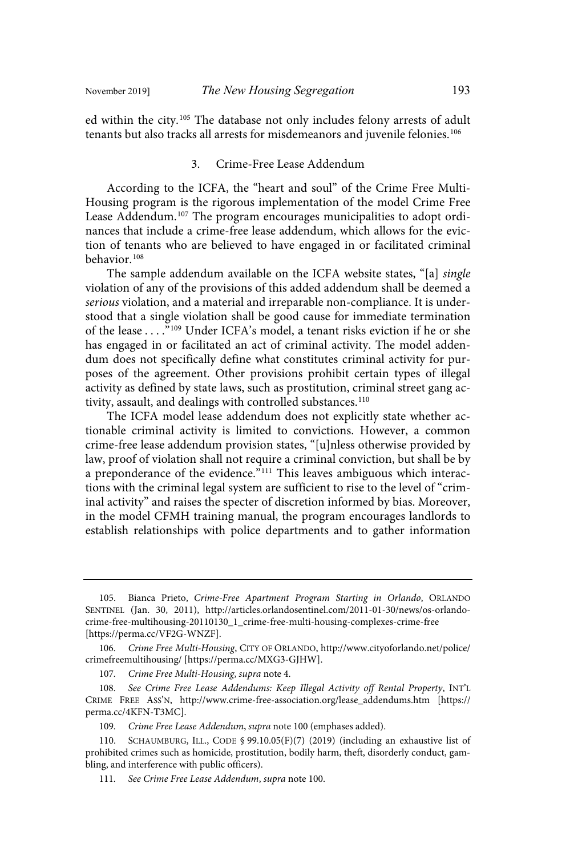ed within the city.<sup>105</sup> The database not only includes felony arrests of adult tenants but also tracks all arrests for misdemeanors and juvenile felonies.<sup>106</sup>

#### 3. Crime-Free Lease Addendum

According to the ICFA, the "heart and soul" of the Crime Free Multi-Housing program is the rigorous implementation of the model Crime Free Lease Addendum.<sup>107</sup> The program encourages municipalities to adopt ordinances that include a crime-free lease addendum, which allows for the eviction of tenants who are believed to have engaged in or facilitated criminal behavior. 108

The sample addendum available on the ICFA website states, "[a] single violation of any of the provisions of this added addendum shall be deemed a serious violation, and a material and irreparable non-compliance. It is understood that a single violation shall be good cause for immediate termination of the lease . . . ."<sup>109</sup> Under ICFA's model, a tenant risks eviction if he or she has engaged in or facilitated an act of criminal activity. The model addendum does not specifically define what constitutes criminal activity for purposes of the agreement. Other provisions prohibit certain types of illegal activity as defined by state laws, such as prostitution, criminal street gang activity, assault, and dealings with controlled substances.<sup>110</sup>

The ICFA model lease addendum does not explicitly state whether actionable criminal activity is limited to convictions. However, a common crime-free lease addendum provision states, "[u]nless otherwise provided by law, proof of violation shall not require a criminal conviction, but shall be by a preponderance of the evidence."<sup>111</sup> This leaves ambiguous which interactions with the criminal legal system are sufficient to rise to the level of "criminal activity" and raises the specter of discretion informed by bias. Moreover, in the model CFMH training manual, the program encourages landlords to establish relationships with police departments and to gather information

107. Crime Free Multi-Housing, supra note 4.

109. Crime Free Lease Addendum, supra note 100 (emphases added).

<sup>105.</sup> Bianca Prieto, Crime-Free Apartment Program Starting in Orlando, ORLANDO SENTINEL (Jan. 30, 2011), http://articles.orlandosentinel.com/2011-01-30/news/os-orlandocrime-free-multihousing-20110130\_1\_crime-free-multi-housing-complexes-crime-free [https://perma.cc/VF2G-WNZF].

<sup>106.</sup> Crime Free Multi-Housing, CITY OF ORLANDO, http://www.cityoforlando.net/police/ crimefreemultihousing/ [https://perma.cc/MXG3-GJHW].

<sup>108.</sup> See Crime Free Lease Addendums: Keep Illegal Activity off Rental Property, INT'L CRIME FREE ASS'N, http://www.crime-free-association.org/lease\_addendums.htm [https:// perma.cc/4KFN-T3MC].

<sup>110.</sup> SCHAUMBURG, ILL., CODE § 99.10.05(F)(7) (2019) (including an exhaustive list of prohibited crimes such as homicide, prostitution, bodily harm, theft, disorderly conduct, gambling, and interference with public officers).

<sup>111.</sup> See Crime Free Lease Addendum, supra note 100.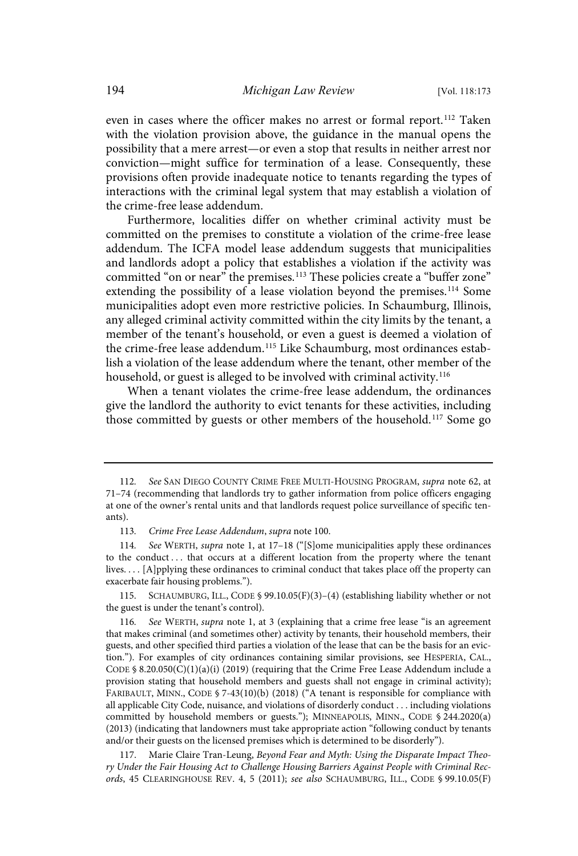even in cases where the officer makes no arrest or formal report.<sup>112</sup> Taken with the violation provision above, the guidance in the manual opens the possibility that a mere arrest—or even a stop that results in neither arrest nor conviction—might suffice for termination of a lease. Consequently, these provisions often provide inadequate notice to tenants regarding the types of interactions with the criminal legal system that may establish a violation of the crime-free lease addendum.

Furthermore, localities differ on whether criminal activity must be committed on the premises to constitute a violation of the crime-free lease addendum. The ICFA model lease addendum suggests that municipalities and landlords adopt a policy that establishes a violation if the activity was committed "on or near" the premises.<sup>113</sup> These policies create a "buffer zone" extending the possibility of a lease violation beyond the premises.<sup>114</sup> Some municipalities adopt even more restrictive policies. In Schaumburg, Illinois, any alleged criminal activity committed within the city limits by the tenant, a member of the tenant's household, or even a guest is deemed a violation of the crime-free lease addendum.<sup>115</sup> Like Schaumburg, most ordinances establish a violation of the lease addendum where the tenant, other member of the household, or guest is alleged to be involved with criminal activity.<sup>116</sup>

When a tenant violates the crime-free lease addendum, the ordinances give the landlord the authority to evict tenants for these activities, including those committed by guests or other members of the household.<sup>117</sup> Some go

115. SCHAUMBURG, ILL., CODE § 99.10.05(F)(3)–(4) (establishing liability whether or not the guest is under the tenant's control).

See WERTH, supra note 1, at 3 (explaining that a crime free lease "is an agreement that makes criminal (and sometimes other) activity by tenants, their household members, their guests, and other specified third parties a violation of the lease that can be the basis for an eviction."). For examples of city ordinances containing similar provisions, see HESPERIA, CAL., CODE § 8.20.050(C)(1)(a)(i) (2019) (requiring that the Crime Free Lease Addendum include a provision stating that household members and guests shall not engage in criminal activity); FARIBAULT, MINN., CODE § 7-43(10)(b) (2018) ("A tenant is responsible for compliance with all applicable City Code, nuisance, and violations of disorderly conduct . . . including violations committed by household members or guests."); MINNEAPOLIS, MINN., CODE § 244.2020(a) (2013) (indicating that landowners must take appropriate action "following conduct by tenants and/or their guests on the licensed premises which is determined to be disorderly").

117. Marie Claire Tran-Leung, Beyond Fear and Myth: Using the Disparate Impact Theory Under the Fair Housing Act to Challenge Housing Barriers Against People with Criminal Records, 45 CLEARINGHOUSE REV. 4, 5 (2011); see also SCHAUMBURG, ILL., CODE § 99.10.05(F)

<sup>112.</sup> See SAN DIEGO COUNTY CRIME FREE MULTI-HOUSING PROGRAM, supra note 62, at 71–74 (recommending that landlords try to gather information from police officers engaging at one of the owner's rental units and that landlords request police surveillance of specific tenants).

<sup>113.</sup> Crime Free Lease Addendum, supra note 100.

<sup>114.</sup> See WERTH, supra note 1, at 17-18 ("[S]ome municipalities apply these ordinances to the conduct ... that occurs at a different location from the property where the tenant lives. . . . [A]pplying these ordinances to criminal conduct that takes place off the property can exacerbate fair housing problems.").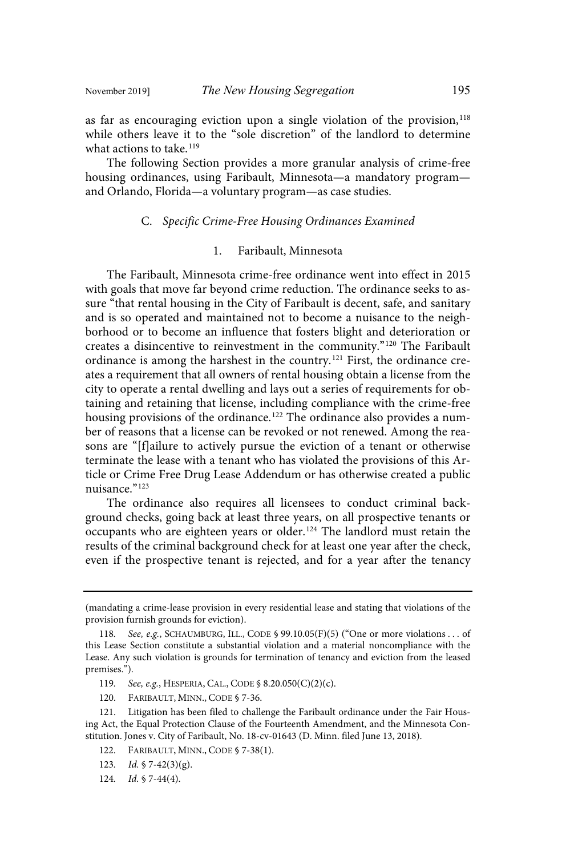as far as encouraging eviction upon a single violation of the provision,<sup>118</sup> while others leave it to the "sole discretion" of the landlord to determine what actions to take.<sup>119</sup>

The following Section provides a more granular analysis of crime-free housing ordinances, using Faribault, Minnesota—a mandatory program and Orlando, Florida—a voluntary program—as case studies.

#### C. Specific Crime-Free Housing Ordinances Examined

#### 1. Faribault, Minnesota

The Faribault, Minnesota crime-free ordinance went into effect in 2015 with goals that move far beyond crime reduction. The ordinance seeks to assure "that rental housing in the City of Faribault is decent, safe, and sanitary and is so operated and maintained not to become a nuisance to the neighborhood or to become an influence that fosters blight and deterioration or creates a disincentive to reinvestment in the community."<sup>120</sup> The Faribault ordinance is among the harshest in the country. <sup>121</sup> First, the ordinance creates a requirement that all owners of rental housing obtain a license from the city to operate a rental dwelling and lays out a series of requirements for obtaining and retaining that license, including compliance with the crime-free housing provisions of the ordinance. <sup>122</sup> The ordinance also provides a number of reasons that a license can be revoked or not renewed. Among the reasons are "[f]ailure to actively pursue the eviction of a tenant or otherwise terminate the lease with a tenant who has violated the provisions of this Article or Crime Free Drug Lease Addendum or has otherwise created a public nuisance." 123

The ordinance also requires all licensees to conduct criminal background checks, going back at least three years, on all prospective tenants or occupants who are eighteen years or older.<sup>124</sup> The landlord must retain the results of the criminal background check for at least one year after the check, even if the prospective tenant is rejected, and for a year after the tenancy

- 119. See, e.g., HESPERIA, CAL., CODE § 8.20.050(C)(2)(c).
- 120. FARIBAULT, MINN., CODE § 7-36.

- 122. FARIBAULT, MINN., CODE § 7-38(1).
- 123. *Id.*  $\sqrt{7-42(3)(g)}$ .
- 124.  $Id. \S$  7-44(4).

<sup>(</sup>mandating a crime-lease provision in every residential lease and stating that violations of the provision furnish grounds for eviction).

<sup>118.</sup> See, e.g., SCHAUMBURG, ILL., CODE § 99.10.05(F)(5) ("One or more violations . . . of this Lease Section constitute a substantial violation and a material noncompliance with the Lease. Any such violation is grounds for termination of tenancy and eviction from the leased premises.").

<sup>121.</sup> Litigation has been filed to challenge the Faribault ordinance under the Fair Housing Act, the Equal Protection Clause of the Fourteenth Amendment, and the Minnesota Constitution. Jones v. City of Faribault, No. 18-cv-01643 (D. Minn. filed June 13, 2018).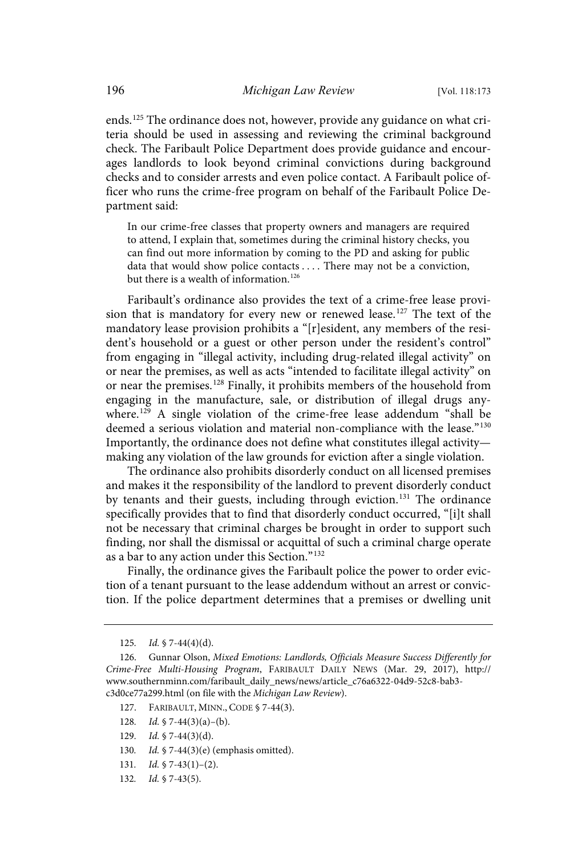ends. <sup>125</sup> The ordinance does not, however, provide any guidance on what criteria should be used in assessing and reviewing the criminal background check. The Faribault Police Department does provide guidance and encourages landlords to look beyond criminal convictions during background checks and to consider arrests and even police contact. A Faribault police officer who runs the crime-free program on behalf of the Faribault Police Department said:

In our crime-free classes that property owners and managers are required to attend, I explain that, sometimes during the criminal history checks, you can find out more information by coming to the PD and asking for public data that would show police contacts . . . . There may not be a conviction, but there is a wealth of information.<sup>126</sup>

Faribault's ordinance also provides the text of a crime-free lease provision that is mandatory for every new or renewed lease.<sup>127</sup> The text of the mandatory lease provision prohibits a "[r]esident, any members of the resident's household or a guest or other person under the resident's control" from engaging in "illegal activity, including drug-related illegal activity" on or near the premises, as well as acts "intended to facilitate illegal activity" on or near the premises. <sup>128</sup> Finally, it prohibits members of the household from engaging in the manufacture, sale, or distribution of illegal drugs anywhere.<sup>129</sup> A single violation of the crime-free lease addendum "shall be deemed a serious violation and material non-compliance with the lease."<sup>130</sup> Importantly, the ordinance does not define what constitutes illegal activity making any violation of the law grounds for eviction after a single violation.

The ordinance also prohibits disorderly conduct on all licensed premises and makes it the responsibility of the landlord to prevent disorderly conduct by tenants and their guests, including through eviction.<sup>131</sup> The ordinance specifically provides that to find that disorderly conduct occurred, "[i]t shall not be necessary that criminal charges be brought in order to support such finding, nor shall the dismissal or acquittal of such a criminal charge operate as a bar to any action under this Section." 132

Finally, the ordinance gives the Faribault police the power to order eviction of a tenant pursuant to the lease addendum without an arrest or conviction. If the police department determines that a premises or dwelling unit

- 127. FARIBAULT, MINN., CODE § 7-44(3).
- 128. *Id.*  $\sqrt{7-44(3)(a)-(b)}$ .
- 129.  $Id. \S$  7-44(3)(d).
- 130. Id. § 7-44(3)(e) (emphasis omitted).
- 131.  $Id. \S$  7-43(1)-(2).
- 132. *Id.* § 7-43(5).

<sup>125.</sup>  $Id. \S$  7-44(4)(d).

<sup>126.</sup> Gunnar Olson, Mixed Emotions: Landlords, Officials Measure Success Differently for Crime-Free Multi-Housing Program, FARIBAULT DAILY NEWS (Mar. 29, 2017), http:// www.southernminn.com/faribault\_daily\_news/news/article\_c76a6322-04d9-52c8-bab3 c3d0ce77a299.html (on file with the Michigan Law Review).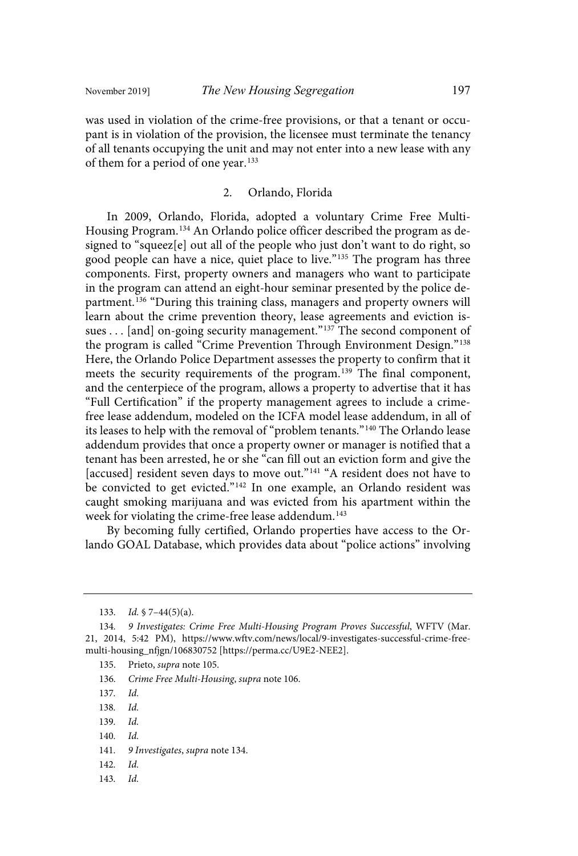was used in violation of the crime-free provisions, or that a tenant or occupant is in violation of the provision, the licensee must terminate the tenancy of all tenants occupying the unit and may not enter into a new lease with any of them for a period of one year.<sup>133</sup>

### 2. Orlando, Florida

In 2009, Orlando, Florida, adopted a voluntary Crime Free Multi-Housing Program. <sup>134</sup> An Orlando police officer described the program as designed to "squeez[e] out all of the people who just don't want to do right, so good people can have a nice, quiet place to live."<sup>135</sup> The program has three components. First, property owners and managers who want to participate in the program can attend an eight-hour seminar presented by the police department.<sup>136</sup> "During this training class, managers and property owners will learn about the crime prevention theory, lease agreements and eviction issues . . . [and] on-going security management."<sup>137</sup> The second component of the program is called "Crime Prevention Through Environment Design." 138 Here, the Orlando Police Department assesses the property to confirm that it meets the security requirements of the program.<sup>139</sup> The final component, and the centerpiece of the program, allows a property to advertise that it has "Full Certification" if the property management agrees to include a crimefree lease addendum, modeled on the ICFA model lease addendum, in all of its leases to help with the removal of "problem tenants." <sup>140</sup> The Orlando lease addendum provides that once a property owner or manager is notified that a tenant has been arrested, he or she "can fill out an eviction form and give the [accused] resident seven days to move out."<sup>141</sup> "A resident does not have to be convicted to get evicted."<sup>142</sup> In one example, an Orlando resident was caught smoking marijuana and was evicted from his apartment within the week for violating the crime-free lease addendum. 143

By becoming fully certified, Orlando properties have access to the Orlando GOAL Database, which provides data about "police actions" involving

- 135. Prieto, supra note 105.
- 136. Crime Free Multi-Housing, supra note 106.
- 137. Id.
- 138. Id.
- 139. Id.
- $140.$   $Id.$
- 141. 9 Investigates, supra note 134.
- $142.$   $Id.$
- 143. Id.

<sup>133.</sup> Id.  $\sqrt{7-44(5)}$ (a).

<sup>134. 9</sup> Investigates: Crime Free Multi-Housing Program Proves Successful, WFTV (Mar. 21, 2014, 5:42 PM), https://www.wftv.com/news/local/9-investigates-successful-crime-freemulti-housing\_nfjgn/106830752 [https://perma.cc/U9E2-NEE2].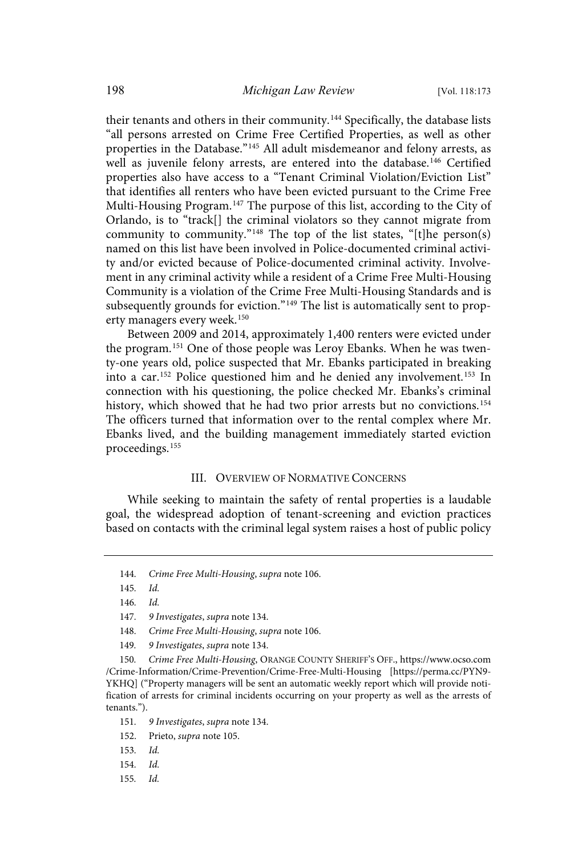their tenants and others in their community.<sup>144</sup> Specifically, the database lists "all persons arrested on Crime Free Certified Properties, as well as other properties in the Database." <sup>145</sup> All adult misdemeanor and felony arrests, as well as juvenile felony arrests, are entered into the database.<sup>146</sup> Certified properties also have access to a "Tenant Criminal Violation/Eviction List" that identifies all renters who have been evicted pursuant to the Crime Free Multi-Housing Program.<sup>147</sup> The purpose of this list, according to the City of Orlando, is to "track[] the criminal violators so they cannot migrate from community to community."<sup>148</sup> The top of the list states, "[t]he person(s) named on this list have been involved in Police-documented criminal activity and/or evicted because of Police-documented criminal activity. Involvement in any criminal activity while a resident of a Crime Free Multi-Housing Community is a violation of the Crime Free Multi-Housing Standards and is subsequently grounds for eviction."<sup>149</sup> The list is automatically sent to property managers every week. 150

Between 2009 and 2014, approximately 1,400 renters were evicted under the program. <sup>151</sup> One of those people was Leroy Ebanks. When he was twenty-one years old, police suspected that Mr. Ebanks participated in breaking into a car. <sup>152</sup> Police questioned him and he denied any involvement. <sup>153</sup> In connection with his questioning, the police checked Mr. Ebanks's criminal history, which showed that he had two prior arrests but no convictions.<sup>154</sup> The officers turned that information over to the rental complex where Mr. Ebanks lived, and the building management immediately started eviction proceedings.<sup>155</sup>

#### III. OVERVIEW OF NORMATIVE CONCERNS

While seeking to maintain the safety of rental properties is a laudable goal, the widespread adoption of tenant-screening and eviction practices based on contacts with the criminal legal system raises a host of public policy

145. Id.

150. Crime Free Multi-Housing, ORANGE COUNTY SHERIFF'S OFF., https://www.ocso.com /Crime-Information/Crime-Prevention/Crime-Free-Multi-Housing [https://perma.cc/PYN9- YKHQ] ("Property managers will be sent an automatic weekly report which will provide notification of arrests for criminal incidents occurring on your property as well as the arrests of tenants.").

155. Id.

<sup>144.</sup> Crime Free Multi-Housing, supra note 106.

<sup>146.</sup> Id.

<sup>147. 9</sup> Investigates, supra note 134.

<sup>148.</sup> Crime Free Multi-Housing, supra note 106.

<sup>149. 9</sup> Investigates, supra note 134.

<sup>151. 9</sup> Investigates, supra note 134.

<sup>152.</sup> Prieto, supra note 105.

<sup>153.</sup> Id.

<sup>154.</sup> Id.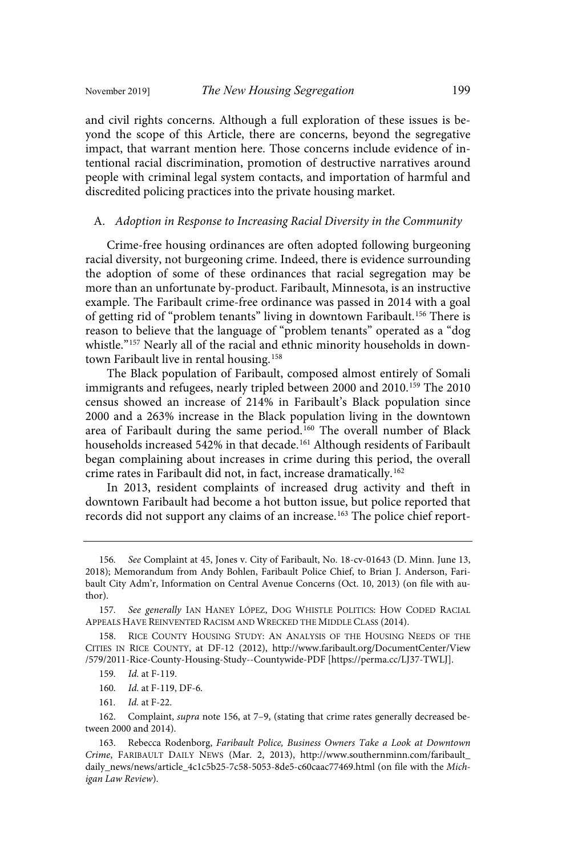and civil rights concerns. Although a full exploration of these issues is beyond the scope of this Article, there are concerns, beyond the segregative impact, that warrant mention here. Those concerns include evidence of intentional racial discrimination, promotion of destructive narratives around people with criminal legal system contacts, and importation of harmful and discredited policing practices into the private housing market.

#### A. Adoption in Response to Increasing Racial Diversity in the Community

Crime-free housing ordinances are often adopted following burgeoning racial diversity, not burgeoning crime. Indeed, there is evidence surrounding the adoption of some of these ordinances that racial segregation may be more than an unfortunate by-product. Faribault, Minnesota, is an instructive example. The Faribault crime-free ordinance was passed in 2014 with a goal of getting rid of "problem tenants" living in downtown Faribault. <sup>156</sup> There is reason to believe that the language of "problem tenants" operated as a "dog whistle."<sup>157</sup> Nearly all of the racial and ethnic minority households in downtown Faribault live in rental housing. 158

The Black population of Faribault, composed almost entirely of Somali immigrants and refugees, nearly tripled between 2000 and 2010. <sup>159</sup> The 2010 census showed an increase of 214% in Faribault's Black population since 2000 and a 263% increase in the Black population living in the downtown area of Faribault during the same period.<sup>160</sup> The overall number of Black households increased 542% in that decade.<sup>161</sup> Although residents of Faribault began complaining about increases in crime during this period, the overall crime rates in Faribault did not, in fact, increase dramatically.<sup>162</sup>

In 2013, resident complaints of increased drug activity and theft in downtown Faribault had become a hot button issue, but police reported that records did not support any claims of an increase.<sup>163</sup> The police chief report-

161. *Id.* at F-22.

<sup>156.</sup> See Complaint at 45, Jones v. City of Faribault, No. 18-cv-01643 (D. Minn. June 13, 2018); Memorandum from Andy Bohlen, Faribault Police Chief, to Brian J. Anderson, Faribault City Adm'r, Information on Central Avenue Concerns (Oct. 10, 2013) (on file with author).

<sup>157.</sup> See generally IAN HANEY LÓPEZ, DOG WHISTLE POLITICS: HOW CODED RACIAL APPEALS HAVE REINVENTED RACISM AND WRECKED THE MIDDLE CLASS (2014).

<sup>158.</sup> RICE COUNTY HOUSING STUDY: AN ANALYSIS OF THE HOUSING NEEDS OF THE CITIES IN RICE COUNTY, at DF-12 (2012), http://www.faribault.org/DocumentCenter/View /579/2011-Rice-County-Housing-Study--Countywide-PDF [https://perma.cc/LJ37-TWLJ].

<sup>159.</sup> *Id.* at F-119.

<sup>160.</sup> *Id.* at F-119, DF-6.

<sup>162.</sup> Complaint, supra note 156, at 7–9, (stating that crime rates generally decreased between 2000 and 2014).

<sup>163.</sup> Rebecca Rodenborg, Faribault Police, Business Owners Take a Look at Downtown Crime, FARIBAULT DAILY NEWS (Mar. 2, 2013), http://www.southernminn.com/faribault\_ daily\_news/news/article\_4c1c5b25-7c58-5053-8de5-c60caac77469.html (on file with the Michigan Law Review).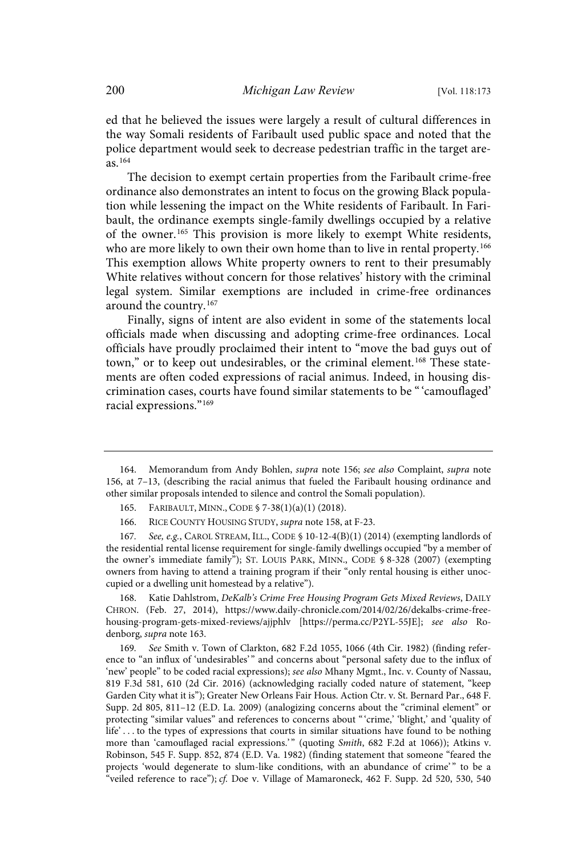ed that he believed the issues were largely a result of cultural differences in the way Somali residents of Faribault used public space and noted that the police department would seek to decrease pedestrian traffic in the target areas. 164

The decision to exempt certain properties from the Faribault crime-free ordinance also demonstrates an intent to focus on the growing Black population while lessening the impact on the White residents of Faribault. In Faribault, the ordinance exempts single-family dwellings occupied by a relative of the owner.<sup>165</sup> This provision is more likely to exempt White residents, who are more likely to own their own home than to live in rental property.<sup>166</sup> This exemption allows White property owners to rent to their presumably White relatives without concern for those relatives' history with the criminal legal system. Similar exemptions are included in crime-free ordinances around the country. 167

Finally, signs of intent are also evident in some of the statements local officials made when discussing and adopting crime-free ordinances. Local officials have proudly proclaimed their intent to "move the bad guys out of town," or to keep out undesirables, or the criminal element.<sup>168</sup> These statements are often coded expressions of racial animus. Indeed, in housing discrimination cases, courts have found similar statements to be "'camouflaged' racial expressions."<sup>169</sup>

168. Katie Dahlstrom, DeKalb's Crime Free Housing Program Gets Mixed Reviews, DAILY CHRON. (Feb. 27, 2014), https://www.daily-chronicle.com/2014/02/26/dekalbs-crime-freehousing-program-gets-mixed-reviews/ajjphlv [https://perma.cc/P2YL-55JE]; see also Rodenborg, supra note 163.

169. See Smith v. Town of Clarkton, 682 F.2d 1055, 1066 (4th Cir. 1982) (finding reference to "an influx of 'undesirables' " and concerns about "personal safety due to the influx of 'new' people" to be coded racial expressions); see also Mhany Mgmt., Inc. v. County of Nassau, 819 F.3d 581, 610 (2d Cir. 2016) (acknowledging racially coded nature of statement, "keep Garden City what it is"); Greater New Orleans Fair Hous. Action Ctr. v. St. Bernard Par., 648 F. Supp. 2d 805, 811–12 (E.D. La. 2009) (analogizing concerns about the "criminal element" or protecting "similar values" and references to concerns about "'crime,' 'blight,' and 'quality of life' . . . to the types of expressions that courts in similar situations have found to be nothing more than 'camouflaged racial expressions.'" (quoting Smith, 682 F.2d at 1066)); Atkins v. Robinson, 545 F. Supp. 852, 874 (E.D. Va. 1982) (finding statement that someone "feared the projects 'would degenerate to slum-like conditions, with an abundance of crime'" to be a "veiled reference to race"); cf. Doe v. Village of Mamaroneck, 462 F. Supp. 2d 520, 530, 540

<sup>164.</sup> Memorandum from Andy Bohlen, supra note 156; see also Complaint, supra note 156, at 7–13, (describing the racial animus that fueled the Faribault housing ordinance and other similar proposals intended to silence and control the Somali population).

<sup>165.</sup> FARIBAULT, MINN., CODE § 7-38(1)(a)(1) (2018).

<sup>166.</sup> RICE COUNTY HOUSING STUDY, supra note 158, at F-23.

<sup>167.</sup> See, e.g., CAROL STREAM, ILL., CODE § 10-12-4(B)(1) (2014) (exempting landlords of the residential rental license requirement for single-family dwellings occupied "by a member of the owner's immediate family"); ST. LOUIS PARK, MINN., CODE § 8-328 (2007) (exempting owners from having to attend a training program if their "only rental housing is either unoccupied or a dwelling unit homestead by a relative").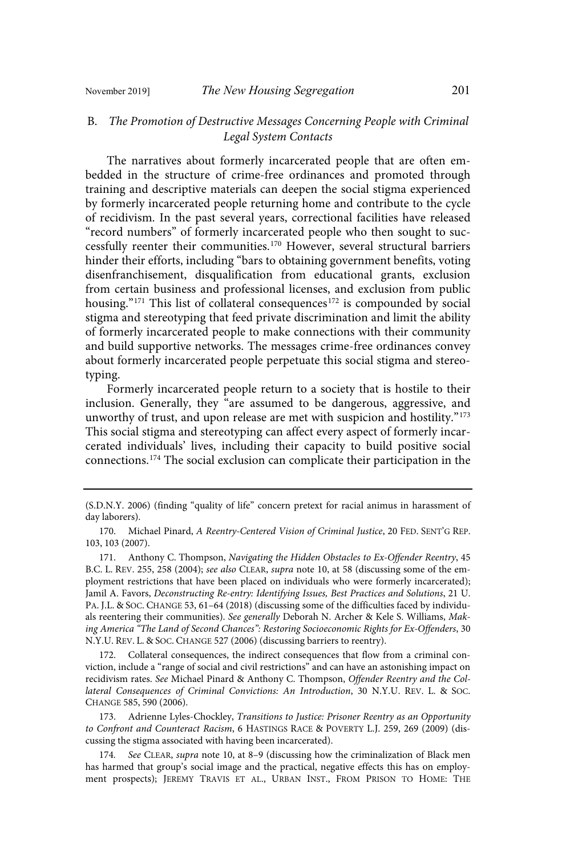## B. The Promotion of Destructive Messages Concerning People with Criminal Legal System Contacts

The narratives about formerly incarcerated people that are often embedded in the structure of crime-free ordinances and promoted through training and descriptive materials can deepen the social stigma experienced by formerly incarcerated people returning home and contribute to the cycle of recidivism. In the past several years, correctional facilities have released "record numbers" of formerly incarcerated people who then sought to successfully reenter their communities. <sup>170</sup> However, several structural barriers hinder their efforts, including "bars to obtaining government benefits, voting disenfranchisement, disqualification from educational grants, exclusion from certain business and professional licenses, and exclusion from public housing." <sup>171</sup> This list of collateral consequences 172 is compounded by social stigma and stereotyping that feed private discrimination and limit the ability of formerly incarcerated people to make connections with their community and build supportive networks. The messages crime-free ordinances convey about formerly incarcerated people perpetuate this social stigma and stereotyping.

Formerly incarcerated people return to a society that is hostile to their inclusion. Generally, they "are assumed to be dangerous, aggressive, and unworthy of trust, and upon release are met with suspicion and hostility." 173 This social stigma and stereotyping can affect every aspect of formerly incarcerated individuals' lives, including their capacity to build positive social connections. <sup>174</sup> The social exclusion can complicate their participation in the

172. Collateral consequences, the indirect consequences that flow from a criminal conviction, include a "range of social and civil restrictions" and can have an astonishing impact on recidivism rates. See Michael Pinard & Anthony C. Thompson, Offender Reentry and the Collateral Consequences of Criminal Convictions: An Introduction, 30 N.Y.U. REV. L. & SOC. CHANGE 585, 590 (2006).

173. Adrienne Lyles-Chockley, Transitions to Justice: Prisoner Reentry as an Opportunity to Confront and Counteract Racism, 6 HASTINGS RACE & POVERTY L.J. 259, 269 (2009) (discussing the stigma associated with having been incarcerated).

174. See CLEAR, supra note 10, at 8-9 (discussing how the criminalization of Black men has harmed that group's social image and the practical, negative effects this has on employment prospects); JEREMY TRAVIS ET AL., URBAN INST., FROM PRISON TO HOME: THE

<sup>(</sup>S.D.N.Y. 2006) (finding "quality of life" concern pretext for racial animus in harassment of day laborers).

<sup>170.</sup> Michael Pinard, A Reentry-Centered Vision of Criminal Justice, 20 FED. SENT'G REP. 103, 103 (2007).

<sup>171.</sup> Anthony C. Thompson, Navigating the Hidden Obstacles to Ex-Offender Reentry, 45 B.C. L. REV. 255, 258 (2004); see also CLEAR, supra note 10, at 58 (discussing some of the employment restrictions that have been placed on individuals who were formerly incarcerated); Jamil A. Favors, Deconstructing Re-entry: Identifying Issues, Best Practices and Solutions, 21 U. PA. J.L. & SOC. CHANGE 53, 61–64 (2018) (discussing some of the difficulties faced by individuals reentering their communities). See generally Deborah N. Archer & Kele S. Williams, Making America "The Land of Second Chances": Restoring Socioeconomic Rights for Ex-Offenders, 30 N.Y.U. REV. L. & SOC. CHANGE 527 (2006) (discussing barriers to reentry).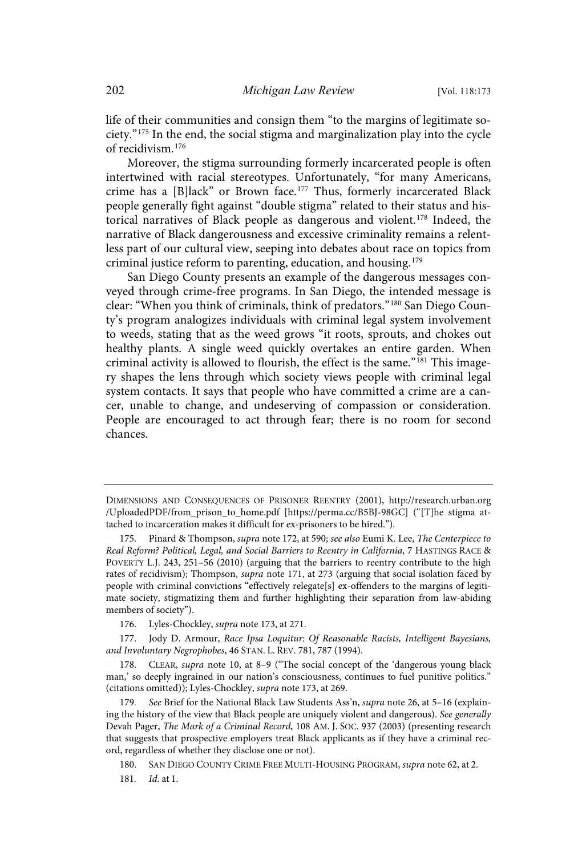life of their communities and consign them "to the margins of legitimate society." <sup>175</sup> In the end, the social stigma and marginalization play into the cycle of recidivism.<sup>176</sup>

Moreover, the stigma surrounding formerly incarcerated people is often intertwined with racial stereotypes. Unfortunately, "for many Americans, crime has a [B]lack" or Brown face.<sup>177</sup> Thus, formerly incarcerated Black people generally fight against "double stigma" related to their status and historical narratives of Black people as dangerous and violent.<sup>178</sup> Indeed, the narrative of Black dangerousness and excessive criminality remains a relentless part of our cultural view, seeping into debates about race on topics from criminal justice reform to parenting, education, and housing.<sup>179</sup>

San Diego County presents an example of the dangerous messages conveyed through crime-free programs. In San Diego, the intended message is clear: "When you think of criminals, think of predators." <sup>180</sup> San Diego County's program analogizes individuals with criminal legal system involvement to weeds, stating that as the weed grows "it roots, sprouts, and chokes out healthy plants. A single weed quickly overtakes an entire garden. When criminal activity is allowed to flourish, the effect is the same."<sup>181</sup> This imagery shapes the lens through which society views people with criminal legal system contacts. It says that people who have committed a crime are a cancer, unable to change, and undeserving of compassion or consideration. People are encouraged to act through fear; there is no room for second chances.

DIMENSIONS AND CONSEQUENCES OF PRISONER REENTRY (2001), http://research.urban.org /UploadedPDF/from\_prison\_to\_home.pdf [https://perma.cc/B5BJ-98GC] ("[T]he stigma attached to incarceration makes it difficult for ex-prisoners to be hired.").

Pinard & Thompson, supra note 172, at 590; see also Eumi K. Lee, The Centerpiece to Real Reform? Political, Legal, and Social Barriers to Reentry in California, 7 HASTINGS RACE & POVERTY L.J. 243, 251–56 (2010) (arguing that the barriers to reentry contribute to the high rates of recidivism); Thompson, supra note 171, at 273 (arguing that social isolation faced by people with criminal convictions "effectively relegate[s] ex-offenders to the margins of legitimate society, stigmatizing them and further highlighting their separation from law-abiding members of society").

<sup>176.</sup> Lyles-Chockley, supra note 173, at 271.

<sup>177.</sup> Jody D. Armour, Race Ipsa Loquitur: Of Reasonable Racists, Intelligent Bayesians, and Involuntary Negrophobes, 46 STAN. L. REV. 781, 787 (1994).

<sup>178.</sup> CLEAR, supra note 10, at 8–9 ("The social concept of the 'dangerous young black man,' so deeply ingrained in our nation's consciousness, continues to fuel punitive politics." (citations omitted)); Lyles-Chockley, supra note 173, at 269.

<sup>179.</sup> See Brief for the National Black Law Students Ass'n, supra note 26, at 5-16 (explaining the history of the view that Black people are uniquely violent and dangerous). See generally Devah Pager, The Mark of a Criminal Record, 108 AM. J. SOC. 937 (2003) (presenting research that suggests that prospective employers treat Black applicants as if they have a criminal record, regardless of whether they disclose one or not).

<sup>180.</sup> SAN DIEGO COUNTY CRIME FREE MULTI-HOUSING PROGRAM, supra note 62, at 2.

<sup>181.</sup> *Id.* at 1.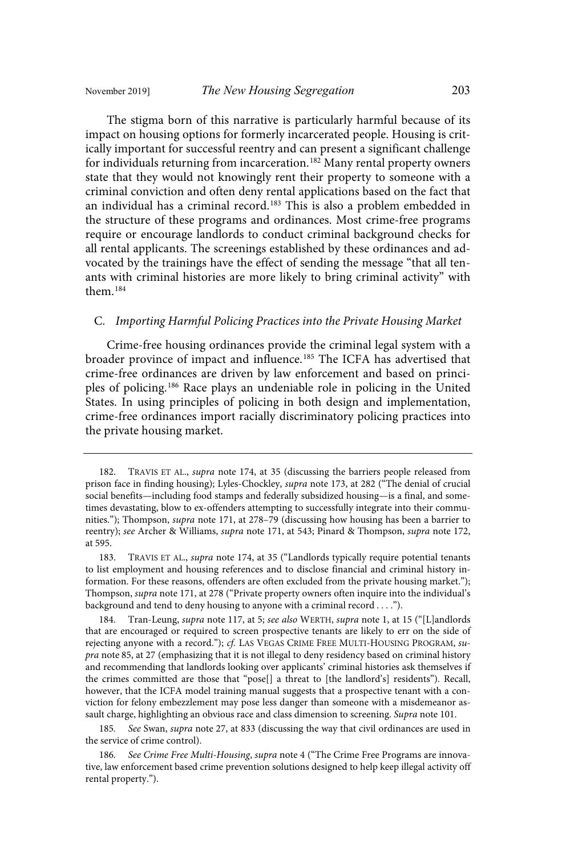The stigma born of this narrative is particularly harmful because of its impact on housing options for formerly incarcerated people. Housing is critically important for successful reentry and can present a significant challenge for individuals returning from incarceration. <sup>182</sup> Many rental property owners state that they would not knowingly rent their property to someone with a criminal conviction and often deny rental applications based on the fact that an individual has a criminal record.<sup>183</sup> This is also a problem embedded in the structure of these programs and ordinances. Most crime-free programs require or encourage landlords to conduct criminal background checks for all rental applicants. The screenings established by these ordinances and advocated by the trainings have the effect of sending the message "that all tenants with criminal histories are more likely to bring criminal activity" with them.<sup>184</sup>

#### C. Importing Harmful Policing Practices into the Private Housing Market

Crime-free housing ordinances provide the criminal legal system with a broader province of impact and influence.<sup>185</sup> The ICFA has advertised that crime-free ordinances are driven by law enforcement and based on principles of policing. <sup>186</sup> Race plays an undeniable role in policing in the United States. In using principles of policing in both design and implementation, crime-free ordinances import racially discriminatory policing practices into the private housing market.

185. See Swan, supra note 27, at 833 (discussing the way that civil ordinances are used in the service of crime control).

186. See Crime Free Multi-Housing, supra note 4 ("The Crime Free Programs are innovative, law enforcement based crime prevention solutions designed to help keep illegal activity off rental property.").

TRAVIS ET AL., supra note 174, at 35 (discussing the barriers people released from prison face in finding housing); Lyles-Chockley, supra note 173, at 282 ("The denial of crucial social benefits—including food stamps and federally subsidized housing—is a final, and sometimes devastating, blow to ex-offenders attempting to successfully integrate into their communities."); Thompson, supra note 171, at 278–79 (discussing how housing has been a barrier to reentry); see Archer & Williams, supra note 171, at 543; Pinard & Thompson, supra note 172, at 595.

<sup>183.</sup> TRAVIS ET AL., supra note 174, at 35 ("Landlords typically require potential tenants to list employment and housing references and to disclose financial and criminal history information. For these reasons, offenders are often excluded from the private housing market."); Thompson, supra note 171, at 278 ("Private property owners often inquire into the individual's background and tend to deny housing to anyone with a criminal record . . . .").

<sup>184.</sup> Tran-Leung, supra note 117, at 5; see also WERTH, supra note 1, at 15 ("[L]andlords that are encouraged or required to screen prospective tenants are likely to err on the side of rejecting anyone with a record."); cf. LAS VEGAS CRIME FREE MULTI-HOUSING PROGRAM, supra note 85, at 27 (emphasizing that it is not illegal to deny residency based on criminal history and recommending that landlords looking over applicants' criminal histories ask themselves if the crimes committed are those that "pose[] a threat to [the landlord's] residents"). Recall, however, that the ICFA model training manual suggests that a prospective tenant with a conviction for felony embezzlement may pose less danger than someone with a misdemeanor assault charge, highlighting an obvious race and class dimension to screening. Supra note 101.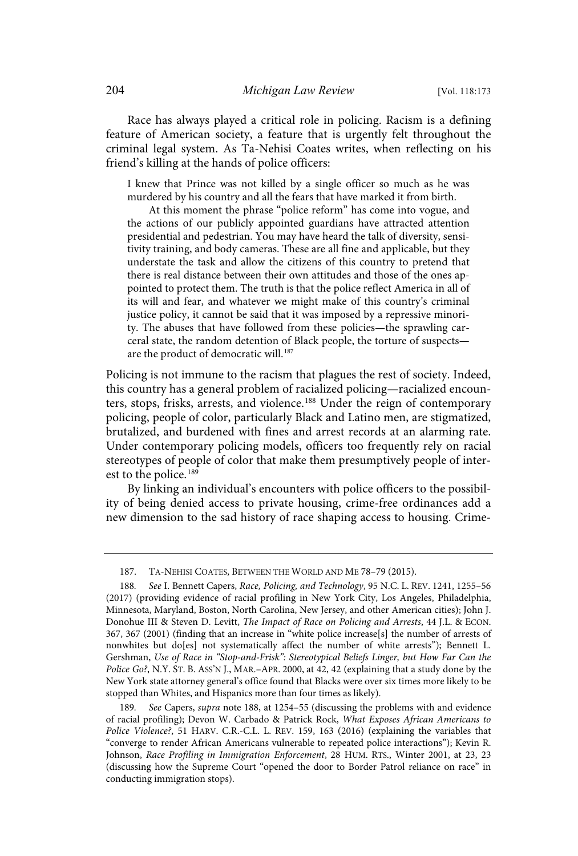Race has always played a critical role in policing. Racism is a defining feature of American society, a feature that is urgently felt throughout the criminal legal system. As Ta-Nehisi Coates writes, when reflecting on his friend's killing at the hands of police officers:

I knew that Prince was not killed by a single officer so much as he was murdered by his country and all the fears that have marked it from birth.

At this moment the phrase "police reform" has come into vogue, and the actions of our publicly appointed guardians have attracted attention presidential and pedestrian. You may have heard the talk of diversity, sensitivity training, and body cameras. These are all fine and applicable, but they understate the task and allow the citizens of this country to pretend that there is real distance between their own attitudes and those of the ones appointed to protect them. The truth is that the police reflect America in all of its will and fear, and whatever we might make of this country's criminal justice policy, it cannot be said that it was imposed by a repressive minority. The abuses that have followed from these policies—the sprawling carceral state, the random detention of Black people, the torture of suspects are the product of democratic will.<sup>187</sup>

Policing is not immune to the racism that plagues the rest of society. Indeed, this country has a general problem of racialized policing—racialized encounters, stops, frisks, arrests, and violence. <sup>188</sup> Under the reign of contemporary policing, people of color, particularly Black and Latino men, are stigmatized, brutalized, and burdened with fines and arrest records at an alarming rate. Under contemporary policing models, officers too frequently rely on racial stereotypes of people of color that make them presumptively people of interest to the police. 189

By linking an individual's encounters with police officers to the possibility of being denied access to private housing, crime-free ordinances add a new dimension to the sad history of race shaping access to housing. Crime-

<sup>187.</sup> TA-NEHISI COATES, BETWEEN THE WORLD AND ME 78–79 (2015).

<sup>188.</sup> See I. Bennett Capers, Race, Policing, and Technology, 95 N.C. L. REV. 1241, 1255-56 (2017) (providing evidence of racial profiling in New York City, Los Angeles, Philadelphia, Minnesota, Maryland, Boston, North Carolina, New Jersey, and other American cities); John J. Donohue III & Steven D. Levitt, The Impact of Race on Policing and Arrests, 44 J.L. & ECON. 367, 367 (2001) (finding that an increase in "white police increase[s] the number of arrests of nonwhites but do[es] not systematically affect the number of white arrests"); Bennett L. Gershman, Use of Race in "Stop-and-Frisk": Stereotypical Beliefs Linger, but How Far Can the Police Go?, N.Y. ST. B. ASS'N J., MAR.–APR. 2000, at 42, 42 (explaining that a study done by the New York state attorney general's office found that Blacks were over six times more likely to be stopped than Whites, and Hispanics more than four times as likely).

<sup>189.</sup> See Capers, supra note 188, at 1254–55 (discussing the problems with and evidence of racial profiling); Devon W. Carbado & Patrick Rock, What Exposes African Americans to Police Violence?, 51 HARV. C.R.-C.L. L. REV. 159, 163 (2016) (explaining the variables that "converge to render African Americans vulnerable to repeated police interactions"); Kevin R. Johnson, Race Profiling in Immigration Enforcement, 28 HUM. RTS., Winter 2001, at 23, 23 (discussing how the Supreme Court "opened the door to Border Patrol reliance on race" in conducting immigration stops).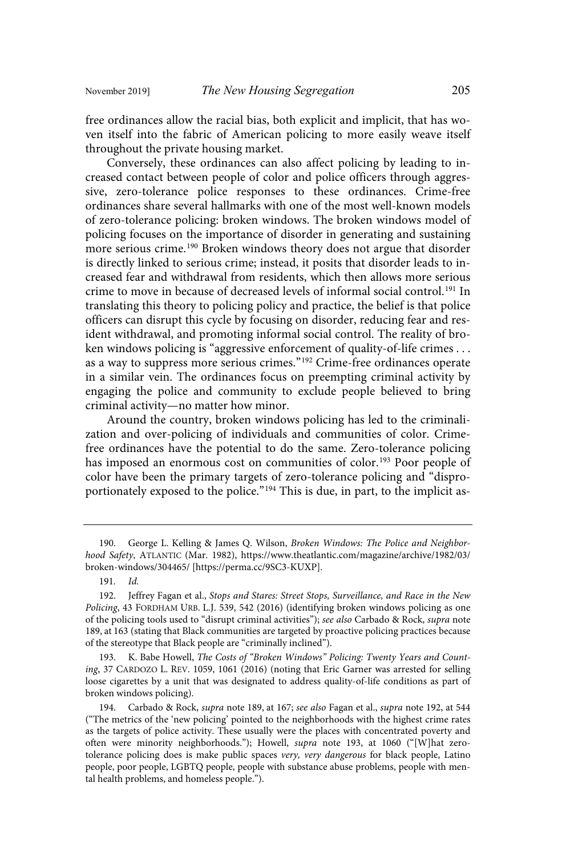free ordinances allow the racial bias, both explicit and implicit, that has woven itself into the fabric of American policing to more easily weave itself throughout the private housing market.

Conversely, these ordinances can also affect policing by leading to increased contact between people of color and police officers through aggressive, zero-tolerance police responses to these ordinances. Crime-free ordinances share several hallmarks with one of the most well-known models of zero-tolerance policing: broken windows. The broken windows model of policing focuses on the importance of disorder in generating and sustaining more serious crime.<sup>190</sup> Broken windows theory does not argue that disorder is directly linked to serious crime; instead, it posits that disorder leads to increased fear and withdrawal from residents, which then allows more serious crime to move in because of decreased levels of informal social control.<sup>191</sup> In translating this theory to policing policy and practice, the belief is that police officers can disrupt this cycle by focusing on disorder, reducing fear and resident withdrawal, and promoting informal social control. The reality of broken windows policing is "aggressive enforcement of quality-of-life crimes . . . as a way to suppress more serious crimes."<sup>192</sup> Crime-free ordinances operate in a similar vein. The ordinances focus on preempting criminal activity by engaging the police and community to exclude people believed to bring criminal activity—no matter how minor.

Around the country, broken windows policing has led to the criminalization and over-policing of individuals and communities of color. Crimefree ordinances have the potential to do the same. Zero-tolerance policing has imposed an enormous cost on communities of color.<sup>193</sup> Poor people of color have been the primary targets of zero-tolerance policing and "disproportionately exposed to the police."<sup>194</sup> This is due, in part, to the implicit as-

191. Id.

<sup>190.</sup> George L. Kelling & James Q. Wilson, Broken Windows: The Police and Neighborhood Safety, ATLANTIC (Mar. 1982), https://www.theatlantic.com/magazine/archive/1982/03/ broken-windows/304465/ [https://perma.cc/9SC3-KUXP].

<sup>192.</sup> Jeffrey Fagan et al., Stops and Stares: Street Stops, Surveillance, and Race in the New Policing, 43 FORDHAM URB. L.J. 539, 542 (2016) (identifying broken windows policing as one of the policing tools used to "disrupt criminal activities"); see also Carbado & Rock, supra note 189, at 163 (stating that Black communities are targeted by proactive policing practices because of the stereotype that Black people are "criminally inclined").

<sup>193.</sup> K. Babe Howell, The Costs of "Broken Windows" Policing: Twenty Years and Counting, 37 CARDOZO L. REV. 1059, 1061 (2016) (noting that Eric Garner was arrested for selling loose cigarettes by a unit that was designated to address quality-of-life conditions as part of broken windows policing).

<sup>194.</sup> Carbado & Rock, supra note 189, at 167; see also Fagan et al., supra note 192, at 544 ("The metrics of the 'new policing' pointed to the neighborhoods with the highest crime rates as the targets of police activity. These usually were the places with concentrated poverty and often were minority neighborhoods."); Howell, supra note 193, at 1060 ("[W]hat zerotolerance policing does is make public spaces very, very dangerous for black people, Latino people, poor people, LGBTQ people, people with substance abuse problems, people with mental health problems, and homeless people.").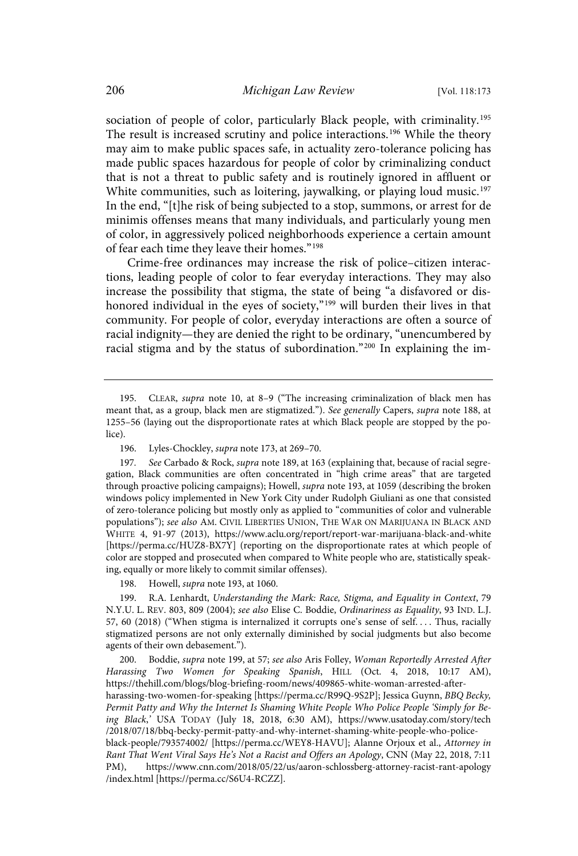sociation of people of color, particularly Black people, with criminality.<sup>195</sup> The result is increased scrutiny and police interactions. <sup>196</sup> While the theory may aim to make public spaces safe, in actuality zero-tolerance policing has made public spaces hazardous for people of color by criminalizing conduct that is not a threat to public safety and is routinely ignored in affluent or White communities, such as loitering, jaywalking, or playing loud music.<sup>197</sup> In the end, "[t]he risk of being subjected to a stop, summons, or arrest for de minimis offenses means that many individuals, and particularly young men of color, in aggressively policed neighborhoods experience a certain amount of fear each time they leave their homes." 198

Crime-free ordinances may increase the risk of police–citizen interactions, leading people of color to fear everyday interactions. They may also increase the possibility that stigma, the state of being "a disfavored or dishonored individual in the eyes of society," <sup>199</sup> will burden their lives in that community. For people of color, everyday interactions are often a source of racial indignity—they are denied the right to be ordinary, "unencumbered by racial stigma and by the status of subordination."<sup>200</sup> In explaining the im-

198. Howell, supra note 193, at 1060.

199. R.A. Lenhardt, Understanding the Mark: Race, Stigma, and Equality in Context, 79 N.Y.U. L. REV. 803, 809 (2004); see also Elise C. Boddie, Ordinariness as Equality, 93 IND. L.J. 57, 60 (2018) ("When stigma is internalized it corrupts one's sense of self.... Thus, racially stigmatized persons are not only externally diminished by social judgments but also become agents of their own debasement.").

200. Boddie, supra note 199, at 57; see also Aris Folley, Woman Reportedly Arrested After Harassing Two Women for Speaking Spanish, HILL (Oct. 4, 2018, 10:17 AM), https://thehill.com/blogs/blog-briefing-room/news/409865-white-woman-arrested-afterharassing-two-women-for-speaking [https://perma.cc/R99Q-9S2P]; Jessica Guynn, BBQ Becky, Permit Patty and Why the Internet Is Shaming White People Who Police People 'Simply for Being Black,' USA TODAY (July 18, 2018, 6:30 AM), https://www.usatoday.com/story/tech /2018/07/18/bbq-becky-permit-patty-and-why-internet-shaming-white-people-who-policeblack-people/793574002/ [https://perma.cc/WEY8-HAVU]; Alanne Orjoux et al., Attorney in Rant That Went Viral Says He's Not a Racist and Offers an Apology, CNN (May 22, 2018, 7:11 PM), https://www.cnn.com/2018/05/22/us/aaron-schlossberg-attorney-racist-rant-apology /index.html [https://perma.cc/S6U4-RCZZ].

<sup>195.</sup> CLEAR, supra note 10, at 8–9 ("The increasing criminalization of black men has meant that, as a group, black men are stigmatized."). See generally Capers, supra note 188, at 1255–56 (laying out the disproportionate rates at which Black people are stopped by the police).

<sup>196.</sup> Lyles-Chockley, supra note 173, at 269–70.

<sup>197.</sup> See Carbado & Rock, supra note 189, at 163 (explaining that, because of racial segregation, Black communities are often concentrated in "high crime areas" that are targeted through proactive policing campaigns); Howell, supra note 193, at 1059 (describing the broken windows policy implemented in New York City under Rudolph Giuliani as one that consisted of zero-tolerance policing but mostly only as applied to "communities of color and vulnerable populations"); see also AM. CIVIL LIBERTIES UNION, THE WAR ON MARIJUANA IN BLACK AND WHITE 4, 91-97 (2013), https://www.aclu.org/report/report-war-marijuana-black-and-white [https://perma.cc/HUZ8-BX7Y] (reporting on the disproportionate rates at which people of color are stopped and prosecuted when compared to White people who are, statistically speaking, equally or more likely to commit similar offenses).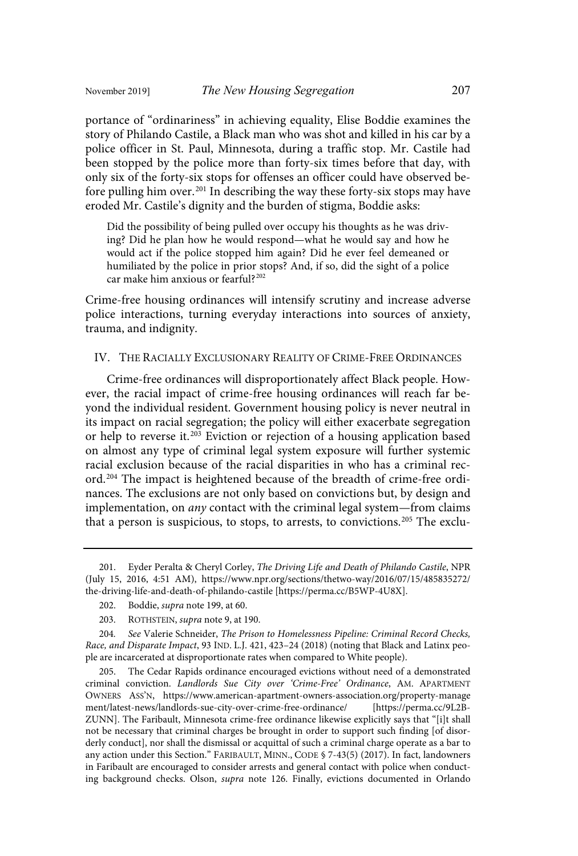portance of "ordinariness" in achieving equality, Elise Boddie examines the story of Philando Castile, a Black man who was shot and killed in his car by a police officer in St. Paul, Minnesota, during a traffic stop. Mr. Castile had been stopped by the police more than forty-six times before that day, with only six of the forty-six stops for offenses an officer could have observed before pulling him over.<sup>201</sup> In describing the way these forty-six stops may have eroded Mr. Castile's dignity and the burden of stigma, Boddie asks:

Did the possibility of being pulled over occupy his thoughts as he was driving? Did he plan how he would respond—what he would say and how he would act if the police stopped him again? Did he ever feel demeaned or humiliated by the police in prior stops? And, if so, did the sight of a police car make him anxious or fearful?<sup>202</sup>

Crime-free housing ordinances will intensify scrutiny and increase adverse police interactions, turning everyday interactions into sources of anxiety, trauma, and indignity.

#### IV. THE RACIALLY EXCLUSIONARY REALITY OF CRIME-FREE ORDINANCES

Crime-free ordinances will disproportionately affect Black people. However, the racial impact of crime-free housing ordinances will reach far beyond the individual resident. Government housing policy is never neutral in its impact on racial segregation; the policy will either exacerbate segregation or help to reverse it. <sup>203</sup> Eviction or rejection of a housing application based on almost any type of criminal legal system exposure will further systemic racial exclusion because of the racial disparities in who has a criminal record.<sup>204</sup> The impact is heightened because of the breadth of crime-free ordinances. The exclusions are not only based on convictions but, by design and implementation, on any contact with the criminal legal system—from claims that a person is suspicious, to stops, to arrests, to convictions.<sup>205</sup> The exclu-

<sup>201.</sup> Eyder Peralta & Cheryl Corley, The Driving Life and Death of Philando Castile, NPR (July 15, 2016, 4:51 AM), https://www.npr.org/sections/thetwo-way/2016/07/15/485835272/ the-driving-life-and-death-of-philando-castile [https://perma.cc/B5WP-4U8X].

<sup>202.</sup> Boddie, supra note 199, at 60.

<sup>203.</sup> ROTHSTEIN, supra note 9, at 190.

<sup>204.</sup> See Valerie Schneider, The Prison to Homelessness Pipeline: Criminal Record Checks, Race, and Disparate Impact, 93 IND. L.J. 421, 423–24 (2018) (noting that Black and Latinx people are incarcerated at disproportionate rates when compared to White people).

<sup>205.</sup> The Cedar Rapids ordinance encouraged evictions without need of a demonstrated criminal conviction. Landlords Sue City over 'Crime-Free' Ordinance, AM. APARTMENT OWNERS ASS'N, https://www.american-apartment-owners-association.org/property-manage ment/latest-news/landlords-sue-city-over-crime-free-ordinance/ [https://perma.cc/9L2B-ZUNN]. The Faribault, Minnesota crime-free ordinance likewise explicitly says that "[i]t shall not be necessary that criminal charges be brought in order to support such finding [of disorderly conduct], nor shall the dismissal or acquittal of such a criminal charge operate as a bar to any action under this Section." FARIBAULT, MINN., CODE § 7-43(5) (2017). In fact, landowners in Faribault are encouraged to consider arrests and general contact with police when conducting background checks. Olson, supra note 126. Finally, evictions documented in Orlando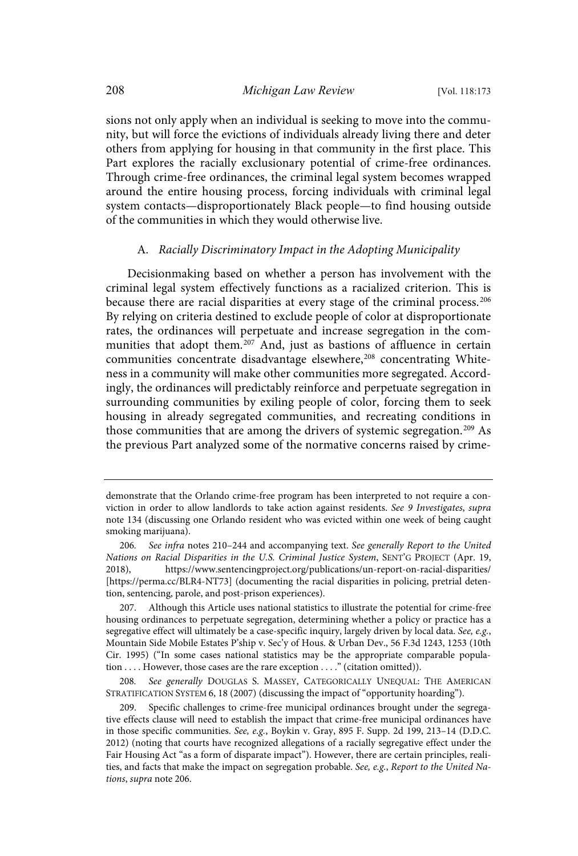sions not only apply when an individual is seeking to move into the community, but will force the evictions of individuals already living there and deter others from applying for housing in that community in the first place. This Part explores the racially exclusionary potential of crime-free ordinances. Through crime-free ordinances, the criminal legal system becomes wrapped around the entire housing process, forcing individuals with criminal legal system contacts—disproportionately Black people—to find housing outside of the communities in which they would otherwise live.

#### A. Racially Discriminatory Impact in the Adopting Municipality

Decisionmaking based on whether a person has involvement with the criminal legal system effectively functions as a racialized criterion. This is because there are racial disparities at every stage of the criminal process. 206 By relying on criteria destined to exclude people of color at disproportionate rates, the ordinances will perpetuate and increase segregation in the communities that adopt them.<sup>207</sup> And, just as bastions of affluence in certain communities concentrate disadvantage elsewhere,<sup>208</sup> concentrating Whiteness in a community will make other communities more segregated. Accordingly, the ordinances will predictably reinforce and perpetuate segregation in surrounding communities by exiling people of color, forcing them to seek housing in already segregated communities, and recreating conditions in those communities that are among the drivers of systemic segregation.<sup>209</sup> As the previous Part analyzed some of the normative concerns raised by crime-

demonstrate that the Orlando crime-free program has been interpreted to not require a conviction in order to allow landlords to take action against residents. See 9 Investigates, supra note 134 (discussing one Orlando resident who was evicted within one week of being caught smoking marijuana).

<sup>206.</sup> See infra notes 210-244 and accompanying text. See generally Report to the United Nations on Racial Disparities in the U.S. Criminal Justice System, SENT'G PROJECT (Apr. 19, 2018), https://www.sentencingproject.org/publications/un-report-on-racial-disparities/ [https://perma.cc/BLR4-NT73] (documenting the racial disparities in policing, pretrial detention, sentencing, parole, and post-prison experiences).

<sup>207.</sup> Although this Article uses national statistics to illustrate the potential for crime-free housing ordinances to perpetuate segregation, determining whether a policy or practice has a segregative effect will ultimately be a case-specific inquiry, largely driven by local data. See, e.g., Mountain Side Mobile Estates P'ship v. Sec'y of Hous. & Urban Dev., 56 F.3d 1243, 1253 (10th Cir. 1995) ("In some cases national statistics may be the appropriate comparable population . . . . However, those cases are the rare exception . . . ." (citation omitted)).

<sup>208.</sup> See generally DOUGLAS S. MASSEY, CATEGORICALLY UNEQUAL: THE AMERICAN STRATIFICATION SYSTEM 6, 18 (2007) (discussing the impact of "opportunity hoarding").

<sup>209.</sup> Specific challenges to crime-free municipal ordinances brought under the segregative effects clause will need to establish the impact that crime-free municipal ordinances have in those specific communities. See, e.g., Boykin v. Gray, 895 F. Supp. 2d 199, 213-14 (D.D.C. 2012) (noting that courts have recognized allegations of a racially segregative effect under the Fair Housing Act "as a form of disparate impact"). However, there are certain principles, realities, and facts that make the impact on segregation probable. See, e.g., Report to the United Nations, supra note 206.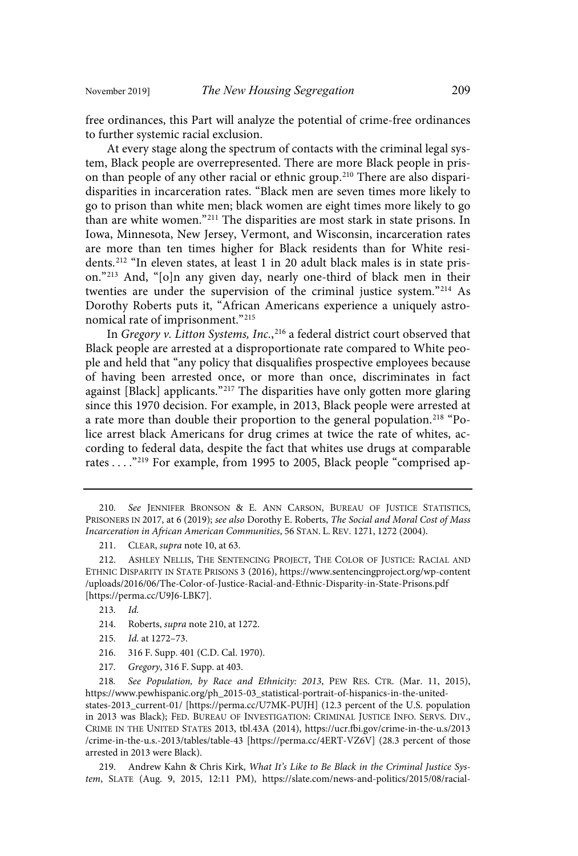free ordinances, this Part will analyze the potential of crime-free ordinances to further systemic racial exclusion.

At every stage along the spectrum of contacts with the criminal legal system, Black people are overrepresented. There are more Black people in prison than people of any other racial or ethnic group.<sup>210</sup> There are also disparidisparities in incarceration rates. "Black men are seven times more likely to go to prison than white men; black women are eight times more likely to go than are white women."<sup>211</sup> The disparities are most stark in state prisons. In Iowa, Minnesota, New Jersey, Vermont, and Wisconsin, incarceration rates are more than ten times higher for Black residents than for White residents.<sup>212</sup> "In eleven states, at least 1 in 20 adult black males is in state prison."<sup>213</sup> And, "[o]n any given day, nearly one-third of black men in their twenties are under the supervision of the criminal justice system."<sup>214</sup> As Dorothy Roberts puts it, "African Americans experience a uniquely astronomical rate of imprisonment." 215

In Gregory v. Litton Systems, Inc.,<sup>216</sup> a federal district court observed that Black people are arrested at a disproportionate rate compared to White people and held that "any policy that disqualifies prospective employees because of having been arrested once, or more than once, discriminates in fact against [Black] applicants."<sup>217</sup> The disparities have only gotten more glaring since this 1970 decision. For example, in 2013, Black people were arrested at a rate more than double their proportion to the general population. <sup>218</sup> "Police arrest black Americans for drug crimes at twice the rate of whites, according to federal data, despite the fact that whites use drugs at comparable rates . . . . "<sup>219</sup> For example, from 1995 to 2005, Black people "comprised ap-

- 215. Id. at 1272-73.
- 216. 316 F. Supp. 401 (C.D. Cal. 1970).
- 217 . Gregory, 316 F. Supp. at 403.

218. See Population, by Race and Ethnicity: 2013, PEW RES. CTR. (Mar. 11, 2015), https://www.pewhispanic.org/ph\_2015-03\_statistical-portrait-of-hispanics-in-the-unitedstates-2013\_current-01/ [https://perma.cc/U7MK-PUJH] (12.3 percent of the U.S. population in 2013 was Black); FED. BUREAU OF INVESTIGATION: CRIMINAL JUSTICE INFO. SERVS. DIV., CRIME IN THE UNITED STATES 2013, tbl.43A (2014), https://ucr.fbi.gov/crime-in-the-u.s/2013 /crime-in-the-u.s.-2013/tables/table-43 [https://perma.cc/4ERT-VZ6V] (28.3 percent of those arrested in 2013 were Black).

219. Andrew Kahn & Chris Kirk, What It's Like to Be Black in the Criminal Justice System, SLATE (Aug. 9, 2015, 12:11 PM), https://slate.com/news-and-politics/2015/08/racial-

<sup>210</sup> . See JENNIFER BRONSON & E. ANN CARSON, BUREAU OF JUSTICE STATISTICS, PRISONERS IN 2017, at 6 (2019); see also Dorothy E. Roberts, The Social and Moral Cost of Mass Incarceration in African American Communities, 56 STAN. L. REV. 1271, 1272 (2004).

<sup>211.</sup> CLEAR, supra note 10, at 63.

<sup>212.</sup> ASHLEY NELLIS, THE SENTENCING PROJECT, THE COLOR OF JUSTICE: RACIAL AND ETHNIC DISPARITY IN STATE PRISONS 3 (2016), https://www.sentencingproject.org/wp-content /uploads/2016/06/The-Color-of-Justice-Racial-and-Ethnic-Disparity-in-State-Prisons.pdf [https://perma.cc/U9J6-LBK7].

<sup>213.</sup> Id.

<sup>214.</sup> Roberts, supra note 210, at 1272.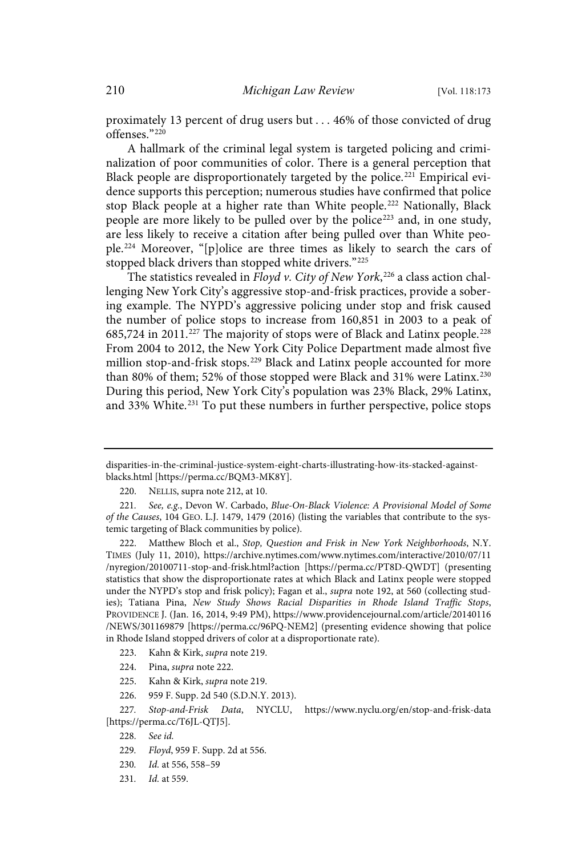proximately 13 percent of drug users but . . . 46% of those convicted of drug offenses."<sup>220</sup>

A hallmark of the criminal legal system is targeted policing and criminalization of poor communities of color. There is a general perception that Black people are disproportionately targeted by the police.<sup>221</sup> Empirical evidence supports this perception; numerous studies have confirmed that police stop Black people at a higher rate than White people.<sup>222</sup> Nationally, Black people are more likely to be pulled over by the police<sup>223</sup> and, in one study, are less likely to receive a citation after being pulled over than White people.<sup>224</sup> Moreover, "[p]olice are three times as likely to search the cars of stopped black drivers than stopped white drivers."<sup>225</sup>

The statistics revealed in Floyd v. City of New York, $^{226}$  a class action challenging New York City's aggressive stop-and-frisk practices, provide a sobering example. The NYPD's aggressive policing under stop and frisk caused the number of police stops to increase from 160,851 in 2003 to a peak of 685,724 in 2011.<sup>227</sup> The majority of stops were of Black and Latinx people.<sup>228</sup> From 2004 to 2012, the New York City Police Department made almost five million stop-and-frisk stops.<sup>229</sup> Black and Latinx people accounted for more than 80% of them; 52% of those stopped were Black and 31% were Latinx. 230 During this period, New York City's population was 23% Black, 29% Latinx, and 33% White.<sup>231</sup> To put these numbers in further perspective, police stops

222. Matthew Bloch et al., Stop, Question and Frisk in New York Neighborhoods, N.Y. TIMES (July 11, 2010), https://archive.nytimes.com/www.nytimes.com/interactive/2010/07/11 /nyregion/20100711-stop-and-frisk.html?action [https://perma.cc/PT8D-QWDT] (presenting statistics that show the disproportionate rates at which Black and Latinx people were stopped under the NYPD's stop and frisk policy); Fagan et al., supra note 192, at 560 (collecting studies); Tatiana Pina, New Study Shows Racial Disparities in Rhode Island Traffic Stops, PROVIDENCE J. (Jan. 16, 2014, 9:49 PM), https://www.providencejournal.com/article/20140116 /NEWS/301169879 [https://perma.cc/96PQ-NEM2] (presenting evidence showing that police in Rhode Island stopped drivers of color at a disproportionate rate).

- 223. Kahn & Kirk, supra note 219.
- 224. Pina, supra note 222.
- 225. Kahn & Kirk, supra note 219.
- 226. 959 F. Supp. 2d 540 (S.D.N.Y. 2013).

- 229. Floyd, 959 F. Supp. 2d at 556.
- 230. Id. at 556, 558-59
- 231. *Id.* at 559.

disparities-in-the-criminal-justice-system-eight-charts-illustrating-how-its-stacked-againstblacks.html [https://perma.cc/BQM3-MK8Y].

<sup>220.</sup> NELLIS, supra note 212, at 10.

<sup>221.</sup> See, e.g., Devon W. Carbado, Blue-On-Black Violence: A Provisional Model of Some of the Causes, 104 GEO. L.J. 1479, 1479 (2016) (listing the variables that contribute to the systemic targeting of Black communities by police).

<sup>227.</sup> Stop-and-Frisk Data, NYCLU, https://www.nyclu.org/en/stop-and-frisk-data [https://perma.cc/T6JL-QTJ5].

<sup>228.</sup> See id.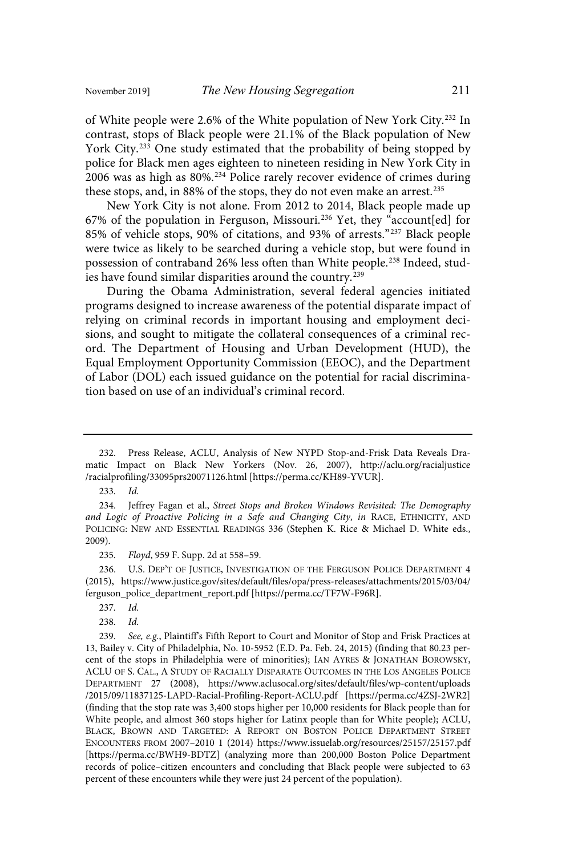of White people were 2.6% of the White population of New York City.<sup>232</sup> In contrast, stops of Black people were 21.1% of the Black population of New York City.<sup>233</sup> One study estimated that the probability of being stopped by police for Black men ages eighteen to nineteen residing in New York City in 2006 was as high as 80%.<sup>234</sup> Police rarely recover evidence of crimes during these stops, and, in 88% of the stops, they do not even make an arrest.<sup>235</sup>

New York City is not alone. From 2012 to 2014, Black people made up 67% of the population in Ferguson, Missouri.<sup>236</sup> Yet, they "account[ed] for 85% of vehicle stops, 90% of citations, and 93% of arrests." <sup>237</sup> Black people were twice as likely to be searched during a vehicle stop, but were found in possession of contraband 26% less often than White people.<sup>238</sup> Indeed, studies have found similar disparities around the country. 239

During the Obama Administration, several federal agencies initiated programs designed to increase awareness of the potential disparate impact of relying on criminal records in important housing and employment decisions, and sought to mitigate the collateral consequences of a criminal record. The Department of Housing and Urban Development (HUD), the Equal Employment Opportunity Commission (EEOC), and the Department of Labor (DOL) each issued guidance on the potential for racial discrimination based on use of an individual's criminal record.

233. Id.

235. Floyd, 959 F. Supp. 2d at 558-59.

236. U.S. DEP'T OF JUSTICE, INVESTIGATION OF THE FERGUSON POLICE DEPARTMENT 4 (2015), https://www.justice.gov/sites/default/files/opa/press-releases/attachments/2015/03/04/ ferguson\_police\_department\_report.pdf [https://perma.cc/TF7W-F96R].

- 237. Id.
- 238. Id.

<sup>232.</sup> Press Release, ACLU, Analysis of New NYPD Stop-and-Frisk Data Reveals Dramatic Impact on Black New Yorkers (Nov. 26, 2007), http://aclu.org/racialjustice /racialprofiling/33095prs20071126.html [https://perma.cc/KH89-YVUR].

<sup>234.</sup> Jeffrey Fagan et al., Street Stops and Broken Windows Revisited: The Demography and Logic of Proactive Policing in a Safe and Changing City, in RACE, ETHNICITY, AND POLICING: NEW AND ESSENTIAL READINGS 336 (Stephen K. Rice & Michael D. White eds., 2009).

<sup>239.</sup> See, e.g., Plaintiff's Fifth Report to Court and Monitor of Stop and Frisk Practices at 13, Bailey v. City of Philadelphia, No. 10-5952 (E.D. Pa. Feb. 24, 2015) (finding that 80.23 percent of the stops in Philadelphia were of minorities); IAN AYRES & JONATHAN BOROWSKY, ACLU OF S. CAL., A STUDY OF RACIALLY DISPARATE OUTCOMES IN THE LOS ANGELES POLICE DEPARTMENT 27 (2008), https://www.aclusocal.org/sites/default/files/wp-content/uploads /2015/09/11837125-LAPD-Racial-Profiling-Report-ACLU.pdf [https://perma.cc/4ZSJ-2WR2] (finding that the stop rate was 3,400 stops higher per 10,000 residents for Black people than for White people, and almost 360 stops higher for Latinx people than for White people); ACLU, BLACK, BROWN AND TARGETED: A REPORT ON BOSTON POLICE DEPARTMENT STREET ENCOUNTERS FROM 2007–2010 1 (2014) https://www.issuelab.org/resources/25157/25157.pdf [https://perma.cc/BWH9-BDTZ] (analyzing more than 200,000 Boston Police Department records of police–citizen encounters and concluding that Black people were subjected to 63 percent of these encounters while they were just 24 percent of the population).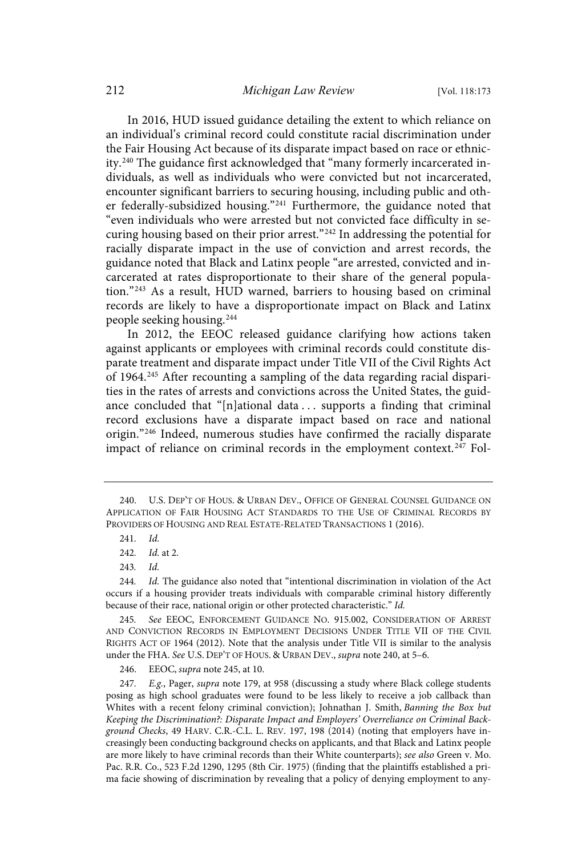In 2016, HUD issued guidance detailing the extent to which reliance on an individual's criminal record could constitute racial discrimination under the Fair Housing Act because of its disparate impact based on race or ethnicity.<sup>240</sup> The guidance first acknowledged that "many formerly incarcerated individuals, as well as individuals who were convicted but not incarcerated, encounter significant barriers to securing housing, including public and other federally-subsidized housing."<sup>241</sup> Furthermore, the guidance noted that "even individuals who were arrested but not convicted face difficulty in securing housing based on their prior arrest."<sup>242</sup> In addressing the potential for racially disparate impact in the use of conviction and arrest records, the guidance noted that Black and Latinx people "are arrested, convicted and incarcerated at rates disproportionate to their share of the general population."<sup>243</sup> As a result, HUD warned, barriers to housing based on criminal records are likely to have a disproportionate impact on Black and Latinx people seeking housing.<sup>244</sup>

In 2012, the EEOC released guidance clarifying how actions taken against applicants or employees with criminal records could constitute disparate treatment and disparate impact under Title VII of the Civil Rights Act of 1964.<sup>245</sup> After recounting a sampling of the data regarding racial disparities in the rates of arrests and convictions across the United States, the guidance concluded that "[n]ational data . . . supports a finding that criminal record exclusions have a disparate impact based on race and national origin."<sup>246</sup> Indeed, numerous studies have confirmed the racially disparate impact of reliance on criminal records in the employment context.<sup>247</sup> Fol-

243. Id.

244. Id. The guidance also noted that "intentional discrimination in violation of the Act occurs if a housing provider treats individuals with comparable criminal history differently because of their race, national origin or other protected characteristic." Id.

245. See EEOC, ENFORCEMENT GUIDANCE NO. 915.002, CONSIDERATION OF ARREST AND CONVICTION RECORDS IN EMPLOYMENT DECISIONS UNDER TITLE VII OF THE CIVIL RIGHTS ACT OF 1964 (2012). Note that the analysis under Title VII is similar to the analysis under the FHA. See U.S. DEP'T OF HOUS. & URBAN DEV., supra note 240, at 5-6.

246. EEOC, supra note 245, at 10.

247. E.g., Pager, supra note 179, at 958 (discussing a study where Black college students posing as high school graduates were found to be less likely to receive a job callback than Whites with a recent felony criminal conviction); Johnathan J. Smith, Banning the Box but Keeping the Discrimination?: Disparate Impact and Employers' Overreliance on Criminal Background Checks, 49 HARV. C.R.-C.L. L. REV. 197, 198 (2014) (noting that employers have increasingly been conducting background checks on applicants, and that Black and Latinx people are more likely to have criminal records than their White counterparts); see also Green v. Mo. Pac. R.R. Co., 523 F.2d 1290, 1295 (8th Cir. 1975) (finding that the plaintiffs established a prima facie showing of discrimination by revealing that a policy of denying employment to any-

<sup>240.</sup> U.S. DEP'T OF HOUS. & URBAN DEV., OFFICE OF GENERAL COUNSEL GUIDANCE ON APPLICATION OF FAIR HOUSING ACT STANDARDS TO THE USE OF CRIMINAL RECORDS BY PROVIDERS OF HOUSING AND REAL ESTATE-RELATED TRANSACTIONS 1 (2016).

<sup>241.</sup> Id.

<sup>242.</sup> *Id.* at 2.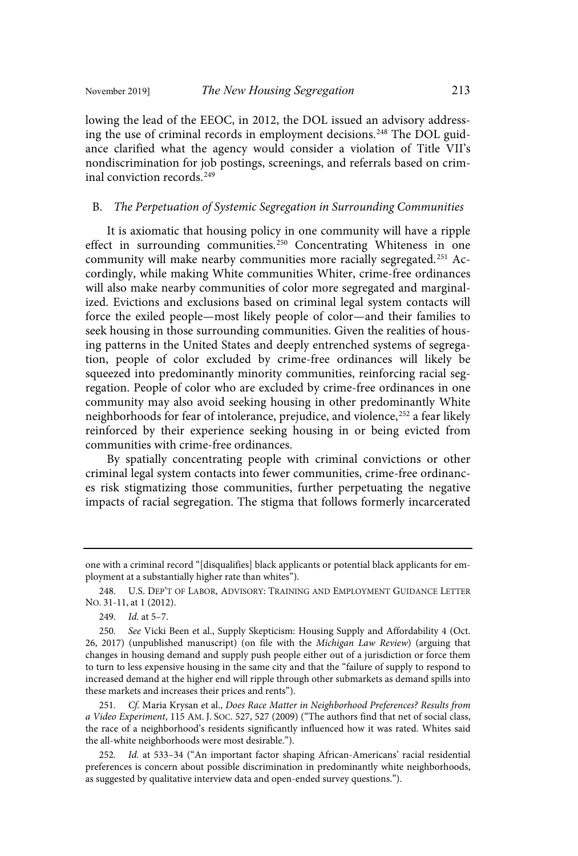inal conviction records.<sup>249</sup>

lowing the lead of the EEOC, in 2012, the DOL issued an advisory addressing the use of criminal records in employment decisions.<sup>248</sup> The DOL guidance clarified what the agency would consider a violation of Title VII's nondiscrimination for job postings, screenings, and referrals based on crim-

B. The Perpetuation of Systemic Segregation in Surrounding Communities

It is axiomatic that housing policy in one community will have a ripple effect in surrounding communities.<sup>250</sup> Concentrating Whiteness in one community will make nearby communities more racially segregated.<sup>251</sup> Accordingly, while making White communities Whiter, crime-free ordinances will also make nearby communities of color more segregated and marginalized. Evictions and exclusions based on criminal legal system contacts will force the exiled people—most likely people of color—and their families to seek housing in those surrounding communities. Given the realities of housing patterns in the United States and deeply entrenched systems of segregation, people of color excluded by crime-free ordinances will likely be squeezed into predominantly minority communities, reinforcing racial segregation. People of color who are excluded by crime-free ordinances in one community may also avoid seeking housing in other predominantly White neighborhoods for fear of intolerance, prejudice, and violence, 252 a fear likely reinforced by their experience seeking housing in or being evicted from communities with crime-free ordinances.

By spatially concentrating people with criminal convictions or other criminal legal system contacts into fewer communities, crime-free ordinances risk stigmatizing those communities, further perpetuating the negative impacts of racial segregation. The stigma that follows formerly incarcerated

one with a criminal record "[disqualifies] black applicants or potential black applicants for employment at a substantially higher rate than whites").

<sup>248.</sup> U.S. DEP'T OF LABOR, ADVISORY: TRAINING AND EMPLOYMENT GUIDANCE LETTER NO. 31-11, at 1 (2012).

<sup>249.</sup> *Id.* at 5-7.

<sup>250.</sup> See Vicki Been et al., Supply Skepticism: Housing Supply and Affordability 4 (Oct. 26, 2017) (unpublished manuscript) (on file with the Michigan Law Review) (arguing that changes in housing demand and supply push people either out of a jurisdiction or force them to turn to less expensive housing in the same city and that the "failure of supply to respond to increased demand at the higher end will ripple through other submarkets as demand spills into these markets and increases their prices and rents").

<sup>251.</sup> Cf. Maria Krysan et al., Does Race Matter in Neighborhood Preferences? Results from a Video Experiment, 115 AM. J. SOC. 527, 527 (2009) ("The authors find that net of social class, the race of a neighborhood's residents significantly influenced how it was rated. Whites said the all-white neighborhoods were most desirable.").

<sup>252.</sup> Id. at 533-34 ("An important factor shaping African-Americans' racial residential preferences is concern about possible discrimination in predominantly white neighborhoods, as suggested by qualitative interview data and open-ended survey questions.").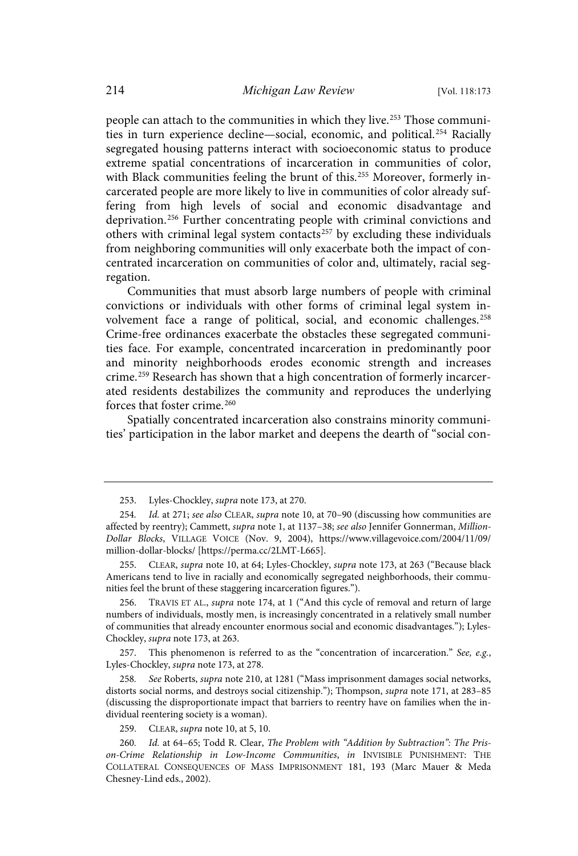people can attach to the communities in which they live. <sup>253</sup> Those communities in turn experience decline—social, economic, and political.<sup>254</sup> Racially segregated housing patterns interact with socioeconomic status to produce extreme spatial concentrations of incarceration in communities of color, with Black communities feeling the brunt of this.<sup>255</sup> Moreover, formerly incarcerated people are more likely to live in communities of color already suffering from high levels of social and economic disadvantage and deprivation.<sup>256</sup> Further concentrating people with criminal convictions and others with criminal legal system contacts<sup>257</sup> by excluding these individuals from neighboring communities will only exacerbate both the impact of concentrated incarceration on communities of color and, ultimately, racial segregation.

Communities that must absorb large numbers of people with criminal convictions or individuals with other forms of criminal legal system involvement face a range of political, social, and economic challenges.<sup>258</sup> Crime-free ordinances exacerbate the obstacles these segregated communities face. For example, concentrated incarceration in predominantly poor and minority neighborhoods erodes economic strength and increases crime.<sup>259</sup> Research has shown that a high concentration of formerly incarcerated residents destabilizes the community and reproduces the underlying forces that foster crime.<sup>260</sup>

Spatially concentrated incarceration also constrains minority communities' participation in the labor market and deepens the dearth of "social con-

255. CLEAR, supra note 10, at 64; Lyles-Chockley, supra note 173, at 263 ("Because black Americans tend to live in racially and economically segregated neighborhoods, their communities feel the brunt of these staggering incarceration figures.").

TRAVIS ET AL., supra note 174, at 1 ("And this cycle of removal and return of large numbers of individuals, mostly men, is increasingly concentrated in a relatively small number of communities that already encounter enormous social and economic disadvantages."); Lyles-Chockley, supra note 173, at 263.

257. This phenomenon is referred to as the "concentration of incarceration." See,  $e.g.,$ Lyles-Chockley, supra note 173, at 278.

258. See Roberts, supra note 210, at 1281 ("Mass imprisonment damages social networks, distorts social norms, and destroys social citizenship."); Thompson, supra note 171, at 283-85 (discussing the disproportionate impact that barriers to reentry have on families when the individual reentering society is a woman).

259. CLEAR, supra note 10, at 5, 10.

260. Id. at 64-65; Todd R. Clear, The Problem with "Addition by Subtraction": The Prison-Crime Relationship in Low-Income Communities, in INVISIBLE PUNISHMENT: THE COLLATERAL CONSEQUENCES OF MASS IMPRISONMENT 181, 193 (Marc Mauer & Meda Chesney-Lind eds., 2002).

<sup>253.</sup> Lyles-Chockley, supra note 173, at 270.

<sup>254.</sup> Id. at 271; see also CLEAR, supra note 10, at 70-90 (discussing how communities are affected by reentry); Cammett, supra note 1, at 1137-38; see also Jennifer Gonnerman, Million-Dollar Blocks, VILLAGE VOICE (Nov. 9, 2004), https://www.villagevoice.com/2004/11/09/ million-dollar-blocks/ [https://perma.cc/2LMT-L665].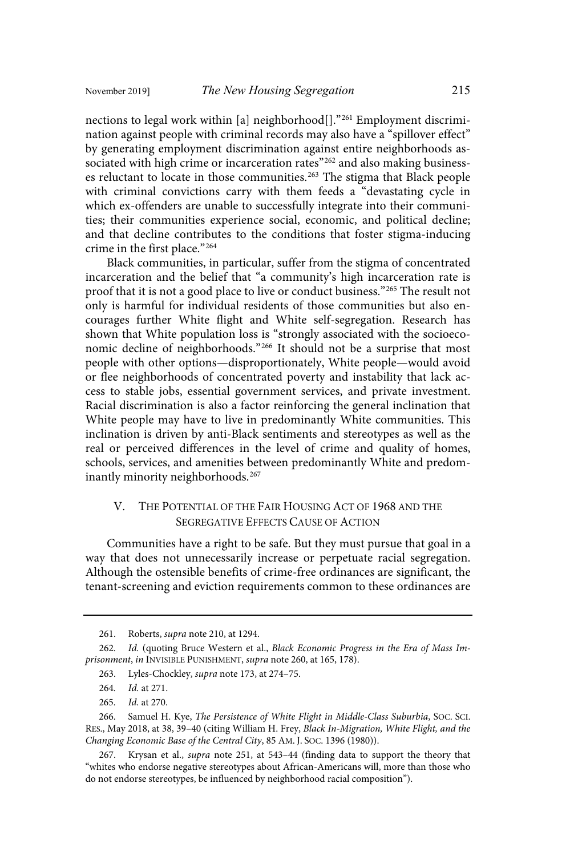nections to legal work within [a] neighborhood<sup>[]</sup>.<sup>"261</sup> Employment discrimination against people with criminal records may also have a "spillover effect" by generating employment discrimination against entire neighborhoods associated with high crime or incarceration rates"<sup>262</sup> and also making businesses reluctant to locate in those communities.<sup>263</sup> The stigma that Black people with criminal convictions carry with them feeds a "devastating cycle in which ex-offenders are unable to successfully integrate into their communities; their communities experience social, economic, and political decline; and that decline contributes to the conditions that foster stigma-inducing crime in the first place." 264

Black communities, in particular, suffer from the stigma of concentrated incarceration and the belief that "a community's high incarceration rate is proof that it is not a good place to live or conduct business." <sup>265</sup> The result not only is harmful for individual residents of those communities but also encourages further White flight and White self-segregation. Research has shown that White population loss is "strongly associated with the socioeconomic decline of neighborhoods." <sup>266</sup> It should not be a surprise that most people with other options—disproportionately, White people—would avoid or flee neighborhoods of concentrated poverty and instability that lack access to stable jobs, essential government services, and private investment. Racial discrimination is also a factor reinforcing the general inclination that White people may have to live in predominantly White communities. This inclination is driven by anti-Black sentiments and stereotypes as well as the real or perceived differences in the level of crime and quality of homes, schools, services, and amenities between predominantly White and predominantly minority neighborhoods.<sup>267</sup>

### V. THE POTENTIAL OF THE FAIR HOUSING ACT OF 1968 AND THE SEGREGATIVE EFFECTS CAUSE OF ACTION

Communities have a right to be safe. But they must pursue that goal in a way that does not unnecessarily increase or perpetuate racial segregation. Although the ostensible benefits of crime-free ordinances are significant, the tenant-screening and eviction requirements common to these ordinances are

<sup>261.</sup> Roberts, supra note 210, at 1294.

<sup>262.</sup> Id. (quoting Bruce Western et al., Black Economic Progress in the Era of Mass Imprisonment, in INVISIBLE PUNISHMENT, supra note 260, at 165, 178).

<sup>263.</sup> Lyles-Chockley, supra note 173, at 274–75.

<sup>264.</sup> *Id.* at 271.

<sup>265.</sup> *Id.* at 270.

<sup>266.</sup> Samuel H. Kye, The Persistence of White Flight in Middle-Class Suburbia, SOC. SCI. RES., May 2018, at 38, 39–40 (citing William H. Frey, Black In-Migration, White Flight, and the Changing Economic Base of the Central City, 85 AM. J. SOC. 1396 (1980)).

<sup>267.</sup> Krysan et al., supra note 251, at 543–44 (finding data to support the theory that "whites who endorse negative stereotypes about African-Americans will, more than those who do not endorse stereotypes, be influenced by neighborhood racial composition").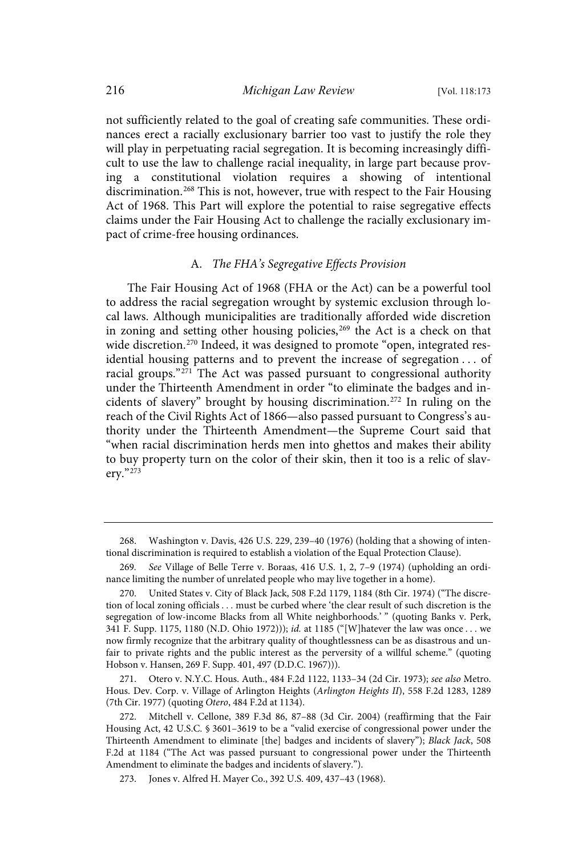not sufficiently related to the goal of creating safe communities. These ordinances erect a racially exclusionary barrier too vast to justify the role they will play in perpetuating racial segregation. It is becoming increasingly difficult to use the law to challenge racial inequality, in large part because proving a constitutional violation requires a showing of intentional discrimination.<sup>268</sup> This is not, however, true with respect to the Fair Housing Act of 1968. This Part will explore the potential to raise segregative effects claims under the Fair Housing Act to challenge the racially exclusionary impact of crime-free housing ordinances.

#### A. The FHA's Segregative Effects Provision

The Fair Housing Act of 1968 (FHA or the Act) can be a powerful tool to address the racial segregation wrought by systemic exclusion through local laws. Although municipalities are traditionally afforded wide discretion in zoning and setting other housing policies, <sup>269</sup> the Act is a check on that wide discretion.<sup>270</sup> Indeed, it was designed to promote "open, integrated residential housing patterns and to prevent the increase of segregation . . . of racial groups."<sup>271</sup> The Act was passed pursuant to congressional authority under the Thirteenth Amendment in order "to eliminate the badges and incidents of slavery" brought by housing discrimination. <sup>272</sup> In ruling on the reach of the Civil Rights Act of 1866—also passed pursuant to Congress's authority under the Thirteenth Amendment—the Supreme Court said that "when racial discrimination herds men into ghettos and makes their ability to buy property turn on the color of their skin, then it too is a relic of slavery." 273

271. Otero v. N.Y.C. Hous. Auth., 484 F.2d 1122, 1133–34 (2d Cir. 1973); see also Metro. Hous. Dev. Corp. v. Village of Arlington Heights (Arlington Heights II), 558 F.2d 1283, 1289 (7th Cir. 1977) (quoting Otero, 484 F.2d at 1134).

<sup>268.</sup> Washington v. Davis, 426 U.S. 229, 239–40 (1976) (holding that a showing of intentional discrimination is required to establish a violation of the Equal Protection Clause).

<sup>269.</sup> See Village of Belle Terre v. Boraas, 416 U.S. 1, 2, 7-9 (1974) (upholding an ordinance limiting the number of unrelated people who may live together in a home).

<sup>270.</sup> United States v. City of Black Jack, 508 F.2d 1179, 1184 (8th Cir. 1974) ("The discretion of local zoning officials . . . must be curbed where 'the clear result of such discretion is the segregation of low-income Blacks from all White neighborhoods.' " (quoting Banks v. Perk, 341 F. Supp. 1175, 1180 (N.D. Ohio 1972))); id. at 1185 ("[W]hatever the law was once . . . we now firmly recognize that the arbitrary quality of thoughtlessness can be as disastrous and unfair to private rights and the public interest as the perversity of a willful scheme." (quoting Hobson v. Hansen, 269 F. Supp. 401, 497 (D.D.C. 1967))).

<sup>272.</sup> Mitchell v. Cellone, 389 F.3d 86, 87–88 (3d Cir. 2004) (reaffirming that the Fair Housing Act, 42 U.S.C. § 3601–3619 to be a "valid exercise of congressional power under the Thirteenth Amendment to eliminate [the] badges and incidents of slavery"); Black Jack, 508 F.2d at 1184 ("The Act was passed pursuant to congressional power under the Thirteenth Amendment to eliminate the badges and incidents of slavery.").

<sup>273.</sup> Jones v. Alfred H. Mayer Co., 392 U.S. 409, 437–43 (1968).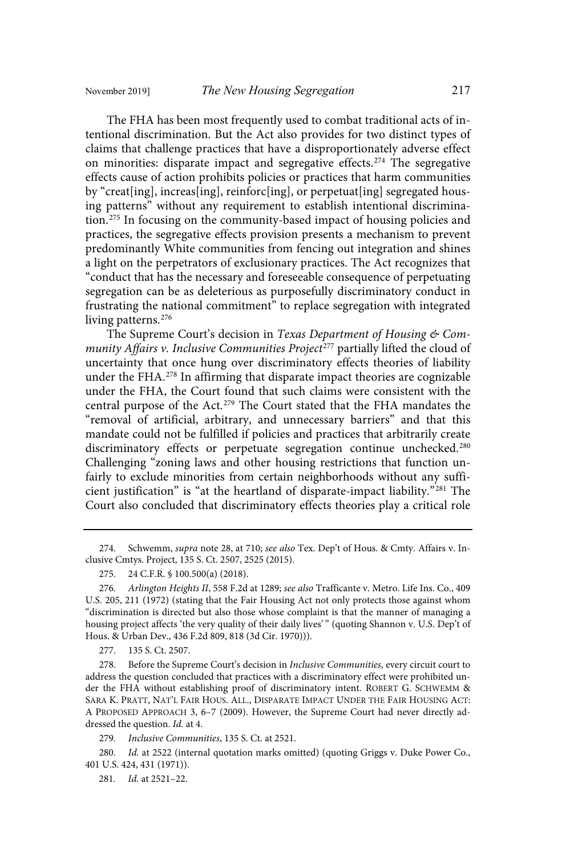The FHA has been most frequently used to combat traditional acts of intentional discrimination. But the Act also provides for two distinct types of claims that challenge practices that have a disproportionately adverse effect on minorities: disparate impact and segregative effects.<sup>274</sup> The segregative effects cause of action prohibits policies or practices that harm communities by "creat[ing], increas[ing], reinforc[ing], or perpetuat[ing] segregated housing patterns" without any requirement to establish intentional discrimination. <sup>275</sup> In focusing on the community-based impact of housing policies and practices, the segregative effects provision presents a mechanism to prevent predominantly White communities from fencing out integration and shines a light on the perpetrators of exclusionary practices. The Act recognizes that "conduct that has the necessary and foreseeable consequence of perpetuating segregation can be as deleterious as purposefully discriminatory conduct in frustrating the national commitment" to replace segregation with integrated living patterns. 276

The Supreme Court's decision in Texas Department of Housing & Community Affairs v. Inclusive Communities Project<sup>277</sup> partially lifted the cloud of uncertainty that once hung over discriminatory effects theories of liability under the FHA.<sup>278</sup> In affirming that disparate impact theories are cognizable under the FHA, the Court found that such claims were consistent with the central purpose of the Act. <sup>279</sup> The Court stated that the FHA mandates the "removal of artificial, arbitrary, and unnecessary barriers" and that this mandate could not be fulfilled if policies and practices that arbitrarily create discriminatory effects or perpetuate segregation continue unchecked.<sup>280</sup> Challenging "zoning laws and other housing restrictions that function unfairly to exclude minorities from certain neighborhoods without any sufficient justification" is "at the heartland of disparate-impact liability." <sup>281</sup> The Court also concluded that discriminatory effects theories play a critical role

274. Schwemm, supra note 28, at 710; see also Tex. Dep't of Hous. & Cmty. Affairs v. Inclusive Cmtys. Project, 135 S. Ct. 2507, 2525 (2015).

277. 135 S. Ct. 2507.

278. Before the Supreme Court's decision in *Inclusive Communities*, every circuit court to address the question concluded that practices with a discriminatory effect were prohibited under the FHA without establishing proof of discriminatory intent. ROBERT G. SCHWEMM & SARA K. PRATT, NAT'L FAIR HOUS. ALL., DISPARATE IMPACT UNDER THE FAIR HOUSING ACT: A PROPOSED APPROACH 3, 6–7 (2009). However, the Supreme Court had never directly addressed the question. Id. at 4.

279. Inclusive Communities, 135 S. Ct. at 2521.

280. Id. at 2522 (internal quotation marks omitted) (quoting Griggs v. Duke Power Co., 401 U.S. 424, 431 (1971)).

281. *Id.* at 2521-22.

<sup>275.</sup> 24 C.F.R. § 100.500(a) (2018).

<sup>276.</sup> Arlington Heights II, 558 F.2d at 1289; see also Trafficante v. Metro. Life Ins. Co., 409 U.S. 205, 211 (1972) (stating that the Fair Housing Act not only protects those against whom "discrimination is directed but also those whose complaint is that the manner of managing a housing project affects 'the very quality of their daily lives'" (quoting Shannon v. U.S. Dep't of Hous. & Urban Dev., 436 F.2d 809, 818 (3d Cir. 1970))).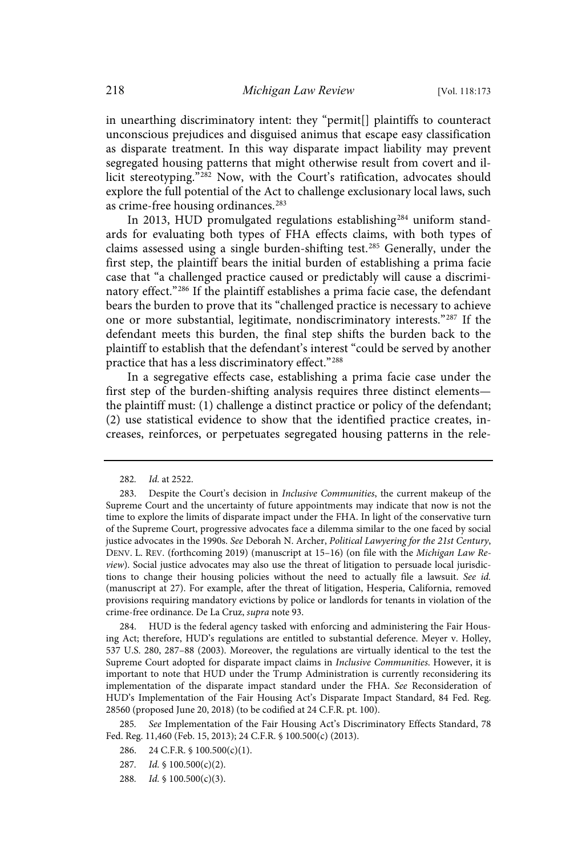in unearthing discriminatory intent: they "permit[] plaintiffs to counteract unconscious prejudices and disguised animus that escape easy classification as disparate treatment. In this way disparate impact liability may prevent segregated housing patterns that might otherwise result from covert and illicit stereotyping."<sup>282</sup> Now, with the Court's ratification, advocates should explore the full potential of the Act to challenge exclusionary local laws, such as crime-free housing ordinances.<sup>283</sup>

In 2013, HUD promulgated regulations establishing<sup>284</sup> uniform standards for evaluating both types of FHA effects claims, with both types of claims assessed using a single burden-shifting test.<sup>285</sup> Generally, under the first step, the plaintiff bears the initial burden of establishing a prima facie case that "a challenged practice caused or predictably will cause a discriminatory effect."<sup>286</sup> If the plaintiff establishes a prima facie case, the defendant bears the burden to prove that its "challenged practice is necessary to achieve one or more substantial, legitimate, nondiscriminatory interests." <sup>287</sup> If the defendant meets this burden, the final step shifts the burden back to the plaintiff to establish that the defendant's interest "could be served by another practice that has a less discriminatory effect."<sup>288</sup>

In a segregative effects case, establishing a prima facie case under the first step of the burden-shifting analysis requires three distinct elements the plaintiff must: (1) challenge a distinct practice or policy of the defendant; (2) use statistical evidence to show that the identified practice creates, increases, reinforces, or perpetuates segregated housing patterns in the rele-

284. HUD is the federal agency tasked with enforcing and administering the Fair Housing Act; therefore, HUD's regulations are entitled to substantial deference. Meyer v. Holley, 537 U.S. 280, 287–88 (2003). Moreover, the regulations are virtually identical to the test the Supreme Court adopted for disparate impact claims in Inclusive Communities. However, it is important to note that HUD under the Trump Administration is currently reconsidering its implementation of the disparate impact standard under the FHA. See Reconsideration of HUD's Implementation of the Fair Housing Act's Disparate Impact Standard, 84 Fed. Reg. 28560 (proposed June 20, 2018) (to be codified at 24 C.F.R. pt. 100).

285. See Implementation of the Fair Housing Act's Discriminatory Effects Standard, 78 Fed. Reg. 11,460 (Feb. 15, 2013); 24 C.F.R. § 100.500(c) (2013).

<sup>282.</sup> *Id.* at 2522.

<sup>283.</sup> Despite the Court's decision in Inclusive Communities, the current makeup of the Supreme Court and the uncertainty of future appointments may indicate that now is not the time to explore the limits of disparate impact under the FHA. In light of the conservative turn of the Supreme Court, progressive advocates face a dilemma similar to the one faced by social justice advocates in the 1990s. See Deborah N. Archer, Political Lawyering for the 21st Century, DENV. L. REV. (forthcoming 2019) (manuscript at 15–16) (on file with the Michigan Law Review). Social justice advocates may also use the threat of litigation to persuade local jurisdictions to change their housing policies without the need to actually file a lawsuit. See id. (manuscript at 27). For example, after the threat of litigation, Hesperia, California, removed provisions requiring mandatory evictions by police or landlords for tenants in violation of the crime-free ordinance. De La Cruz, supra note 93.

<sup>286.</sup> 24 C.F.R. § 100.500(c)(1).

<sup>287.</sup> Id.  $\frac{1}{9}$  100.500(c)(2).

<sup>288.</sup> Id.  $\frac{1}{9}$  100.500(c)(3).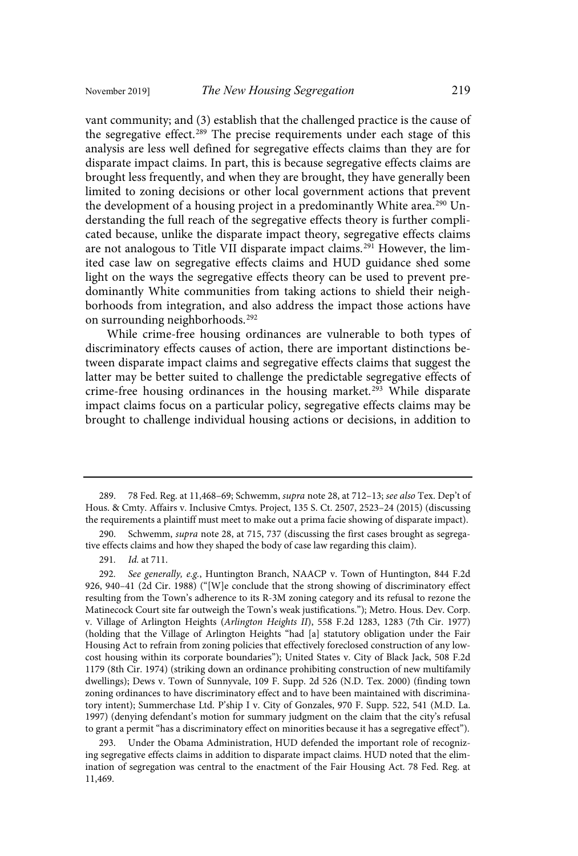vant community; and (3) establish that the challenged practice is the cause of the segregative effect.<sup>289</sup> The precise requirements under each stage of this analysis are less well defined for segregative effects claims than they are for disparate impact claims. In part, this is because segregative effects claims are brought less frequently, and when they are brought, they have generally been limited to zoning decisions or other local government actions that prevent the development of a housing project in a predominantly White area.<sup>290</sup> Understanding the full reach of the segregative effects theory is further complicated because, unlike the disparate impact theory, segregative effects claims are not analogous to Title VII disparate impact claims.<sup>291</sup> However, the limited case law on segregative effects claims and HUD guidance shed some light on the ways the segregative effects theory can be used to prevent predominantly White communities from taking actions to shield their neighborhoods from integration, and also address the impact those actions have on surrounding neighborhoods.<sup>292</sup>

While crime-free housing ordinances are vulnerable to both types of discriminatory effects causes of action, there are important distinctions between disparate impact claims and segregative effects claims that suggest the latter may be better suited to challenge the predictable segregative effects of crime-free housing ordinances in the housing market.<sup>293</sup> While disparate impact claims focus on a particular policy, segregative effects claims may be brought to challenge individual housing actions or decisions, in addition to

293. Under the Obama Administration, HUD defended the important role of recognizing segregative effects claims in addition to disparate impact claims. HUD noted that the elimination of segregation was central to the enactment of the Fair Housing Act. 78 Fed. Reg. at 11,469.

<sup>289. 78</sup> Fed. Reg. at 11,468-69; Schwemm, supra note 28, at 712-13; see also Tex. Dep't of Hous. & Cmty. Affairs v. Inclusive Cmtys. Project, 135 S. Ct. 2507, 2523–24 (2015) (discussing the requirements a plaintiff must meet to make out a prima facie showing of disparate impact).

<sup>290.</sup> Schwemm, supra note 28, at 715, 737 (discussing the first cases brought as segregative effects claims and how they shaped the body of case law regarding this claim).

<sup>291.</sup> *Id.* at 711.

<sup>292.</sup> See generally, e.g., Huntington Branch, NAACP v. Town of Huntington, 844 F.2d 926, 940–41 (2d Cir. 1988) ("[W]e conclude that the strong showing of discriminatory effect resulting from the Town's adherence to its R-3M zoning category and its refusal to rezone the Matinecock Court site far outweigh the Town's weak justifications."); Metro. Hous. Dev. Corp. v. Village of Arlington Heights (Arlington Heights II), 558 F.2d 1283, 1283 (7th Cir. 1977) (holding that the Village of Arlington Heights "had [a] statutory obligation under the Fair Housing Act to refrain from zoning policies that effectively foreclosed construction of any lowcost housing within its corporate boundaries"); United States v. City of Black Jack, 508 F.2d 1179 (8th Cir. 1974) (striking down an ordinance prohibiting construction of new multifamily dwellings); Dews v. Town of Sunnyvale, 109 F. Supp. 2d 526 (N.D. Tex. 2000) (finding town zoning ordinances to have discriminatory effect and to have been maintained with discriminatory intent); Summerchase Ltd. P'ship I v. City of Gonzales, 970 F. Supp. 522, 541 (M.D. La. 1997) (denying defendant's motion for summary judgment on the claim that the city's refusal to grant a permit "has a discriminatory effect on minorities because it has a segregative effect").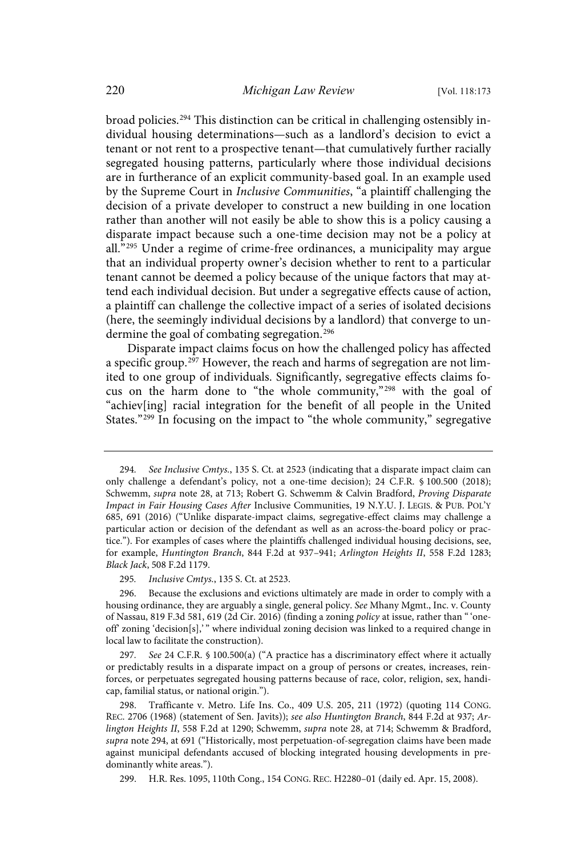broad policies.<sup>294</sup> This distinction can be critical in challenging ostensibly individual housing determinations—such as a landlord's decision to evict a tenant or not rent to a prospective tenant—that cumulatively further racially segregated housing patterns, particularly where those individual decisions are in furtherance of an explicit community-based goal. In an example used by the Supreme Court in *Inclusive Communities*, "a plaintiff challenging the decision of a private developer to construct a new building in one location rather than another will not easily be able to show this is a policy causing a disparate impact because such a one-time decision may not be a policy at all." <sup>295</sup> Under a regime of crime-free ordinances, a municipality may argue that an individual property owner's decision whether to rent to a particular tenant cannot be deemed a policy because of the unique factors that may attend each individual decision. But under a segregative effects cause of action, a plaintiff can challenge the collective impact of a series of isolated decisions (here, the seemingly individual decisions by a landlord) that converge to undermine the goal of combating segregation.<sup>296</sup>

Disparate impact claims focus on how the challenged policy has affected a specific group.<sup>297</sup> However, the reach and harms of segregation are not limited to one group of individuals. Significantly, segregative effects claims focus on the harm done to "the whole community," <sup>298</sup> with the goal of "achiev[ing] racial integration for the benefit of all people in the United States."<sup>299</sup> In focusing on the impact to "the whole community," segregative

295. Inclusive Cmtys., 135 S. Ct. at 2523.

See 24 C.F.R. § 100.500(a) ("A practice has a discriminatory effect where it actually or predictably results in a disparate impact on a group of persons or creates, increases, reinforces, or perpetuates segregated housing patterns because of race, color, religion, sex, handicap, familial status, or national origin.").

298. Trafficante v. Metro. Life Ins. Co., 409 U.S. 205, 211 (1972) (quoting 114 CONG. REC. 2706 (1968) (statement of Sen. Javits)); see also Huntington Branch, 844 F.2d at 937; Arlington Heights II, 558 F.2d at 1290; Schwemm, supra note 28, at 714; Schwemm & Bradford, supra note 294, at 691 ("Historically, most perpetuation-of-segregation claims have been made against municipal defendants accused of blocking integrated housing developments in predominantly white areas.").

299. H.R. Res. 1095, 110th Cong., 154 CONG. REC. H2280–01 (daily ed. Apr. 15, 2008).

<sup>294.</sup> See Inclusive Cmtys., 135 S. Ct. at 2523 (indicating that a disparate impact claim can only challenge a defendant's policy, not a one-time decision); 24 C.F.R. § 100.500 (2018); Schwemm, supra note 28, at 713; Robert G. Schwemm & Calvin Bradford, Proving Disparate Impact in Fair Housing Cases After Inclusive Communities, 19 N.Y.U. J. LEGIS. & PUB. POL'Y 685, 691 (2016) ("Unlike disparate-impact claims, segregative-effect claims may challenge a particular action or decision of the defendant as well as an across-the-board policy or practice."). For examples of cases where the plaintiffs challenged individual housing decisions, see, for example, Huntington Branch, 844 F.2d at 937–941; Arlington Heights II, 558 F.2d 1283; Black Jack, 508 F.2d 1179.

<sup>296.</sup> Because the exclusions and evictions ultimately are made in order to comply with a housing ordinance, they are arguably a single, general policy. See Mhany Mgmt., Inc. v. County of Nassau, 819 F.3d 581, 619 (2d Cir. 2016) (finding a zoning policy at issue, rather than "'oneoff' zoning 'decision[s],' " where individual zoning decision was linked to a required change in local law to facilitate the construction).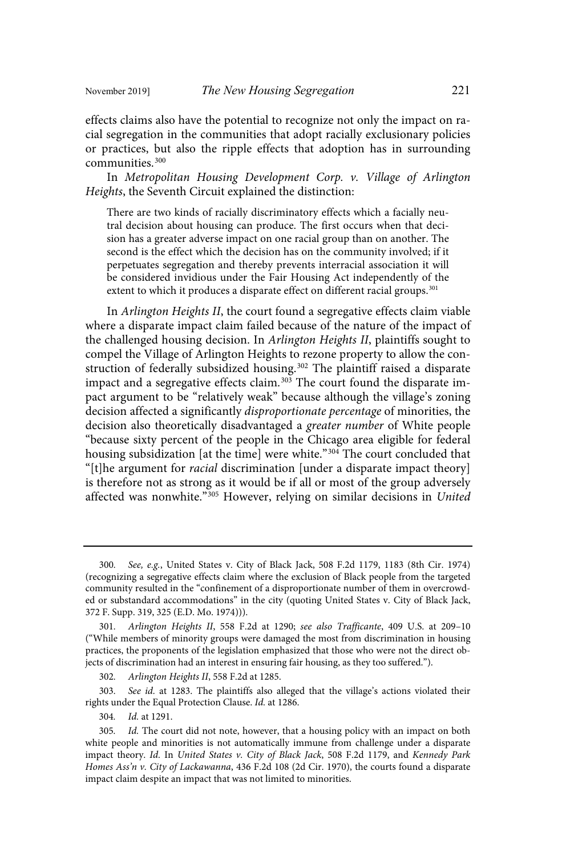effects claims also have the potential to recognize not only the impact on racial segregation in the communities that adopt racially exclusionary policies or practices, but also the ripple effects that adoption has in surrounding communities.<sup>300</sup>

In Metropolitan Housing Development Corp. v. Village of Arlington Heights, the Seventh Circuit explained the distinction:

There are two kinds of racially discriminatory effects which a facially neutral decision about housing can produce. The first occurs when that decision has a greater adverse impact on one racial group than on another. The second is the effect which the decision has on the community involved; if it perpetuates segregation and thereby prevents interracial association it will be considered invidious under the Fair Housing Act independently of the extent to which it produces a disparate effect on different racial groups.<sup>301</sup>

In Arlington Heights II, the court found a segregative effects claim viable where a disparate impact claim failed because of the nature of the impact of the challenged housing decision. In Arlington Heights II, plaintiffs sought to compel the Village of Arlington Heights to rezone property to allow the construction of federally subsidized housing.<sup>302</sup> The plaintiff raised a disparate impact and a segregative effects claim. <sup>303</sup> The court found the disparate impact argument to be "relatively weak" because although the village's zoning decision affected a significantly disproportionate percentage of minorities, the decision also theoretically disadvantaged a greater number of White people "because sixty percent of the people in the Chicago area eligible for federal housing subsidization [at the time] were white." <sup>304</sup> The court concluded that "[t]he argument for racial discrimination [under a disparate impact theory] is therefore not as strong as it would be if all or most of the group adversely affected was nonwhite."<sup>305</sup> However, relying on similar decisions in United

302. Arlington Heights II, 558 F.2d at 1285.

303. See id. at 1283. The plaintiffs also alleged that the village's actions violated their rights under the Equal Protection Clause. Id. at 1286.

304. Id. at 1291.

<sup>300.</sup> See, e.g., United States v. City of Black Jack, 508 F.2d 1179, 1183 (8th Cir. 1974) (recognizing a segregative effects claim where the exclusion of Black people from the targeted community resulted in the "confinement of a disproportionate number of them in overcrowded or substandard accommodations" in the city (quoting United States v. City of Black Jack, 372 F. Supp. 319, 325 (E.D. Mo. 1974))).

<sup>301.</sup> Arlington Heights II, 558 F.2d at 1290; see also Trafficante, 409 U.S. at 209-10 ("While members of minority groups were damaged the most from discrimination in housing practices, the proponents of the legislation emphasized that those who were not the direct objects of discrimination had an interest in ensuring fair housing, as they too suffered.").

<sup>305.</sup> Id. The court did not note, however, that a housing policy with an impact on both white people and minorities is not automatically immune from challenge under a disparate impact theory. Id. In United States v. City of Black Jack, 508 F.2d 1179, and Kennedy Park Homes Ass'n v. City of Lackawanna, 436 F.2d 108 (2d Cir. 1970), the courts found a disparate impact claim despite an impact that was not limited to minorities.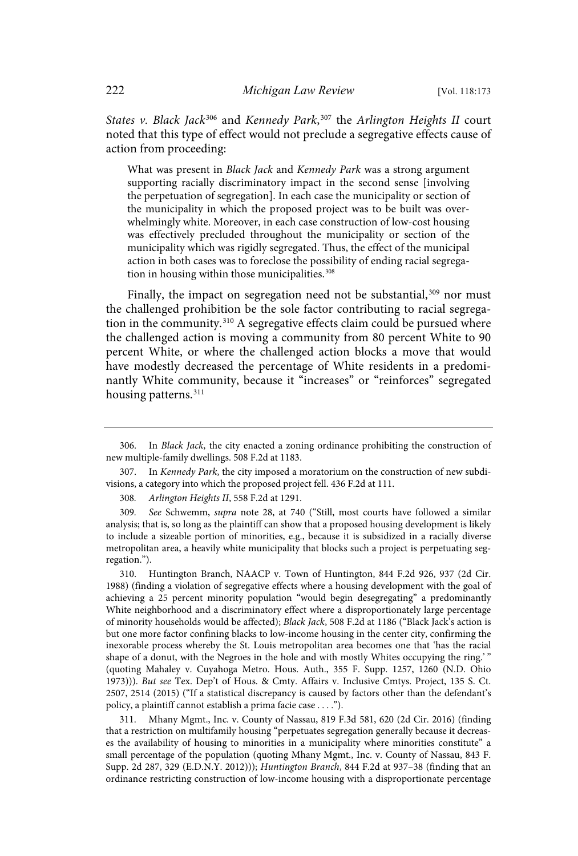States v. Black Jack<sup>306</sup> and Kennedy Park,<sup>307</sup> the Arlington Heights II court noted that this type of effect would not preclude a segregative effects cause of action from proceeding:

What was present in Black Jack and Kennedy Park was a strong argument supporting racially discriminatory impact in the second sense [involving the perpetuation of segregation]. In each case the municipality or section of the municipality in which the proposed project was to be built was overwhelmingly white. Moreover, in each case construction of low-cost housing was effectively precluded throughout the municipality or section of the municipality which was rigidly segregated. Thus, the effect of the municipal action in both cases was to foreclose the possibility of ending racial segregation in housing within those municipalities. 308

Finally, the impact on segregation need not be substantial,<sup>309</sup> nor must the challenged prohibition be the sole factor contributing to racial segregation in the community.<sup>310</sup> A segregative effects claim could be pursued where the challenged action is moving a community from 80 percent White to 90 percent White, or where the challenged action blocks a move that would have modestly decreased the percentage of White residents in a predominantly White community, because it "increases" or "reinforces" segregated housing patterns. 311

308. Arlington Heights II, 558 F.2d at 1291.

309. See Schwemm, supra note 28, at 740 ("Still, most courts have followed a similar analysis; that is, so long as the plaintiff can show that a proposed housing development is likely to include a sizeable portion of minorities, e.g., because it is subsidized in a racially diverse metropolitan area, a heavily white municipality that blocks such a project is perpetuating segregation.").

310. Huntington Branch, NAACP v. Town of Huntington, 844 F.2d 926, 937 (2d Cir. 1988) (finding a violation of segregative effects where a housing development with the goal of achieving a 25 percent minority population "would begin desegregating" a predominantly White neighborhood and a discriminatory effect where a disproportionately large percentage of minority households would be affected); Black Jack, 508 F.2d at 1186 ("Black Jack's action is but one more factor confining blacks to low-income housing in the center city, confirming the inexorable process whereby the St. Louis metropolitan area becomes one that 'has the racial shape of a donut, with the Negroes in the hole and with mostly Whites occupying the ring.'" (quoting Mahaley v. Cuyahoga Metro. Hous. Auth., 355 F. Supp. 1257, 1260 (N.D. Ohio 1973))). But see Tex. Dep't of Hous. & Cmty. Affairs v. Inclusive Cmtys. Project, 135 S. Ct. 2507, 2514 (2015) ("If a statistical discrepancy is caused by factors other than the defendant's policy, a plaintiff cannot establish a prima facie case . . . .").

311. Mhany Mgmt., Inc. v. County of Nassau, 819 F.3d 581, 620 (2d Cir. 2016) (finding that a restriction on multifamily housing "perpetuates segregation generally because it decreases the availability of housing to minorities in a municipality where minorities constitute" a small percentage of the population (quoting Mhany Mgmt., Inc. v. County of Nassau, 843 F. Supp. 2d 287, 329 (E.D.N.Y. 2012))); Huntington Branch, 844 F.2d at 937–38 (finding that an ordinance restricting construction of low-income housing with a disproportionate percentage

<sup>306.</sup> In Black Jack, the city enacted a zoning ordinance prohibiting the construction of new multiple-family dwellings. 508 F.2d at 1183.

<sup>307.</sup> In Kennedy Park, the city imposed a moratorium on the construction of new subdivisions, a category into which the proposed project fell. 436 F.2d at 111.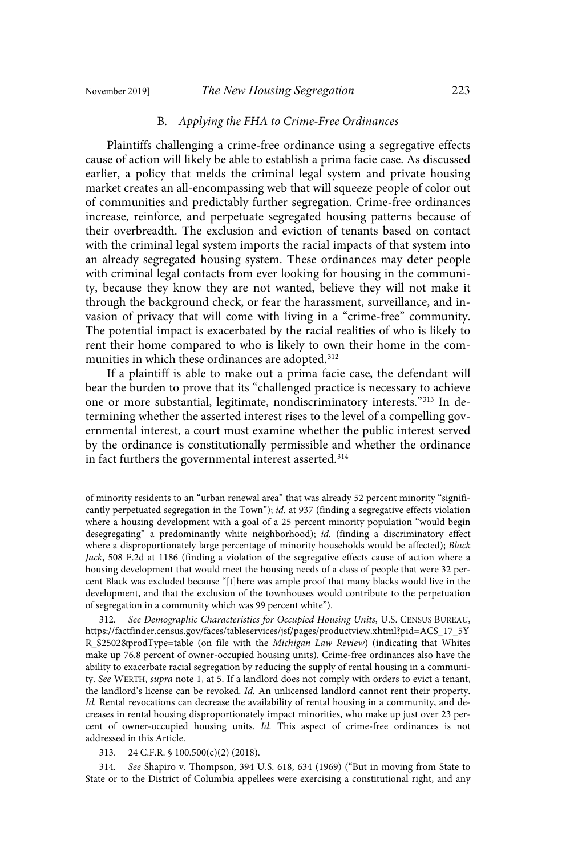#### B. Applying the FHA to Crime-Free Ordinances

Plaintiffs challenging a crime-free ordinance using a segregative effects cause of action will likely be able to establish a prima facie case. As discussed earlier, a policy that melds the criminal legal system and private housing market creates an all-encompassing web that will squeeze people of color out of communities and predictably further segregation. Crime-free ordinances increase, reinforce, and perpetuate segregated housing patterns because of their overbreadth. The exclusion and eviction of tenants based on contact with the criminal legal system imports the racial impacts of that system into an already segregated housing system. These ordinances may deter people with criminal legal contacts from ever looking for housing in the community, because they know they are not wanted, believe they will not make it through the background check, or fear the harassment, surveillance, and invasion of privacy that will come with living in a "crime-free" community. The potential impact is exacerbated by the racial realities of who is likely to rent their home compared to who is likely to own their home in the communities in which these ordinances are adopted.<sup>312</sup>

If a plaintiff is able to make out a prima facie case, the defendant will bear the burden to prove that its "challenged practice is necessary to achieve one or more substantial, legitimate, nondiscriminatory interests."<sup>313</sup> In determining whether the asserted interest rises to the level of a compelling governmental interest, a court must examine whether the public interest served by the ordinance is constitutionally permissible and whether the ordinance in fact furthers the governmental interest asserted. 314

314 . See Shapiro v. Thompson, 394 U.S. 618, 634 (1969) ("But in moving from State to State or to the District of Columbia appellees were exercising a constitutional right, and any

of minority residents to an "urban renewal area" that was already 52 percent minority "significantly perpetuated segregation in the Town"); id. at 937 (finding a segregative effects violation where a housing development with a goal of a 25 percent minority population "would begin desegregating" a predominantly white neighborhood); id. (finding a discriminatory effect where a disproportionately large percentage of minority households would be affected); Black Jack, 508 F.2d at 1186 (finding a violation of the segregative effects cause of action where a housing development that would meet the housing needs of a class of people that were 32 percent Black was excluded because "[t]here was ample proof that many blacks would live in the development, and that the exclusion of the townhouses would contribute to the perpetuation of segregation in a community which was 99 percent white").

<sup>312.</sup> See Demographic Characteristics for Occupied Housing Units, U.S. CENSUS BUREAU, https://factfinder.census.gov/faces/tableservices/jsf/pages/productview.xhtml?pid=ACS\_17\_5Y R\_S2502&prodType=table (on file with the Michigan Law Review) (indicating that Whites make up 76.8 percent of owner-occupied housing units). Crime-free ordinances also have the ability to exacerbate racial segregation by reducing the supply of rental housing in a community. See WERTH, supra note 1, at 5. If a landlord does not comply with orders to evict a tenant, the landlord's license can be revoked. Id. An unlicensed landlord cannot rent their property. Id. Rental revocations can decrease the availability of rental housing in a community, and decreases in rental housing disproportionately impact minorities, who make up just over 23 percent of owner-occupied housing units. Id. This aspect of crime-free ordinances is not addressed in this Article.

<sup>313.</sup> 24 C.F.R. § 100.500(c)(2) (2018).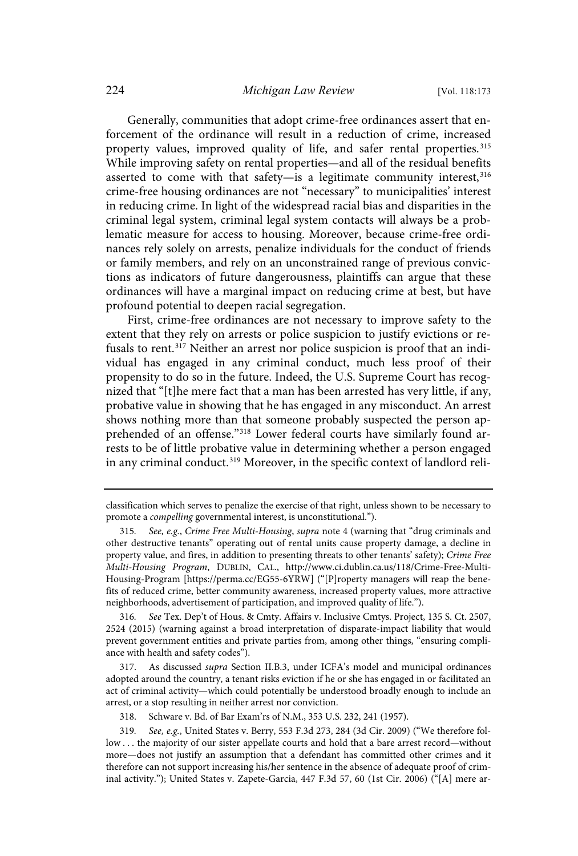Generally, communities that adopt crime-free ordinances assert that enforcement of the ordinance will result in a reduction of crime, increased property values, improved quality of life, and safer rental properties.<sup>315</sup> While improving safety on rental properties—and all of the residual benefits asserted to come with that safety—is a legitimate community interest,  $316$ crime-free housing ordinances are not "necessary" to municipalities' interest in reducing crime. In light of the widespread racial bias and disparities in the criminal legal system, criminal legal system contacts will always be a problematic measure for access to housing. Moreover, because crime-free ordinances rely solely on arrests, penalize individuals for the conduct of friends or family members, and rely on an unconstrained range of previous convictions as indicators of future dangerousness, plaintiffs can argue that these ordinances will have a marginal impact on reducing crime at best, but have profound potential to deepen racial segregation.

First, crime-free ordinances are not necessary to improve safety to the extent that they rely on arrests or police suspicion to justify evictions or refusals to rent.<sup>317</sup> Neither an arrest nor police suspicion is proof that an individual has engaged in any criminal conduct, much less proof of their propensity to do so in the future. Indeed, the U.S. Supreme Court has recognized that "[t]he mere fact that a man has been arrested has very little, if any, probative value in showing that he has engaged in any misconduct. An arrest shows nothing more than that someone probably suspected the person apprehended of an offense."<sup>318</sup> Lower federal courts have similarly found arrests to be of little probative value in determining whether a person engaged in any criminal conduct.<sup>319</sup> Moreover, in the specific context of landlord reli-

318. Schware v. Bd. of Bar Exam'rs of N.M., 353 U.S. 232, 241 (1957).

classification which serves to penalize the exercise of that right, unless shown to be necessary to promote a compelling governmental interest, is unconstitutional.").

<sup>315.</sup> See, e.g., Crime Free Multi-Housing, supra note 4 (warning that "drug criminals and other destructive tenants" operating out of rental units cause property damage, a decline in property value, and fires, in addition to presenting threats to other tenants' safety); Crime Free Multi-Housing Program, DUBLIN, CAL., http://www.ci.dublin.ca.us/118/Crime-Free-Multi-Housing-Program [https://perma.cc/EG55-6YRW] ("[P]roperty managers will reap the benefits of reduced crime, better community awareness, increased property values, more attractive neighborhoods, advertisement of participation, and improved quality of life.").

<sup>316</sup> . See Tex. Dep't of Hous. & Cmty. Affairs v. Inclusive Cmtys. Project, 135 S. Ct. 2507, 2524 (2015) (warning against a broad interpretation of disparate-impact liability that would prevent government entities and private parties from, among other things, "ensuring compliance with health and safety codes").

<sup>317.</sup> As discussed supra Section II.B.3, under ICFA's model and municipal ordinances adopted around the country, a tenant risks eviction if he or she has engaged in or facilitated an act of criminal activity—which could potentially be understood broadly enough to include an arrest, or a stop resulting in neither arrest nor conviction.

<sup>319.</sup> See, e.g., United States v. Berry, 553 F.3d 273, 284 (3d Cir. 2009) ("We therefore follow . . . the majority of our sister appellate courts and hold that a bare arrest record—without more—does not justify an assumption that a defendant has committed other crimes and it therefore can not support increasing his/her sentence in the absence of adequate proof of criminal activity."); United States v. Zapete-Garcia, 447 F.3d 57, 60 (1st Cir. 2006) ("[A] mere ar-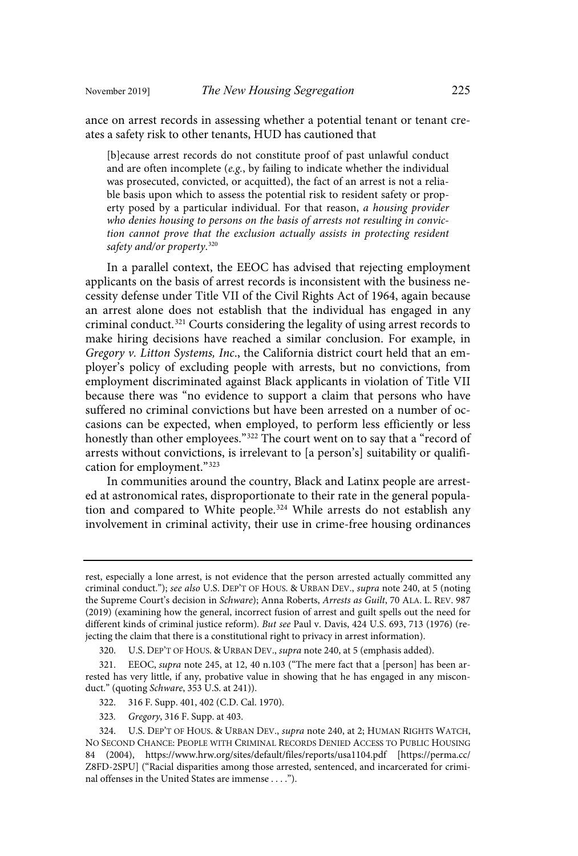ance on arrest records in assessing whether a potential tenant or tenant creates a safety risk to other tenants, HUD has cautioned that

[b]ecause arrest records do not constitute proof of past unlawful conduct and are often incomplete  $(e.g., by failing to indicate whether the individual$ was prosecuted, convicted, or acquitted), the fact of an arrest is not a reliable basis upon which to assess the potential risk to resident safety or property posed by a particular individual. For that reason, a housing provider who denies housing to persons on the basis of arrests not resulting in conviction cannot prove that the exclusion actually assists in protecting resident safety and/or property.<sup>320</sup>

In a parallel context, the EEOC has advised that rejecting employment applicants on the basis of arrest records is inconsistent with the business necessity defense under Title VII of the Civil Rights Act of 1964, again because an arrest alone does not establish that the individual has engaged in any criminal conduct.<sup>321</sup> Courts considering the legality of using arrest records to make hiring decisions have reached a similar conclusion. For example, in Gregory v. Litton Systems, Inc., the California district court held that an employer's policy of excluding people with arrests, but no convictions, from employment discriminated against Black applicants in violation of Title VII because there was "no evidence to support a claim that persons who have suffered no criminal convictions but have been arrested on a number of occasions can be expected, when employed, to perform less efficiently or less honestly than other employees." <sup>322</sup> The court went on to say that a "record of arrests without convictions, is irrelevant to [a person's] suitability or qualification for employment." 323

In communities around the country, Black and Latinx people are arrested at astronomical rates, disproportionate to their rate in the general population and compared to White people.<sup>324</sup> While arrests do not establish any involvement in criminal activity, their use in crime-free housing ordinances

- 322. 316 F. Supp. 401, 402 (C.D. Cal. 1970).
- 323 . Gregory, 316 F. Supp. at 403.

rest, especially a lone arrest, is not evidence that the person arrested actually committed any criminal conduct."); see also U.S. DEP'T OF HOUS. & URBAN DEV., supra note 240, at 5 (noting the Supreme Court's decision in Schware); Anna Roberts, Arrests as Guilt, 70 ALA. L. REV. 987 (2019) (examining how the general, incorrect fusion of arrest and guilt spells out the need for different kinds of criminal justice reform). But see Paul v. Davis, 424 U.S. 693, 713 (1976) (rejecting the claim that there is a constitutional right to privacy in arrest information).

<sup>320.</sup> U.S. DEP'T OF HOUS. & URBAN DEV., supra note 240, at 5 (emphasis added).

<sup>321.</sup> EEOC, supra note 245, at 12, 40 n.103 ("The mere fact that a [person] has been arrested has very little, if any, probative value in showing that he has engaged in any misconduct." (quoting Schware, 353 U.S. at 241)).

<sup>324.</sup> U.S. DEP'T OF HOUS. & URBAN DEV., supra note 240, at 2; HUMAN RIGHTS WATCH, NO SECOND CHANCE: PEOPLE WITH CRIMINAL RECORDS DENIED ACCESS TO PUBLIC HOUSING 84 (2004), https://www.hrw.org/sites/default/files/reports/usa1104.pdf [https://perma.cc/ Z8FD-2SPU] ("Racial disparities among those arrested, sentenced, and incarcerated for criminal offenses in the United States are immense . . . .").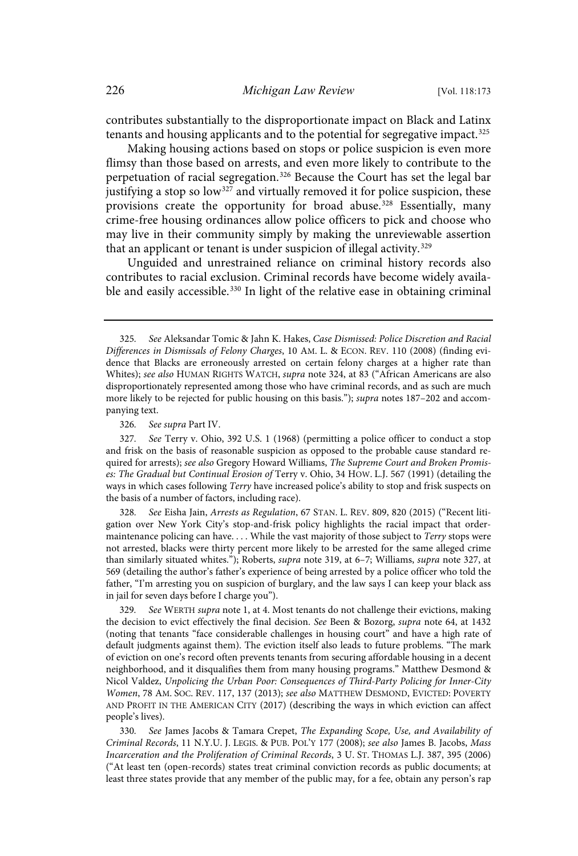contributes substantially to the disproportionate impact on Black and Latinx tenants and housing applicants and to the potential for segregative impact.<sup>325</sup>

Making housing actions based on stops or police suspicion is even more flimsy than those based on arrests, and even more likely to contribute to the perpetuation of racial segregation.<sup>326</sup> Because the Court has set the legal bar justifying a stop so  $low^{327}$  and virtually removed it for police suspicion, these provisions create the opportunity for broad abuse.<sup>328</sup> Essentially, many crime-free housing ordinances allow police officers to pick and choose who may live in their community simply by making the unreviewable assertion that an applicant or tenant is under suspicion of illegal activity.<sup>329</sup>

Unguided and unrestrained reliance on criminal history records also contributes to racial exclusion. Criminal records have become widely available and easily accessible.<sup>330</sup> In light of the relative ease in obtaining criminal

326. See supra Part IV.

See Eisha Jain, Arrests as Regulation, 67 STAN. L. REV. 809, 820 (2015) ("Recent litigation over New York City's stop-and-frisk policy highlights the racial impact that ordermaintenance policing can have. . . . While the vast majority of those subject to Terry stops were not arrested, blacks were thirty percent more likely to be arrested for the same alleged crime than similarly situated whites."); Roberts, supra note 319, at 6-7; Williams, supra note 327, at 569 (detailing the author's father's experience of being arrested by a police officer who told the father, "I'm arresting you on suspicion of burglary, and the law says I can keep your black ass in jail for seven days before I charge you").

See WERTH supra note 1, at 4. Most tenants do not challenge their evictions, making the decision to evict effectively the final decision. See Been & Bozorg, supra note 64, at 1432 (noting that tenants "face considerable challenges in housing court" and have a high rate of default judgments against them). The eviction itself also leads to future problems. "The mark of eviction on one's record often prevents tenants from securing affordable housing in a decent neighborhood, and it disqualifies them from many housing programs." Matthew Desmond & Nicol Valdez, Unpolicing the Urban Poor: Consequences of Third-Party Policing for Inner-City Women, 78 AM. SOC. REV. 117, 137 (2013); see also MATTHEW DESMOND, EVICTED: POVERTY AND PROFIT IN THE AMERICAN CITY (2017) (describing the ways in which eviction can affect people's lives).

330. See James Jacobs & Tamara Crepet, The Expanding Scope, Use, and Availability of Criminal Records, 11 N.Y.U. J. LEGIS. & PUB. POL'Y 177 (2008); see also James B. Jacobs, Mass Incarceration and the Proliferation of Criminal Records, 3 U. ST. THOMAS L.J. 387, 395 (2006) ("At least ten (open-records) states treat criminal conviction records as public documents; at least three states provide that any member of the public may, for a fee, obtain any person's rap

<sup>325</sup> . See Aleksandar Tomic & Jahn K. Hakes, Case Dismissed: Police Discretion and Racial Differences in Dismissals of Felony Charges, 10 AM. L. & ECON. REV. 110 (2008) (finding evidence that Blacks are erroneously arrested on certain felony charges at a higher rate than Whites); see also HUMAN RIGHTS WATCH, supra note 324, at 83 ("African Americans are also disproportionately represented among those who have criminal records, and as such are much more likely to be rejected for public housing on this basis."); *supra* notes 187-202 and accompanying text.

<sup>327</sup> . See Terry v. Ohio, 392 U.S. 1 (1968) (permitting a police officer to conduct a stop and frisk on the basis of reasonable suspicion as opposed to the probable cause standard required for arrests); see also Gregory Howard Williams, The Supreme Court and Broken Promises: The Gradual but Continual Erosion of Terry v. Ohio, 34 HOW. L.J. 567 (1991) (detailing the ways in which cases following Terry have increased police's ability to stop and frisk suspects on the basis of a number of factors, including race).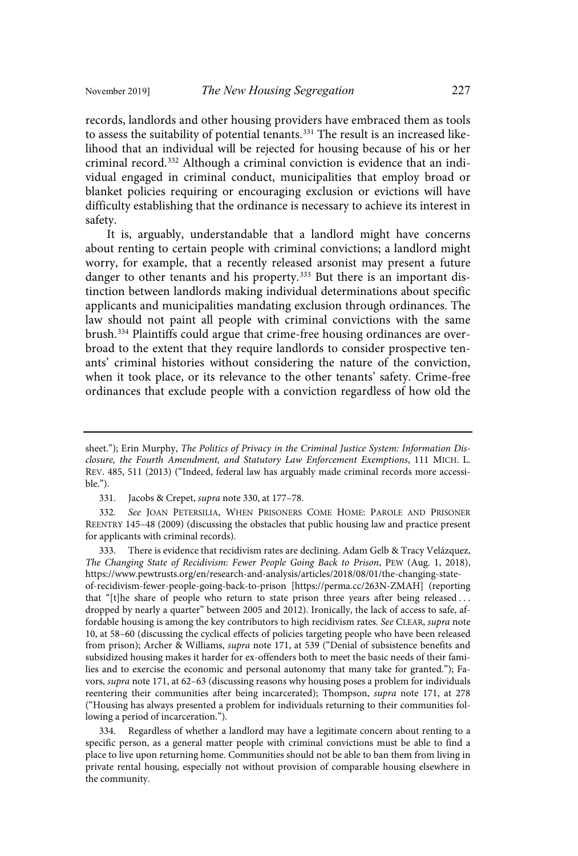records, landlords and other housing providers have embraced them as tools to assess the suitability of potential tenants.<sup>331</sup> The result is an increased likelihood that an individual will be rejected for housing because of his or her criminal record. <sup>332</sup> Although a criminal conviction is evidence that an individual engaged in criminal conduct, municipalities that employ broad or blanket policies requiring or encouraging exclusion or evictions will have difficulty establishing that the ordinance is necessary to achieve its interest in safety.

It is, arguably, understandable that a landlord might have concerns about renting to certain people with criminal convictions; a landlord might worry, for example, that a recently released arsonist may present a future danger to other tenants and his property.<sup>333</sup> But there is an important distinction between landlords making individual determinations about specific applicants and municipalities mandating exclusion through ordinances. The law should not paint all people with criminal convictions with the same brush. <sup>334</sup> Plaintiffs could argue that crime-free housing ordinances are overbroad to the extent that they require landlords to consider prospective tenants' criminal histories without considering the nature of the conviction, when it took place, or its relevance to the other tenants' safety. Crime-free ordinances that exclude people with a conviction regardless of how old the

333. There is evidence that recidivism rates are declining. Adam Gelb & Tracy Velázquez, The Changing State of Recidivism: Fewer People Going Back to Prison, PEW (Aug. 1, 2018), https://www.pewtrusts.org/en/research-and-analysis/articles/2018/08/01/the-changing-stateof-recidivism-fewer-people-going-back-to-prison [https://perma.cc/263N-ZMAH] (reporting

that "[t]he share of people who return to state prison three years after being released . . . dropped by nearly a quarter" between 2005 and 2012). Ironically, the lack of access to safe, affordable housing is among the key contributors to high recidivism rates. See CLEAR, supra note 10, at 58–60 (discussing the cyclical effects of policies targeting people who have been released from prison); Archer & Williams, supra note 171, at 539 ("Denial of subsistence benefits and subsidized housing makes it harder for ex-offenders both to meet the basic needs of their families and to exercise the economic and personal autonomy that many take for granted."); Favors, supra note 171, at 62–63 (discussing reasons why housing poses a problem for individuals reentering their communities after being incarcerated); Thompson, supra note 171, at 278 ("Housing has always presented a problem for individuals returning to their communities following a period of incarceration.").

334. Regardless of whether a landlord may have a legitimate concern about renting to a specific person, as a general matter people with criminal convictions must be able to find a place to live upon returning home. Communities should not be able to ban them from living in private rental housing, especially not without provision of comparable housing elsewhere in the community.

sheet."); Erin Murphy, The Politics of Privacy in the Criminal Justice System: Information Disclosure, the Fourth Amendment, and Statutory Law Enforcement Exemptions, 111 MICH. L. REV. 485, 511 (2013) ("Indeed, federal law has arguably made criminal records more accessible.").

<sup>331.</sup> Jacobs & Crepet, supra note 330, at 177–78.

<sup>332.</sup> See JOAN PETERSILIA, WHEN PRISONERS COME HOME: PAROLE AND PRISONER REENTRY 145–48 (2009) (discussing the obstacles that public housing law and practice present for applicants with criminal records).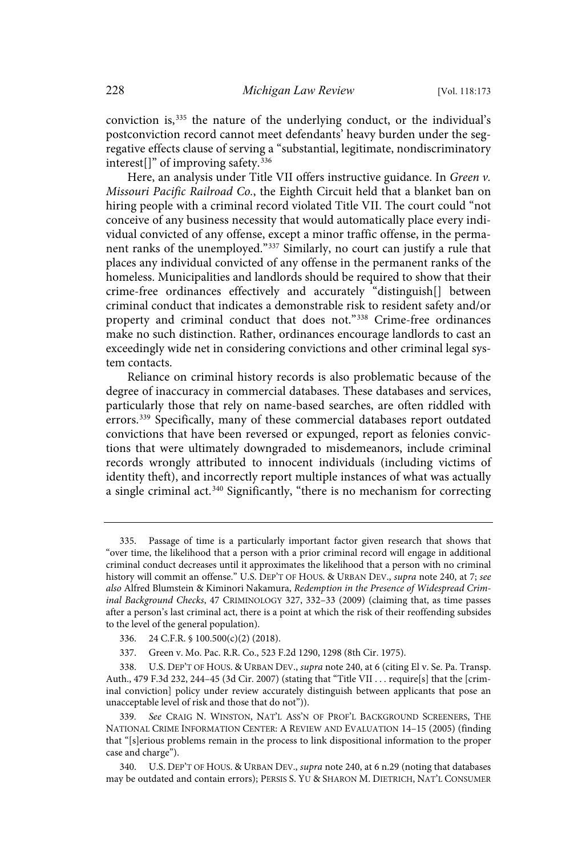conviction is,<sup>335</sup> the nature of the underlying conduct, or the individual's postconviction record cannot meet defendants' heavy burden under the segregative effects clause of serving a "substantial, legitimate, nondiscriminatory interest<sup>[]"</sup> of improving safety.<sup>336</sup>

Here, an analysis under Title VII offers instructive guidance. In Green v. Missouri Pacific Railroad Co., the Eighth Circuit held that a blanket ban on hiring people with a criminal record violated Title VII. The court could "not conceive of any business necessity that would automatically place every individual convicted of any offense, except a minor traffic offense, in the permanent ranks of the unemployed." <sup>337</sup> Similarly, no court can justify a rule that places any individual convicted of any offense in the permanent ranks of the homeless. Municipalities and landlords should be required to show that their crime-free ordinances effectively and accurately "distinguish[] between criminal conduct that indicates a demonstrable risk to resident safety and/or property and criminal conduct that does not."<sup>338</sup> Crime-free ordinances make no such distinction. Rather, ordinances encourage landlords to cast an exceedingly wide net in considering convictions and other criminal legal system contacts.

Reliance on criminal history records is also problematic because of the degree of inaccuracy in commercial databases. These databases and services, particularly those that rely on name-based searches, are often riddled with errors.<sup>339</sup> Specifically, many of these commercial databases report outdated convictions that have been reversed or expunged, report as felonies convictions that were ultimately downgraded to misdemeanors, include criminal records wrongly attributed to innocent individuals (including victims of identity theft), and incorrectly report multiple instances of what was actually a single criminal act.<sup>340</sup> Significantly, "there is no mechanism for correcting

<sup>335.</sup> Passage of time is a particularly important factor given research that shows that "over time, the likelihood that a person with a prior criminal record will engage in additional criminal conduct decreases until it approximates the likelihood that a person with no criminal history will commit an offense." U.S. DEP'T OF HOUS. & URBAN DEV., supra note 240, at 7; see also Alfred Blumstein & Kiminori Nakamura, Redemption in the Presence of Widespread Criminal Background Checks, 47 CRIMINOLOGY 327, 332–33 (2009) (claiming that, as time passes after a person's last criminal act, there is a point at which the risk of their reoffending subsides to the level of the general population).

<sup>336.</sup> 24 C.F.R. § 100.500(c)(2) (2018).

<sup>337.</sup> Green v. Mo. Pac. R.R. Co., 523 F.2d 1290, 1298 (8th Cir. 1975).

<sup>338.</sup> U.S. DEP'T OF HOUS. & URBAN DEV., *supra* note 240, at 6 (citing El v. Se. Pa. Transp. Auth., 479 F.3d 232, 244–45 (3d Cir. 2007) (stating that "Title VII . . . require[s] that the [criminal conviction] policy under review accurately distinguish between applicants that pose an unacceptable level of risk and those that do not")).

<sup>339.</sup> See CRAIG N. WINSTON, NAT'L ASS'N OF PROF'L BACKGROUND SCREENERS, THE NATIONAL CRIME INFORMATION CENTER: A REVIEW AND EVALUATION 14–15 (2005) (finding that "[s]erious problems remain in the process to link dispositional information to the proper case and charge").

<sup>340.</sup> U.S. DEP'T OF HOUS. & URBAN DEV., supra note 240, at 6 n.29 (noting that databases may be outdated and contain errors); PERSIS S. YU & SHARON M. DIETRICH, NAT'L CONSUMER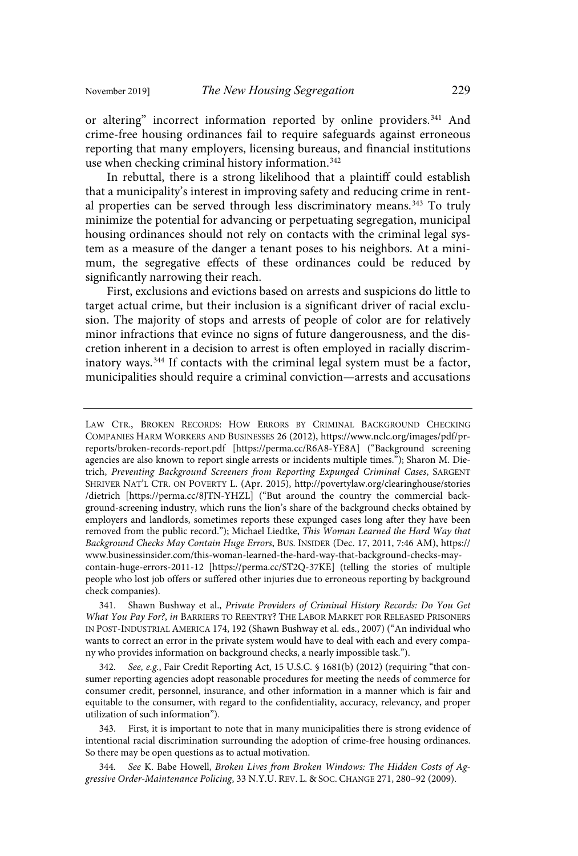or altering" incorrect information reported by online providers.<sup>341</sup> And crime-free housing ordinances fail to require safeguards against erroneous reporting that many employers, licensing bureaus, and financial institutions use when checking criminal history information.<sup>342</sup>

In rebuttal, there is a strong likelihood that a plaintiff could establish that a municipality's interest in improving safety and reducing crime in rental properties can be served through less discriminatory means.<sup>343</sup> To truly minimize the potential for advancing or perpetuating segregation, municipal housing ordinances should not rely on contacts with the criminal legal system as a measure of the danger a tenant poses to his neighbors. At a minimum, the segregative effects of these ordinances could be reduced by significantly narrowing their reach.

First, exclusions and evictions based on arrests and suspicions do little to target actual crime, but their inclusion is a significant driver of racial exclusion. The majority of stops and arrests of people of color are for relatively minor infractions that evince no signs of future dangerousness, and the discretion inherent in a decision to arrest is often employed in racially discriminatory ways.<sup>344</sup> If contacts with the criminal legal system must be a factor, municipalities should require a criminal conviction—arrests and accusations

LAW CTR., BROKEN RECORDS: HOW ERRORS BY CRIMINAL BACKGROUND CHECKING COMPANIES HARM WORKERS AND BUSINESSES 26 (2012), https://www.nclc.org/images/pdf/prreports/broken-records-report.pdf [https://perma.cc/R6A8-YE8A] ("Background screening agencies are also known to report single arrests or incidents multiple times."); Sharon M. Dietrich, Preventing Background Screeners from Reporting Expunged Criminal Cases, SARGENT SHRIVER NAT'L CTR. ON POVERTY L. (Apr. 2015), http://povertylaw.org/clearinghouse/stories /dietrich [https://perma.cc/8JTN-YHZL] ("But around the country the commercial background-screening industry, which runs the lion's share of the background checks obtained by employers and landlords, sometimes reports these expunged cases long after they have been removed from the public record."); Michael Liedtke, This Woman Learned the Hard Way that Background Checks May Contain Huge Errors, BUS. INSIDER (Dec. 17, 2011, 7:46 AM), https:// www.businessinsider.com/this-woman-learned-the-hard-way-that-background-checks-maycontain-huge-errors-2011-12 [https://perma.cc/ST2Q-37KE] (telling the stories of multiple people who lost job offers or suffered other injuries due to erroneous reporting by background check companies).

<sup>341.</sup> Shawn Bushway et al., Private Providers of Criminal History Records: Do You Get What You Pay For?, in BARRIERS TO REENTRY? THE LABOR MARKET FOR RELEASED PRISONERS IN POST-INDUSTRIAL AMERICA 174, 192 (Shawn Bushway et al. eds., 2007) ("An individual who wants to correct an error in the private system would have to deal with each and every company who provides information on background checks, a nearly impossible task.").

<sup>342.</sup> See, e.g., Fair Credit Reporting Act, 15 U.S.C. § 1681(b) (2012) (requiring "that consumer reporting agencies adopt reasonable procedures for meeting the needs of commerce for consumer credit, personnel, insurance, and other information in a manner which is fair and equitable to the consumer, with regard to the confidentiality, accuracy, relevancy, and proper utilization of such information").

<sup>343.</sup> First, it is important to note that in many municipalities there is strong evidence of intentional racial discrimination surrounding the adoption of crime-free housing ordinances. So there may be open questions as to actual motivation.

<sup>344.</sup> See K. Babe Howell, Broken Lives from Broken Windows: The Hidden Costs of Aggressive Order-Maintenance Policing, 33 N.Y.U. REV. L. & SOC. CHANGE 271, 280–92 (2009).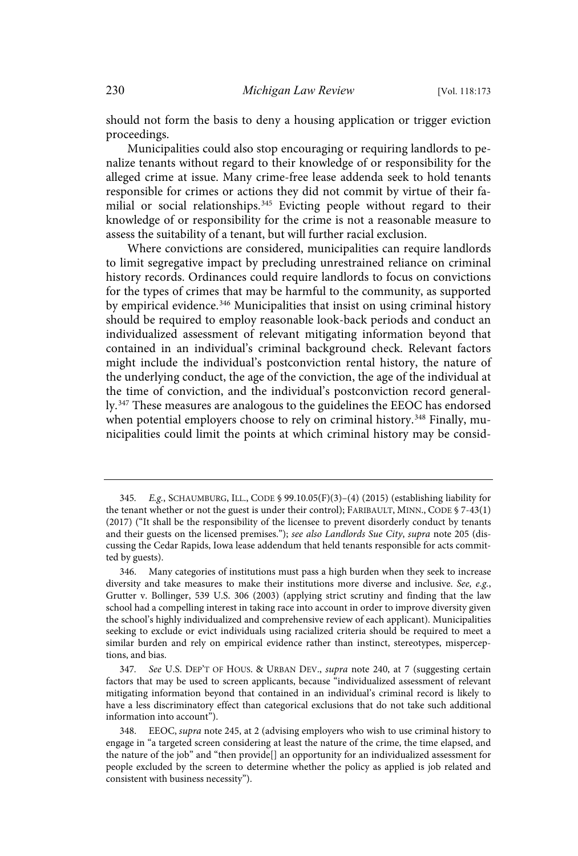should not form the basis to deny a housing application or trigger eviction proceedings.

Municipalities could also stop encouraging or requiring landlords to penalize tenants without regard to their knowledge of or responsibility for the alleged crime at issue. Many crime-free lease addenda seek to hold tenants responsible for crimes or actions they did not commit by virtue of their familial or social relationships.<sup>345</sup> Evicting people without regard to their knowledge of or responsibility for the crime is not a reasonable measure to assess the suitability of a tenant, but will further racial exclusion.

Where convictions are considered, municipalities can require landlords to limit segregative impact by precluding unrestrained reliance on criminal history records. Ordinances could require landlords to focus on convictions for the types of crimes that may be harmful to the community, as supported by empirical evidence.<sup>346</sup> Municipalities that insist on using criminal history should be required to employ reasonable look-back periods and conduct an individualized assessment of relevant mitigating information beyond that contained in an individual's criminal background check. Relevant factors might include the individual's postconviction rental history, the nature of the underlying conduct, the age of the conviction, the age of the individual at the time of conviction, and the individual's postconviction record generally.<sup>347</sup> These measures are analogous to the guidelines the EEOC has endorsed when potential employers choose to rely on criminal history. <sup>348</sup> Finally, municipalities could limit the points at which criminal history may be consid-

<sup>345.</sup> E.g., SCHAUMBURG, ILL., CODE § 99.10.05(F)(3)-(4) (2015) (establishing liability for the tenant whether or not the guest is under their control); FARIBAULT, MINN., CODE § 7-43(1) (2017) ("It shall be the responsibility of the licensee to prevent disorderly conduct by tenants and their guests on the licensed premises."); see also Landlords Sue City, supra note 205 (discussing the Cedar Rapids, Iowa lease addendum that held tenants responsible for acts committed by guests).

<sup>346.</sup> Many categories of institutions must pass a high burden when they seek to increase diversity and take measures to make their institutions more diverse and inclusive. See, e.g., Grutter v. Bollinger, 539 U.S. 306 (2003) (applying strict scrutiny and finding that the law school had a compelling interest in taking race into account in order to improve diversity given the school's highly individualized and comprehensive review of each applicant). Municipalities seeking to exclude or evict individuals using racialized criteria should be required to meet a similar burden and rely on empirical evidence rather than instinct, stereotypes, misperceptions, and bias.

<sup>347.</sup> See U.S. DEP'T OF HOUS. & URBAN DEV., supra note 240, at 7 (suggesting certain factors that may be used to screen applicants, because "individualized assessment of relevant mitigating information beyond that contained in an individual's criminal record is likely to have a less discriminatory effect than categorical exclusions that do not take such additional information into account").

<sup>348.</sup> EEOC, supra note 245, at 2 (advising employers who wish to use criminal history to engage in "a targeted screen considering at least the nature of the crime, the time elapsed, and the nature of the job" and "then provide[] an opportunity for an individualized assessment for people excluded by the screen to determine whether the policy as applied is job related and consistent with business necessity").